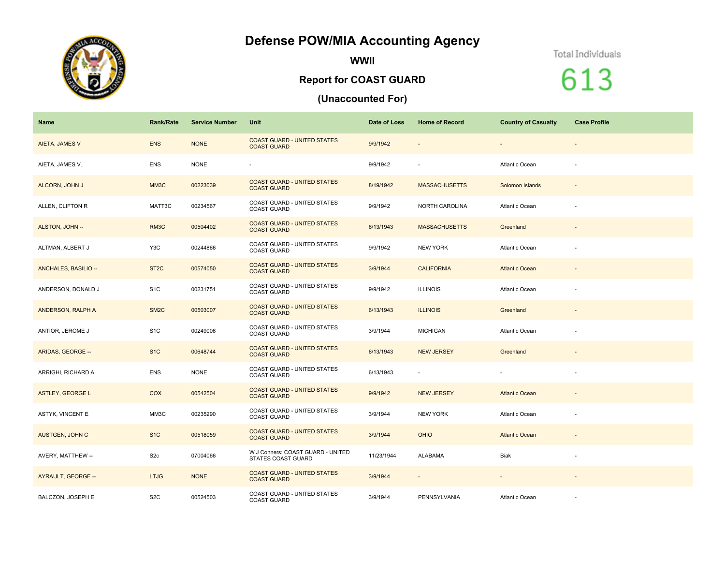## **Defense POW/MIA Accounting Agency**



**WWII**

## **Report for COAST GUARD**

## **(Unaccounted For)**

## Total Individuals

613

| Name                    | <b>Rank/Rate</b>  | <b>Service Number</b> | Unit                                                           | Date of Loss | <b>Home of Record</b>    | <b>Country of Casualty</b> | <b>Case Profile</b>      |
|-------------------------|-------------------|-----------------------|----------------------------------------------------------------|--------------|--------------------------|----------------------------|--------------------------|
| <b>AIETA, JAMES V</b>   | <b>ENS</b>        | <b>NONE</b>           | <b>COAST GUARD - UNITED STATES</b><br><b>COAST GUARD</b>       | 9/9/1942     | $\overline{\phantom{a}}$ | $\overline{\phantom{a}}$   | $\overline{\phantom{a}}$ |
| AIETA, JAMES V.         | <b>ENS</b>        | <b>NONE</b>           | $\overline{\phantom{a}}$                                       | 9/9/1942     | ÷.                       | Atlantic Ocean             | $\sim$                   |
| ALCORN, JOHN J          | MM3C              | 00223039              | <b>COAST GUARD - UNITED STATES</b><br><b>COAST GUARD</b>       | 8/19/1942    | <b>MASSACHUSETTS</b>     | Solomon Islands            | $\overline{\phantom{a}}$ |
| ALLEN, CLIFTON R        | MATT3C            | 00234567              | <b>COAST GUARD - UNITED STATES</b><br><b>COAST GUARD</b>       | 9/9/1942     | NORTH CAROLINA           | Atlantic Ocean             | $\sim$                   |
| ALSTON, JOHN --         | RM3C              | 00504402              | <b>COAST GUARD - UNITED STATES</b><br><b>COAST GUARD</b>       | 6/13/1943    | <b>MASSACHUSETTS</b>     | Greenland                  | $\overline{\phantom{a}}$ |
| ALTMAN, ALBERT J        | Y3C               | 00244866              | COAST GUARD - UNITED STATES<br><b>COAST GUARD</b>              | 9/9/1942     | <b>NEW YORK</b>          | Atlantic Ocean             | $\overline{\phantom{a}}$ |
| ANCHALES, BASILIO --    | ST <sub>2</sub> C | 00574050              | <b>COAST GUARD - UNITED STATES</b><br><b>COAST GUARD</b>       | 3/9/1944     | <b>CALIFORNIA</b>        | <b>Atlantic Ocean</b>      | $\overline{\phantom{a}}$ |
| ANDERSON, DONALD J      | S <sub>1</sub> C  | 00231751              | COAST GUARD - UNITED STATES<br><b>COAST GUARD</b>              | 9/9/1942     | <b>ILLINOIS</b>          | Atlantic Ocean             | $\sim$                   |
| ANDERSON, RALPH A       | SM <sub>2</sub> C | 00503007              | <b>COAST GUARD - UNITED STATES</b><br><b>COAST GUARD</b>       | 6/13/1943    | <b>ILLINOIS</b>          | Greenland                  | $\overline{\phantom{a}}$ |
| ANTIOR, JEROME J        | S <sub>1</sub> C  | 00249006              | COAST GUARD - UNITED STATES<br><b>COAST GUARD</b>              | 3/9/1944     | <b>MICHIGAN</b>          | Atlantic Ocean             | $\sim$                   |
| ARIDAS, GEORGE --       | S <sub>1</sub> C  | 00648744              | <b>COAST GUARD - UNITED STATES</b><br><b>COAST GUARD</b>       | 6/13/1943    | <b>NEW JERSEY</b>        | Greenland                  | $\overline{\phantom{a}}$ |
| ARRIGHI, RICHARD A      | <b>ENS</b>        | <b>NONE</b>           | COAST GUARD - UNITED STATES<br><b>COAST GUARD</b>              | 6/13/1943    | ٠                        | $\sim$                     | $\overline{\phantom{a}}$ |
| <b>ASTLEY, GEORGE L</b> | <b>COX</b>        | 00542504              | <b>COAST GUARD - UNITED STATES</b><br><b>COAST GUARD</b>       | 9/9/1942     | <b>NEW JERSEY</b>        | <b>Atlantic Ocean</b>      | $\overline{\phantom{a}}$ |
| ASTYK, VINCENT E        | MM3C              | 00235290              | COAST GUARD - UNITED STATES<br><b>COAST GUARD</b>              | 3/9/1944     | <b>NEW YORK</b>          | Atlantic Ocean             | $\sim$                   |
| AUSTGEN, JOHN C         | S <sub>1</sub> C  | 00518059              | <b>COAST GUARD - UNITED STATES</b><br><b>COAST GUARD</b>       | 3/9/1944     | <b>OHIO</b>              | <b>Atlantic Ocean</b>      | $\overline{\phantom{a}}$ |
| AVERY, MATTHEW --       | S <sub>2c</sub>   | 07004066              | W J Conners; COAST GUARD - UNITED<br><b>STATES COAST GUARD</b> | 11/23/1944   | ALABAMA                  | Biak                       | ÷                        |
| AYRAULT, GEORGE --      | <b>LTJG</b>       | <b>NONE</b>           | <b>COAST GUARD - UNITED STATES</b><br><b>COAST GUARD</b>       | 3/9/1944     | $\sim$                   | $\sim$                     | $\sim$                   |
| BALCZON, JOSEPH E       | S <sub>2</sub> C  | 00524503              | COAST GUARD - UNITED STATES<br><b>COAST GUARD</b>              | 3/9/1944     | PENNSYLVANIA             | Atlantic Ocean             |                          |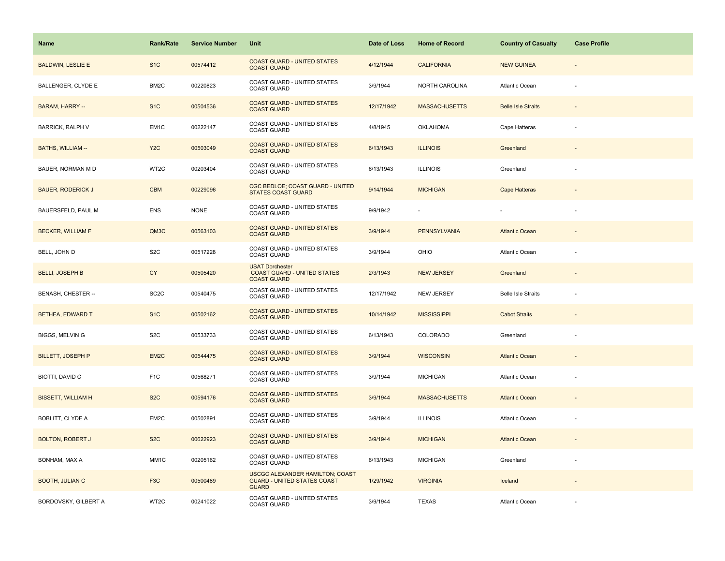| Name                      | <b>Rank/Rate</b>  | <b>Service Number</b> | Unit                                                                                  | Date of Loss | <b>Home of Record</b> | <b>Country of Casualty</b> | <b>Case Profile</b>      |
|---------------------------|-------------------|-----------------------|---------------------------------------------------------------------------------------|--------------|-----------------------|----------------------------|--------------------------|
| <b>BALDWIN, LESLIE E</b>  | S <sub>1</sub> C  | 00574412              | <b>COAST GUARD - UNITED STATES</b><br><b>COAST GUARD</b>                              | 4/12/1944    | <b>CALIFORNIA</b>     | <b>NEW GUINEA</b>          |                          |
| <b>BALLENGER, CLYDE E</b> | BM <sub>2</sub> C | 00220823              | COAST GUARD - UNITED STATES<br><b>COAST GUARD</b>                                     | 3/9/1944     | NORTH CAROLINA        | Atlantic Ocean             |                          |
| <b>BARAM, HARRY --</b>    | S <sub>1</sub> C  | 00504536              | <b>COAST GUARD - UNITED STATES</b><br><b>COAST GUARD</b>                              | 12/17/1942   | <b>MASSACHUSETTS</b>  | <b>Belle Isle Straits</b>  | $\overline{\phantom{a}}$ |
| <b>BARRICK, RALPH V</b>   | EM1C              | 00222147              | COAST GUARD - UNITED STATES<br><b>COAST GUARD</b>                                     | 4/8/1945     | <b>OKLAHOMA</b>       | Cape Hatteras              |                          |
| <b>BATHS, WILLIAM --</b>  | Y <sub>2</sub> C  | 00503049              | <b>COAST GUARD - UNITED STATES</b><br><b>COAST GUARD</b>                              | 6/13/1943    | <b>ILLINOIS</b>       | Greenland                  |                          |
| BAUER, NORMAN M D         | WT2C              | 00203404              | COAST GUARD - UNITED STATES<br><b>COAST GUARD</b>                                     | 6/13/1943    | <b>ILLINOIS</b>       | Greenland                  |                          |
| <b>BAUER, RODERICK J</b>  | <b>CBM</b>        | 00229096              | CGC BEDLOE; COAST GUARD - UNITED<br><b>STATES COAST GUARD</b>                         | 9/14/1944    | <b>MICHIGAN</b>       | <b>Cape Hatteras</b>       |                          |
| BAUERSFELD, PAUL M        | <b>ENS</b>        | <b>NONE</b>           | COAST GUARD - UNITED STATES<br><b>COAST GUARD</b>                                     | 9/9/1942     |                       |                            |                          |
| <b>BECKER, WILLIAM F</b>  | QM3C              | 00563103              | <b>COAST GUARD - UNITED STATES</b><br><b>COAST GUARD</b>                              | 3/9/1944     | <b>PENNSYLVANIA</b>   | <b>Atlantic Ocean</b>      |                          |
| BELL, JOHN D              | S <sub>2</sub> C  | 00517228              | COAST GUARD - UNITED STATES<br><b>COAST GUARD</b>                                     | 3/9/1944     | OHIO                  | <b>Atlantic Ocean</b>      |                          |
| <b>BELLI, JOSEPH B</b>    | <b>CY</b>         | 00505420              | <b>USAT Dorchester</b><br><b>COAST GUARD - UNITED STATES</b><br><b>COAST GUARD</b>    | 2/3/1943     | <b>NEW JERSEY</b>     | Greenland                  |                          |
| BENASH, CHESTER --        | SC <sub>2</sub> C | 00540475              | COAST GUARD - UNITED STATES<br><b>COAST GUARD</b>                                     | 12/17/1942   | <b>NEW JERSEY</b>     | <b>Belle Isle Straits</b>  |                          |
| BETHEA, EDWARD T          | S <sub>1</sub> C  | 00502162              | <b>COAST GUARD - UNITED STATES</b><br><b>COAST GUARD</b>                              | 10/14/1942   | <b>MISSISSIPPI</b>    | <b>Cabot Straits</b>       |                          |
| BIGGS, MELVIN G           | S <sub>2</sub> C  | 00533733              | COAST GUARD - UNITED STATES<br>COAST GUARD                                            | 6/13/1943    | COLORADO              | Greenland                  | ä,                       |
| <b>BILLETT, JOSEPH P</b>  | EM2C              | 00544475              | <b>COAST GUARD - UNITED STATES</b><br><b>COAST GUARD</b>                              | 3/9/1944     | <b>WISCONSIN</b>      | <b>Atlantic Ocean</b>      |                          |
| BIOTTI, DAVID C           | F <sub>1</sub> C  | 00568271              | COAST GUARD - UNITED STATES<br><b>COAST GUARD</b>                                     | 3/9/1944     | <b>MICHIGAN</b>       | Atlantic Ocean             |                          |
| <b>BISSETT, WILLIAM H</b> | S <sub>2</sub> C  | 00594176              | <b>COAST GUARD - UNITED STATES</b><br><b>COAST GUARD</b>                              | 3/9/1944     | <b>MASSACHUSETTS</b>  | <b>Atlantic Ocean</b>      |                          |
| BOBLITT, CLYDE A          | EM2C              | 00502891              | COAST GUARD - UNITED STATES<br><b>COAST GUARD</b>                                     | 3/9/1944     | <b>ILLINOIS</b>       | Atlantic Ocean             |                          |
| <b>BOLTON, ROBERT J</b>   | S <sub>2</sub> C  | 00622923              | <b>COAST GUARD - UNITED STATES</b><br><b>COAST GUARD</b>                              | 3/9/1944     | <b>MICHIGAN</b>       | <b>Atlantic Ocean</b>      |                          |
| BONHAM, MAX A             | MM1C              | 00205162              | COAST GUARD - UNITED STATES<br><b>COAST GUARD</b>                                     | 6/13/1943    | <b>MICHIGAN</b>       | Greenland                  |                          |
| <b>BOOTH, JULIAN C</b>    | F <sub>3</sub> C  | 00500489              | USCGC ALEXANDER HAMILTON; COAST<br><b>GUARD - UNITED STATES COAST</b><br><b>GUARD</b> | 1/29/1942    | <b>VIRGINIA</b>       | Iceland                    |                          |
| BORDOVSKY, GILBERT A      | WT2C              | 00241022              | COAST GUARD - UNITED STATES<br><b>COAST GUARD</b>                                     | 3/9/1944     | <b>TEXAS</b>          | Atlantic Ocean             |                          |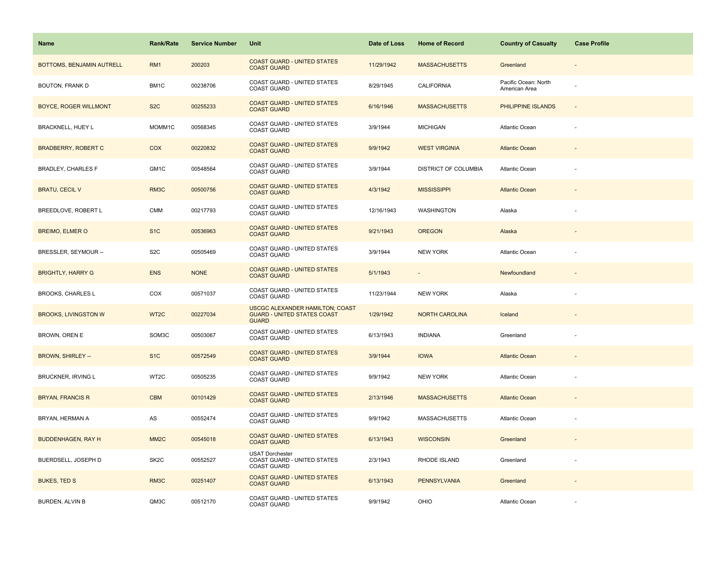| <b>Name</b>                  | <b>Rank/Rate</b>  | <b>Service Number</b> | Unit                                                                                         | Date of Loss | <b>Home of Record</b>       | <b>Country of Casualty</b>            | <b>Case Profile</b> |
|------------------------------|-------------------|-----------------------|----------------------------------------------------------------------------------------------|--------------|-----------------------------|---------------------------------------|---------------------|
| BOTTOMS, BENJAMIN AUTRELL    | RM <sub>1</sub>   | 200203                | <b>COAST GUARD - UNITED STATES</b><br><b>COAST GUARD</b>                                     | 11/29/1942   | <b>MASSACHUSETTS</b>        | Greenland                             |                     |
| BOUTON, FRANK D              | BM1C              | 00238706              | COAST GUARD - UNITED STATES<br><b>COAST GUARD</b>                                            | 8/29/1945    | <b>CALIFORNIA</b>           | Pacific Ocean: North<br>American Area |                     |
| <b>BOYCE, ROGER WILLMONT</b> | S <sub>2</sub> C  | 00255233              | <b>COAST GUARD - UNITED STATES</b><br><b>COAST GUARD</b>                                     | 6/16/1946    | <b>MASSACHUSETTS</b>        | PHILIPPINE ISLANDS                    | $\Box$              |
| BRACKNELL, HUEY L            | MOMM1C            | 00568345              | <b>COAST GUARD - UNITED STATES</b><br><b>COAST GUARD</b>                                     | 3/9/1944     | <b>MICHIGAN</b>             | Atlantic Ocean                        |                     |
| <b>BRADBERRY, ROBERT C</b>   | <b>COX</b>        | 00220832              | <b>COAST GUARD - UNITED STATES</b><br><b>COAST GUARD</b>                                     | 9/9/1942     | <b>WEST VIRGINIA</b>        | <b>Atlantic Ocean</b>                 |                     |
| BRADLEY, CHARLES F           | GM1C              | 00548564              | <b>COAST GUARD - UNITED STATES</b><br><b>COAST GUARD</b>                                     | 3/9/1944     | <b>DISTRICT OF COLUMBIA</b> | Atlantic Ocean                        |                     |
| <b>BRATU, CECIL V</b>        | RM3C              | 00500756              | <b>COAST GUARD - UNITED STATES</b><br><b>COAST GUARD</b>                                     | 4/3/1942     | <b>MISSISSIPPI</b>          | <b>Atlantic Ocean</b>                 |                     |
| BREEDLOVE, ROBERT L          | <b>CMM</b>        | 00217793              | COAST GUARD - UNITED STATES<br><b>COAST GUARD</b>                                            | 12/16/1943   | WASHINGTON                  | Alaska                                |                     |
| <b>BREIMO, ELMER O</b>       | S <sub>1</sub> C  | 00536963              | <b>COAST GUARD - UNITED STATES</b><br><b>COAST GUARD</b>                                     | 9/21/1943    | <b>OREGON</b>               | Alaska                                |                     |
| BRESSLER, SEYMOUR --         | S <sub>2</sub> C  | 00505469              | COAST GUARD - UNITED STATES<br><b>COAST GUARD</b>                                            | 3/9/1944     | <b>NEW YORK</b>             | Atlantic Ocean                        |                     |
| <b>BRIGHTLY, HARRY G</b>     | <b>ENS</b>        | <b>NONE</b>           | <b>COAST GUARD - UNITED STATES</b><br><b>COAST GUARD</b>                                     | 5/1/1943     |                             | Newfoundland                          |                     |
| <b>BROOKS, CHARLES L</b>     | COX               | 00571037              | COAST GUARD - UNITED STATES<br><b>COAST GUARD</b>                                            | 11/23/1944   | <b>NEW YORK</b>             | Alaska                                |                     |
| <b>BROOKS, LIVINGSTON W</b>  | WT <sub>2</sub> C | 00227034              | <b>USCGC ALEXANDER HAMILTON; COAST</b><br><b>GUARD - UNITED STATES COAST</b><br><b>GUARD</b> | 1/29/1942    | <b>NORTH CAROLINA</b>       | Iceland                               |                     |
| BROWN, OREN E                | SOM3C             | 00503067              | COAST GUARD - UNITED STATES<br><b>COAST GUARD</b>                                            | 6/13/1943    | <b>INDIANA</b>              | Greenland                             | ÷,                  |
| <b>BROWN, SHIRLEY --</b>     | S <sub>1</sub> C  | 00572549              | <b>COAST GUARD - UNITED STATES</b><br><b>COAST GUARD</b>                                     | 3/9/1944     | <b>IOWA</b>                 | <b>Atlantic Ocean</b>                 |                     |
| BRUCKNER, IRVING L           | WT2C              | 00505235              | COAST GUARD - UNITED STATES<br><b>COAST GUARD</b>                                            | 9/9/1942     | <b>NEW YORK</b>             | Atlantic Ocean                        |                     |
| <b>BRYAN, FRANCIS R</b>      | <b>CBM</b>        | 00101429              | <b>COAST GUARD - UNITED STATES</b><br><b>COAST GUARD</b>                                     | 2/13/1946    | <b>MASSACHUSETTS</b>        | <b>Atlantic Ocean</b>                 |                     |
| BRYAN, HERMAN A              | AS                | 00552474              | COAST GUARD - UNITED STATES<br><b>COAST GUARD</b>                                            | 9/9/1942     | <b>MASSACHUSETTS</b>        | Atlantic Ocean                        |                     |
| <b>BUDDENHAGEN, RAY H</b>    | MM <sub>2</sub> C | 00545018              | <b>COAST GUARD - UNITED STATES</b><br><b>COAST GUARD</b>                                     | 6/13/1943    | <b>WISCONSIN</b>            | Greenland                             |                     |
| BUERDSELL, JOSEPH D          | SK <sub>2</sub> C | 00552527              | <b>USAT Dorchester</b><br>COAST GUARD - UNITED STATES<br><b>COAST GUARD</b>                  | 2/3/1943     | RHODE ISLAND                | Greenland                             |                     |
| <b>BUKES, TED S</b>          | RM3C              | 00251407              | <b>COAST GUARD - UNITED STATES</b><br><b>COAST GUARD</b>                                     | 6/13/1943    | <b>PENNSYLVANIA</b>         | Greenland                             |                     |
| BURDEN, ALVIN B              | QM3C              | 00512170              | COAST GUARD - UNITED STATES<br><b>COAST GUARD</b>                                            | 9/9/1942     | OHIO                        | Atlantic Ocean                        |                     |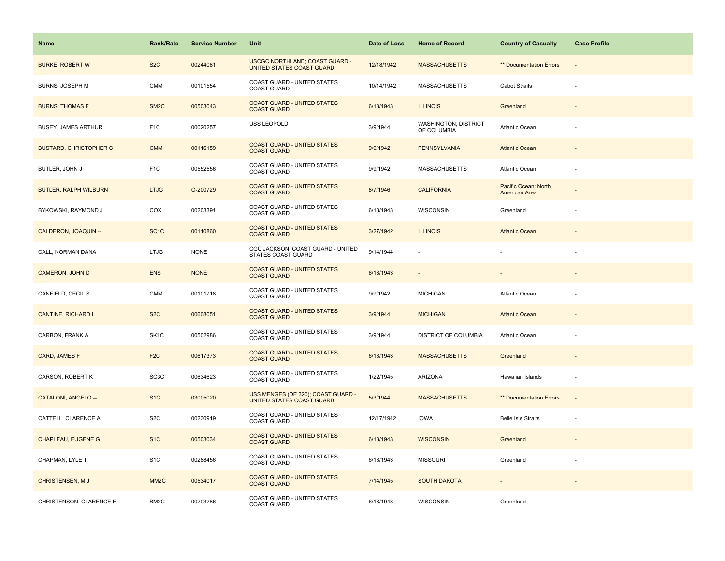| <b>Name</b>                   | <b>Rank/Rate</b>  | <b>Service Number</b> | Unit                                                               | Date of Loss | <b>Home of Record</b>                      | <b>Country of Casualty</b>            | <b>Case Profile</b>      |
|-------------------------------|-------------------|-----------------------|--------------------------------------------------------------------|--------------|--------------------------------------------|---------------------------------------|--------------------------|
| <b>BURKE, ROBERT W</b>        | S <sub>2</sub> C  | 00244081              | <b>USCGC NORTHLAND; COAST GUARD -</b><br>UNITED STATES COAST GUARD | 12/18/1942   | <b>MASSACHUSETTS</b>                       | ** Documentation Errors               |                          |
| BURNS, JOSEPH M               | <b>CMM</b>        | 00101554              | <b>COAST GUARD - UNITED STATES</b><br><b>COAST GUARD</b>           | 10/14/1942   | <b>MASSACHUSETTS</b>                       | <b>Cabot Straits</b>                  |                          |
| <b>BURNS, THOMAS F</b>        | SM <sub>2</sub> C | 00503043              | <b>COAST GUARD - UNITED STATES</b><br><b>COAST GUARD</b>           | 6/13/1943    | <b>ILLINOIS</b>                            | Greenland                             | $\overline{\phantom{a}}$ |
| BUSEY, JAMES ARTHUR           | F <sub>1</sub> C  | 00020257              | USS LEOPOLD                                                        | 3/9/1944     | <b>WASHINGTON, DISTRICT</b><br>OF COLUMBIA | Atlantic Ocean                        |                          |
| <b>BUSTARD, CHRISTOPHER C</b> | <b>CMM</b>        | 00116159              | <b>COAST GUARD - UNITED STATES</b><br><b>COAST GUARD</b>           | 9/9/1942     | <b>PENNSYLVANIA</b>                        | <b>Atlantic Ocean</b>                 |                          |
| BUTLER, JOHN J                | F <sub>1</sub> C  | 00552556              | COAST GUARD - UNITED STATES<br><b>COAST GUARD</b>                  | 9/9/1942     | MASSACHUSETTS                              | Atlantic Ocean                        |                          |
| BUTLER, RALPH WILBURN         | <b>LTJG</b>       | O-200729              | <b>COAST GUARD - UNITED STATES</b><br><b>COAST GUARD</b>           | 8/7/1946     | <b>CALIFORNIA</b>                          | Pacific Ocean: North<br>American Area |                          |
| BYKOWSKI, RAYMOND J           | COX               | 00203391              | COAST GUARD - UNITED STATES<br><b>COAST GUARD</b>                  | 6/13/1943    | <b>WISCONSIN</b>                           | Greenland                             |                          |
| CALDERON, JOAQUIN --          | SC <sub>1</sub> C | 00110860              | <b>COAST GUARD - UNITED STATES</b><br><b>COAST GUARD</b>           | 3/27/1942    | <b>ILLINOIS</b>                            | <b>Atlantic Ocean</b>                 |                          |
| CALL, NORMAN DANA             | <b>LTJG</b>       | <b>NONE</b>           | CGC JACKSON; COAST GUARD - UNITED<br><b>STATES COAST GUARD</b>     | 9/14/1944    |                                            |                                       |                          |
| <b>CAMERON, JOHN D</b>        | <b>ENS</b>        | <b>NONE</b>           | <b>COAST GUARD - UNITED STATES</b><br><b>COAST GUARD</b>           | 6/13/1943    | $\overline{\phantom{a}}$                   |                                       |                          |
| CANFIELD, CECIL S             | <b>CMM</b>        | 00101718              | COAST GUARD - UNITED STATES<br><b>COAST GUARD</b>                  | 9/9/1942     | <b>MICHIGAN</b>                            | Atlantic Ocean                        |                          |
| <b>CANTINE, RICHARD L</b>     | S <sub>2</sub> C  | 00608051              | <b>COAST GUARD - UNITED STATES</b><br><b>COAST GUARD</b>           | 3/9/1944     | <b>MICHIGAN</b>                            | <b>Atlantic Ocean</b>                 |                          |
| CARBON, FRANK A               | SK <sub>1</sub> C | 00502986              | COAST GUARD - UNITED STATES<br><b>COAST GUARD</b>                  | 3/9/1944     | <b>DISTRICT OF COLUMBIA</b>                | <b>Atlantic Ocean</b>                 |                          |
| CARD, JAMES F                 | F <sub>2</sub> C  | 00617373              | <b>COAST GUARD - UNITED STATES</b><br><b>COAST GUARD</b>           | 6/13/1943    | <b>MASSACHUSETTS</b>                       | Greenland                             |                          |
| CARSON, ROBERT K              | SC <sub>3</sub> C | 00634623              | COAST GUARD - UNITED STATES<br><b>COAST GUARD</b>                  | 1/22/1945    | ARIZONA                                    | Hawaiian Islands                      |                          |
| CATALONI, ANGELO --           | S <sub>1</sub> C  | 03005020              | USS MENGES (DE 320); COAST GUARD -<br>UNITED STATES COAST GUARD    | 5/3/1944     | <b>MASSACHUSETTS</b>                       | <b>** Documentation Errors</b>        | $\overline{\phantom{a}}$ |
| CATTELL, CLARENCE A           | S <sub>2</sub> C  | 00230919              | COAST GUARD - UNITED STATES<br><b>COAST GUARD</b>                  | 12/17/1942   | <b>IOWA</b>                                | <b>Belle Isle Straits</b>             |                          |
| <b>CHAPLEAU, EUGENE G</b>     | S <sub>1</sub> C  | 00503034              | <b>COAST GUARD - UNITED STATES</b><br><b>COAST GUARD</b>           | 6/13/1943    | <b>WISCONSIN</b>                           | Greenland                             |                          |
| CHAPMAN, LYLE T               | S <sub>1</sub> C  | 00288456              | COAST GUARD - UNITED STATES<br><b>COAST GUARD</b>                  | 6/13/1943    | <b>MISSOURI</b>                            | Greenland                             |                          |
| <b>CHRISTENSEN, MJ</b>        | MM <sub>2</sub> C | 00534017              | <b>COAST GUARD - UNITED STATES</b><br><b>COAST GUARD</b>           | 7/14/1945    | <b>SOUTH DAKOTA</b>                        |                                       |                          |
| CHRISTENSON, CLARENCE E       | BM <sub>2</sub> C | 00203286              | COAST GUARD - UNITED STATES<br><b>COAST GUARD</b>                  | 6/13/1943    | <b>WISCONSIN</b>                           | Greenland                             |                          |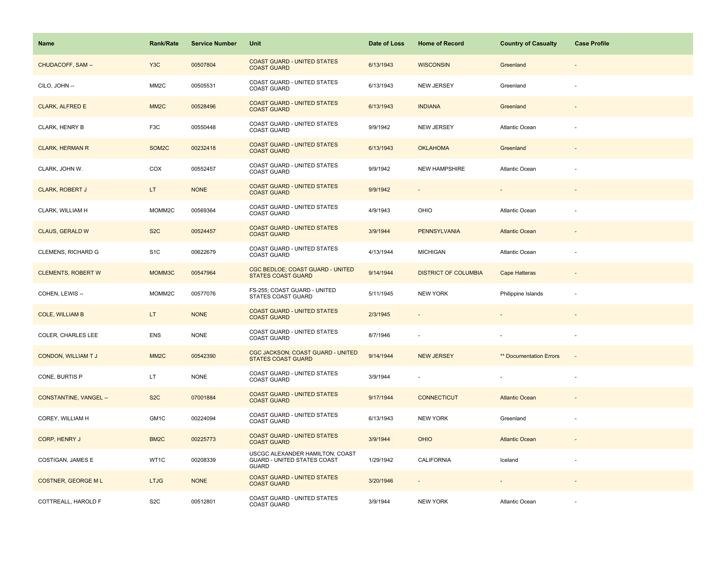| Name                      | <b>Rank/Rate</b>  | <b>Service Number</b> | Unit                                                                           | Date of Loss | <b>Home of Record</b>       | <b>Country of Casualty</b>     | <b>Case Profile</b>      |
|---------------------------|-------------------|-----------------------|--------------------------------------------------------------------------------|--------------|-----------------------------|--------------------------------|--------------------------|
| CHUDACOFF, SAM --         | Y <sub>3</sub> C  | 00507804              | <b>COAST GUARD - UNITED STATES</b><br><b>COAST GUARD</b>                       | 6/13/1943    | <b>WISCONSIN</b>            | Greenland                      |                          |
| CILO, JOHN --             | MM <sub>2</sub> C | 00505531              | COAST GUARD - UNITED STATES<br><b>COAST GUARD</b>                              | 6/13/1943    | <b>NEW JERSEY</b>           | Greenland                      |                          |
| <b>CLARK, ALFRED E</b>    | MM <sub>2</sub> C | 00528496              | <b>COAST GUARD - UNITED STATES</b><br><b>COAST GUARD</b>                       | 6/13/1943    | <b>INDIANA</b>              | Greenland                      | $\sim$                   |
| CLARK, HENRY B            | F <sub>3</sub> C  | 00550448              | COAST GUARD - UNITED STATES<br><b>COAST GUARD</b>                              | 9/9/1942     | <b>NEW JERSEY</b>           | <b>Atlantic Ocean</b>          |                          |
| <b>CLARK, HERMAN R</b>    | SOM2C             | 00232418              | <b>COAST GUARD - UNITED STATES</b><br><b>COAST GUARD</b>                       | 6/13/1943    | <b>OKLAHOMA</b>             | Greenland                      |                          |
| CLARK, JOHN W.            | COX               | 00552457              | COAST GUARD - UNITED STATES<br><b>COAST GUARD</b>                              | 9/9/1942     | <b>NEW HAMPSHIRE</b>        | Atlantic Ocean                 |                          |
| <b>CLARK, ROBERT J</b>    | LT.               | <b>NONE</b>           | <b>COAST GUARD - UNITED STATES</b><br><b>COAST GUARD</b>                       | 9/9/1942     |                             |                                |                          |
| CLARK, WILLIAM H          | MOMM2C            | 00569364              | COAST GUARD - UNITED STATES<br><b>COAST GUARD</b>                              | 4/9/1943     | OHIO                        | Atlantic Ocean                 |                          |
| <b>CLAUS, GERALD W</b>    | S <sub>2</sub> C  | 00524457              | <b>COAST GUARD - UNITED STATES</b><br><b>COAST GUARD</b>                       | 3/9/1944     | <b>PENNSYLVANIA</b>         | <b>Atlantic Ocean</b>          |                          |
| <b>CLEMENS, RICHARD G</b> | S <sub>1</sub> C  | 00622679              | COAST GUARD - UNITED STATES<br><b>COAST GUARD</b>                              | 4/13/1944    | <b>MICHIGAN</b>             | Atlantic Ocean                 |                          |
| <b>CLEMENTS, ROBERT W</b> | MOMM3C            | 00547964              | CGC BEDLOE; COAST GUARD - UNITED<br><b>STATES COAST GUARD</b>                  | 9/14/1944    | <b>DISTRICT OF COLUMBIA</b> | <b>Cape Hatteras</b>           |                          |
| COHEN, LEWIS --           | MOMM2C            | 00577076              | FS-255; COAST GUARD - UNITED<br>STATES COAST GUARD                             | 5/11/1945    | <b>NEW YORK</b>             | Philippine Islands             |                          |
| <b>COLE, WILLIAM B</b>    | LT.               | <b>NONE</b>           | <b>COAST GUARD - UNITED STATES</b><br><b>COAST GUARD</b>                       | 2/3/1945     |                             |                                |                          |
| COLER, CHARLES LEE        | <b>ENS</b>        | <b>NONE</b>           | COAST GUARD - UNITED STATES<br><b>COAST GUARD</b>                              | 8/7/1946     |                             |                                |                          |
| <b>CONDON, WILLIAM TJ</b> | MM <sub>2C</sub>  | 00542390              | CGC JACKSON; COAST GUARD - UNITED<br><b>STATES COAST GUARD</b>                 | 9/14/1944    | <b>NEW JERSEY</b>           | <b>** Documentation Errors</b> | $\overline{\phantom{a}}$ |
| CONE, BURTIS P            | LT.               | <b>NONE</b>           | COAST GUARD - UNITED STATES<br>COAST GUARD                                     | 3/9/1944     |                             |                                |                          |
| CONSTANTINE, VANGEL --    | S <sub>2</sub> C  | 07001884              | <b>COAST GUARD - UNITED STATES</b><br><b>COAST GUARD</b>                       | 9/17/1944    | <b>CONNECTICUT</b>          | <b>Atlantic Ocean</b>          |                          |
| COREY, WILLIAM H          | GM1C              | 00224094              | COAST GUARD - UNITED STATES<br><b>COAST GUARD</b>                              | 6/13/1943    | <b>NEW YORK</b>             | Greenland                      |                          |
| CORP, HENRY J             | BM <sub>2</sub> C | 00225773              | <b>COAST GUARD - UNITED STATES</b><br><b>COAST GUARD</b>                       | 3/9/1944     | <b>OHIO</b>                 | <b>Atlantic Ocean</b>          |                          |
| COSTIGAN, JAMES E         | WT1C              | 00208339              | USCGC ALEXANDER HAMILTON; COAST<br>GUARD - UNITED STATES COAST<br><b>GUARD</b> | 1/29/1942    | CALIFORNIA                  | Iceland                        |                          |
| <b>COSTNER, GEORGE ML</b> | <b>LTJG</b>       | <b>NONE</b>           | <b>COAST GUARD - UNITED STATES</b><br><b>COAST GUARD</b>                       | 3/20/1946    |                             |                                |                          |
| COTTREALL, HAROLD F       | S <sub>2</sub> C  | 00512801              | COAST GUARD - UNITED STATES<br><b>COAST GUARD</b>                              | 3/9/1944     | <b>NEW YORK</b>             | Atlantic Ocean                 |                          |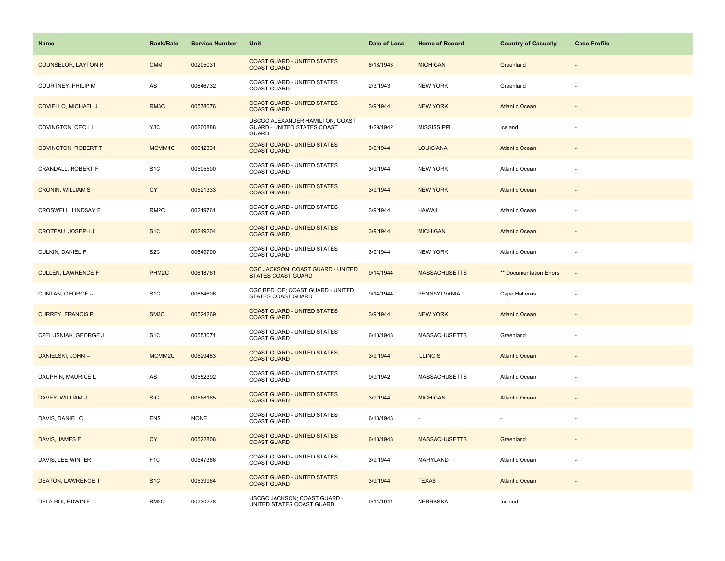| Name                       | <b>Rank/Rate</b>   | <b>Service Number</b> | Unit                                                                           | Date of Loss | <b>Home of Record</b> | <b>Country of Casualty</b> | <b>Case Profile</b>      |
|----------------------------|--------------------|-----------------------|--------------------------------------------------------------------------------|--------------|-----------------------|----------------------------|--------------------------|
| <b>COUNSELOR, LAYTON R</b> | <b>CMM</b>         | 00205031              | <b>COAST GUARD - UNITED STATES</b><br><b>COAST GUARD</b>                       | 6/13/1943    | <b>MICHIGAN</b>       | Greenland                  |                          |
| COURTNEY, PHILIP M         | AS                 | 00646732              | COAST GUARD - UNITED STATES<br><b>COAST GUARD</b>                              | 2/3/1943     | <b>NEW YORK</b>       | Greenland                  |                          |
| COVIELLO, MICHAEL J        | RM3C               | 00578076              | <b>COAST GUARD - UNITED STATES</b><br><b>COAST GUARD</b>                       | 3/9/1944     | <b>NEW YORK</b>       | <b>Atlantic Ocean</b>      |                          |
| COVINGTON, CECIL L         | Y3C                | 00200888              | USCGC ALEXANDER HAMILTON; COAST<br>GUARD - UNITED STATES COAST<br><b>GUARD</b> | 1/29/1942    | <b>MISSISSIPPI</b>    | Iceland                    |                          |
| <b>COVINGTON, ROBERT T</b> | MOMM1C             | 00612331              | <b>COAST GUARD - UNITED STATES</b><br><b>COAST GUARD</b>                       | 3/9/1944     | <b>LOUISIANA</b>      | <b>Atlantic Ocean</b>      |                          |
| CRANDALL, ROBERT F         | S <sub>1</sub> C   | 00505500              | <b>COAST GUARD - UNITED STATES</b><br><b>COAST GUARD</b>                       | 3/9/1944     | <b>NEW YORK</b>       | Atlantic Ocean             |                          |
| <b>CRONIN, WILLIAM S</b>   | <b>CY</b>          | 00521333              | <b>COAST GUARD - UNITED STATES</b><br><b>COAST GUARD</b>                       | 3/9/1944     | <b>NEW YORK</b>       | <b>Atlantic Ocean</b>      |                          |
| CROSWELL, LINDSAY F        | RM <sub>2</sub> C  | 00219761              | COAST GUARD - UNITED STATES<br><b>COAST GUARD</b>                              | 3/9/1944     | <b>HAWAII</b>         | Atlantic Ocean             |                          |
| <b>CROTEAU, JOSEPH J</b>   | S <sub>1</sub> C   | 00249204              | <b>COAST GUARD - UNITED STATES</b><br><b>COAST GUARD</b>                       | 3/9/1944     | <b>MICHIGAN</b>       | <b>Atlantic Ocean</b>      |                          |
| CULKIN, DANIEL F           | S <sub>2</sub> C   | 00649700              | COAST GUARD - UNITED STATES<br><b>COAST GUARD</b>                              | 3/9/1944     | <b>NEW YORK</b>       | Atlantic Ocean             |                          |
| <b>CULLEN, LAWRENCE F</b>  | PHM <sub>2</sub> C | 00618761              | CGC JACKSON; COAST GUARD - UNITED<br><b>STATES COAST GUARD</b>                 | 9/14/1944    | <b>MASSACHUSETTS</b>  | ** Documentation Errors    | $\overline{\phantom{a}}$ |
| CUNTAN, GEORGE --          | S <sub>1</sub> C   | 00684606              | CGC BEDLOE; COAST GUARD - UNITED<br>STATES COAST GUARD                         | 9/14/1944    | PENNSYLVANIA          | Cape Hatteras              |                          |
| <b>CURREY, FRANCIS P</b>   | SM3C               | 00524269              | <b>COAST GUARD - UNITED STATES</b><br><b>COAST GUARD</b>                       | 3/9/1944     | <b>NEW YORK</b>       | <b>Atlantic Ocean</b>      |                          |
| CZELUSNIAK, GEORGE J       | S <sub>1</sub> C   | 00553071              | COAST GUARD - UNITED STATES<br><b>COAST GUARD</b>                              | 6/13/1943    | <b>MASSACHUSETTS</b>  | Greenland                  | ÷,                       |
| DANIELSKI, JOHN --         | MOMM2C             | 00529483              | <b>COAST GUARD - UNITED STATES</b><br><b>COAST GUARD</b>                       | 3/9/1944     | <b>ILLINOIS</b>       | <b>Atlantic Ocean</b>      |                          |
| DAUPHIN, MAURICE L         | AS                 | 00552392              | COAST GUARD - UNITED STATES<br><b>COAST GUARD</b>                              | 9/9/1942     | <b>MASSACHUSETTS</b>  | Atlantic Ocean             |                          |
| DAVEY, WILLIAM J           | <b>SIC</b>         | 00568165              | <b>COAST GUARD - UNITED STATES</b><br><b>COAST GUARD</b>                       | 3/9/1944     | <b>MICHIGAN</b>       | <b>Atlantic Ocean</b>      |                          |
| DAVIS, DANIEL C            | <b>ENS</b>         | <b>NONE</b>           | COAST GUARD - UNITED STATES<br><b>COAST GUARD</b>                              | 6/13/1943    |                       |                            |                          |
| DAVIS, JAMES F             | <b>CY</b>          | 00522806              | <b>COAST GUARD - UNITED STATES</b><br><b>COAST GUARD</b>                       | 6/13/1943    | <b>MASSACHUSETTS</b>  | Greenland                  |                          |
| DAVIS, LEE WINTER          | F <sub>1</sub> C   | 00547386              | COAST GUARD - UNITED STATES<br><b>COAST GUARD</b>                              | 3/9/1944     | MARYLAND              | Atlantic Ocean             |                          |
| <b>DEATON, LAWRENCE T</b>  | S <sub>1</sub> C   | 00539964              | <b>COAST GUARD - UNITED STATES</b><br><b>COAST GUARD</b>                       | 3/9/1944     | <b>TEXAS</b>          | <b>Atlantic Ocean</b>      |                          |
| DELA ROI, EDWIN F          | BM <sub>2</sub> C  | 00230278              | USCGC JACKSON; COAST GUARD -<br>UNITED STATES COAST GUARD                      | 9/14/1944    | NEBRASKA              | Iceland                    |                          |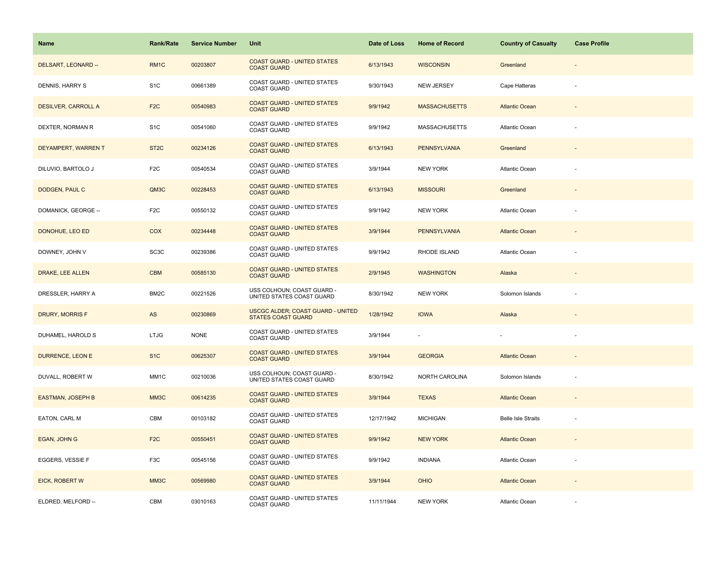| Name                       | <b>Rank/Rate</b>  | <b>Service Number</b> | Unit                                                                  | Date of Loss | <b>Home of Record</b>    | <b>Country of Casualty</b> | <b>Case Profile</b>      |
|----------------------------|-------------------|-----------------------|-----------------------------------------------------------------------|--------------|--------------------------|----------------------------|--------------------------|
| DELSART, LEONARD --        | RM <sub>1</sub> C | 00203807              | <b>COAST GUARD - UNITED STATES</b><br><b>COAST GUARD</b>              | 6/13/1943    | <b>WISCONSIN</b>         | Greenland                  |                          |
| DENNIS, HARRY S            | S <sub>1</sub> C  | 00661389              | COAST GUARD - UNITED STATES<br><b>COAST GUARD</b>                     | 9/30/1943    | NEW JERSEY               | Cape Hatteras              |                          |
| <b>DESILVER, CARROLL A</b> | F <sub>2</sub> C  | 00540983              | <b>COAST GUARD - UNITED STATES</b><br><b>COAST GUARD</b>              | 9/9/1942     | <b>MASSACHUSETTS</b>     | <b>Atlantic Ocean</b>      | $\overline{\phantom{a}}$ |
| DEXTER, NORMAN R           | S <sub>1</sub> C  | 00541060              | COAST GUARD - UNITED STATES<br><b>COAST GUARD</b>                     | 9/9/1942     | <b>MASSACHUSETTS</b>     | Atlantic Ocean             |                          |
| DEYAMPERT, WARREN T        | ST <sub>2</sub> C | 00234126              | <b>COAST GUARD - UNITED STATES</b><br><b>COAST GUARD</b>              | 6/13/1943    | <b>PENNSYLVANIA</b>      | Greenland                  |                          |
| DILUVIO, BARTOLO J         | F <sub>2</sub> C  | 00540534              | COAST GUARD - UNITED STATES<br><b>COAST GUARD</b>                     | 3/9/1944     | NEW YORK                 | Atlantic Ocean             |                          |
| DODGEN, PAUL C             | QM3C              | 00228453              | <b>COAST GUARD - UNITED STATES</b><br><b>COAST GUARD</b>              | 6/13/1943    | <b>MISSOURI</b>          | Greenland                  |                          |
| DOMANICK, GEORGE --        | F <sub>2</sub> C  | 00550132              | COAST GUARD - UNITED STATES<br><b>COAST GUARD</b>                     | 9/9/1942     | <b>NEW YORK</b>          | Atlantic Ocean             |                          |
| DONOHUE, LEO ED            | <b>COX</b>        | 00234448              | <b>COAST GUARD - UNITED STATES</b><br><b>COAST GUARD</b>              | 3/9/1944     | <b>PENNSYLVANIA</b>      | <b>Atlantic Ocean</b>      |                          |
| DOWNEY, JOHN V             | SC <sub>3</sub> C | 00239386              | COAST GUARD - UNITED STATES<br><b>COAST GUARD</b>                     | 9/9/1942     | RHODE ISLAND             | Atlantic Ocean             |                          |
| <b>DRAKE, LEE ALLEN</b>    | <b>CBM</b>        | 00585130              | <b>COAST GUARD - UNITED STATES</b><br><b>COAST GUARD</b>              | 2/9/1945     | <b>WASHINGTON</b>        | Alaska                     |                          |
| DRESSLER, HARRY A          | BM <sub>2</sub> C | 00221526              | USS COLHOUN; COAST GUARD -<br>UNITED STATES COAST GUARD               | 8/30/1942    | <b>NEW YORK</b>          | Solomon Islands            |                          |
| DRURY, MORRIS F            | AS                | 00230869              | <b>USCGC ALDER; COAST GUARD - UNITED</b><br><b>STATES COAST GUARD</b> | 1/28/1942    | <b>IOWA</b>              | Alaska                     |                          |
| DUHAMEL, HAROLD S          | <b>LTJG</b>       | <b>NONE</b>           | COAST GUARD - UNITED STATES<br><b>COAST GUARD</b>                     | 3/9/1944     | $\overline{\phantom{a}}$ |                            | ÷,                       |
| DURRENCE, LEON E           | S <sub>1</sub> C  | 00625307              | <b>COAST GUARD - UNITED STATES</b><br><b>COAST GUARD</b>              | 3/9/1944     | <b>GEORGIA</b>           | <b>Atlantic Ocean</b>      |                          |
| DUVALL, ROBERT W           | MM1C              | 00210036              | USS COLHOUN; COAST GUARD -<br>UNITED STATES COAST GUARD               | 8/30/1942    | NORTH CAROLINA           | Solomon Islands            |                          |
| <b>EASTMAN, JOSEPH B</b>   | MM3C              | 00614235              | <b>COAST GUARD - UNITED STATES</b><br><b>COAST GUARD</b>              | 3/9/1944     | <b>TEXAS</b>             | <b>Atlantic Ocean</b>      |                          |
| EATON, CARL M              | CBM               | 00103182              | COAST GUARD - UNITED STATES<br><b>COAST GUARD</b>                     | 12/17/1942   | <b>MICHIGAN</b>          | <b>Belle Isle Straits</b>  |                          |
| EGAN, JOHN G               | F <sub>2</sub> C  | 00550451              | <b>COAST GUARD - UNITED STATES</b><br><b>COAST GUARD</b>              | 9/9/1942     | <b>NEW YORK</b>          | <b>Atlantic Ocean</b>      |                          |
| EGGERS, VESSIE F           | F3C               | 00545156              | COAST GUARD - UNITED STATES<br><b>COAST GUARD</b>                     | 9/9/1942     | <b>INDIANA</b>           | Atlantic Ocean             |                          |
| EICK, ROBERT W             | MM3C              | 00569980              | <b>COAST GUARD - UNITED STATES</b><br><b>COAST GUARD</b>              | 3/9/1944     | <b>OHIO</b>              | <b>Atlantic Ocean</b>      |                          |
| ELDRED, MELFORD --         | CBM               | 03010163              | COAST GUARD - UNITED STATES<br><b>COAST GUARD</b>                     | 11/11/1944   | <b>NEW YORK</b>          | Atlantic Ocean             |                          |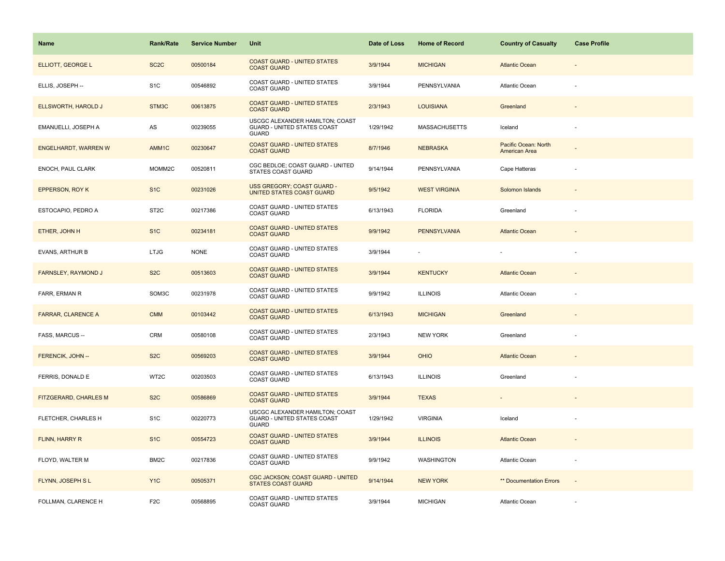| <b>Name</b>                 | <b>Rank/Rate</b>  | <b>Service Number</b> | Unit                                                                           | Date of Loss | <b>Home of Record</b> | <b>Country of Casualty</b>            | <b>Case Profile</b>      |
|-----------------------------|-------------------|-----------------------|--------------------------------------------------------------------------------|--------------|-----------------------|---------------------------------------|--------------------------|
| ELLIOTT, GEORGE L           | SC <sub>2</sub> C | 00500184              | <b>COAST GUARD - UNITED STATES</b><br><b>COAST GUARD</b>                       | 3/9/1944     | <b>MICHIGAN</b>       | <b>Atlantic Ocean</b>                 |                          |
| ELLIS, JOSEPH --            | S <sub>1</sub> C  | 00546892              | COAST GUARD - UNITED STATES<br><b>COAST GUARD</b>                              | 3/9/1944     | PENNSYLVANIA          | Atlantic Ocean                        |                          |
| ELLSWORTH, HAROLD J         | STM3C             | 00613875              | <b>COAST GUARD - UNITED STATES</b><br><b>COAST GUARD</b>                       | 2/3/1943     | <b>LOUISIANA</b>      | Greenland                             | $\overline{\phantom{a}}$ |
| EMANUELLI, JOSEPH A         | AS                | 00239055              | USCGC ALEXANDER HAMILTON; COAST<br>GUARD - UNITED STATES COAST<br><b>GUARD</b> | 1/29/1942    | <b>MASSACHUSETTS</b>  | Iceland                               |                          |
| <b>ENGELHARDT, WARREN W</b> | AMM1C             | 00230647              | <b>COAST GUARD - UNITED STATES</b><br><b>COAST GUARD</b>                       | 8/7/1946     | <b>NEBRASKA</b>       | Pacific Ocean: North<br>American Area |                          |
| ENOCH, PAUL CLARK           | MOMM2C            | 00520811              | CGC BEDLOE; COAST GUARD - UNITED<br>STATES COAST GUARD                         | 9/14/1944    | PENNSYLVANIA          | Cape Hatteras                         |                          |
| EPPERSON, ROY K             | S <sub>1</sub> C  | 00231026              | USS GREGORY; COAST GUARD -<br>UNITED STATES COAST GUARD                        | 9/5/1942     | <b>WEST VIRGINIA</b>  | Solomon Islands                       |                          |
| ESTOCAPIO, PEDRO A          | ST <sub>2</sub> C | 00217386              | COAST GUARD - UNITED STATES<br><b>COAST GUARD</b>                              | 6/13/1943    | <b>FLORIDA</b>        | Greenland                             |                          |
| ETHER, JOHN H               | S <sub>1</sub> C  | 00234181              | <b>COAST GUARD - UNITED STATES</b><br><b>COAST GUARD</b>                       | 9/9/1942     | <b>PENNSYLVANIA</b>   | <b>Atlantic Ocean</b>                 |                          |
| <b>EVANS, ARTHUR B</b>      | <b>LTJG</b>       | <b>NONE</b>           | COAST GUARD - UNITED STATES<br><b>COAST GUARD</b>                              | 3/9/1944     |                       |                                       |                          |
| <b>FARNSLEY, RAYMOND J</b>  | S <sub>2</sub> C  | 00513603              | <b>COAST GUARD - UNITED STATES</b><br><b>COAST GUARD</b>                       | 3/9/1944     | <b>KENTUCKY</b>       | <b>Atlantic Ocean</b>                 |                          |
| <b>FARR, ERMAN R</b>        | SOM3C             | 00231978              | COAST GUARD - UNITED STATES<br><b>COAST GUARD</b>                              | 9/9/1942     | <b>ILLINOIS</b>       | <b>Atlantic Ocean</b>                 |                          |
| <b>FARRAR, CLARENCE A</b>   | <b>CMM</b>        | 00103442              | <b>COAST GUARD - UNITED STATES</b><br><b>COAST GUARD</b>                       | 6/13/1943    | <b>MICHIGAN</b>       | Greenland                             |                          |
| FASS, MARCUS --             | CRM               | 00580108              | COAST GUARD - UNITED STATES<br><b>COAST GUARD</b>                              | 2/3/1943     | <b>NEW YORK</b>       | Greenland                             | ÷,                       |
| FERENCIK, JOHN --           | S <sub>2</sub> C  | 00569203              | <b>COAST GUARD - UNITED STATES</b><br><b>COAST GUARD</b>                       | 3/9/1944     | <b>OHIO</b>           | <b>Atlantic Ocean</b>                 |                          |
| FERRIS, DONALD E            | WT2C              | 00203503              | COAST GUARD - UNITED STATES<br><b>COAST GUARD</b>                              | 6/13/1943    | <b>ILLINOIS</b>       | Greenland                             |                          |
| FITZGERARD, CHARLES M       | S <sub>2</sub> C  | 00586869              | <b>COAST GUARD - UNITED STATES</b><br><b>COAST GUARD</b>                       | 3/9/1944     | <b>TEXAS</b>          | $\blacksquare$                        |                          |
| FLETCHER, CHARLES H         | S <sub>1</sub> C  | 00220773              | USCGC ALEXANDER HAMILTON; COAST<br>GUARD - UNITED STATES COAST<br><b>GUARD</b> | 1/29/1942    | <b>VIRGINIA</b>       | Iceland                               |                          |
| FLINN, HARRY R              | S <sub>1</sub> C  | 00554723              | <b>COAST GUARD - UNITED STATES</b><br><b>COAST GUARD</b>                       | 3/9/1944     | <b>ILLINOIS</b>       | <b>Atlantic Ocean</b>                 |                          |
| FLOYD, WALTER M             | BM <sub>2</sub> C | 00217836              | COAST GUARD - UNITED STATES<br><b>COAST GUARD</b>                              | 9/9/1942     | WASHINGTON            | Atlantic Ocean                        |                          |
| FLYNN, JOSEPH SL            | Y <sub>1</sub> C  | 00505371              | CGC JACKSON; COAST GUARD - UNITED<br><b>STATES COAST GUARD</b>                 | 9/14/1944    | <b>NEW YORK</b>       | ** Documentation Errors               | $\sim$                   |
| FOLLMAN, CLARENCE H         | F <sub>2</sub> C  | 00568895              | COAST GUARD - UNITED STATES<br><b>COAST GUARD</b>                              | 3/9/1944     | <b>MICHIGAN</b>       | Atlantic Ocean                        |                          |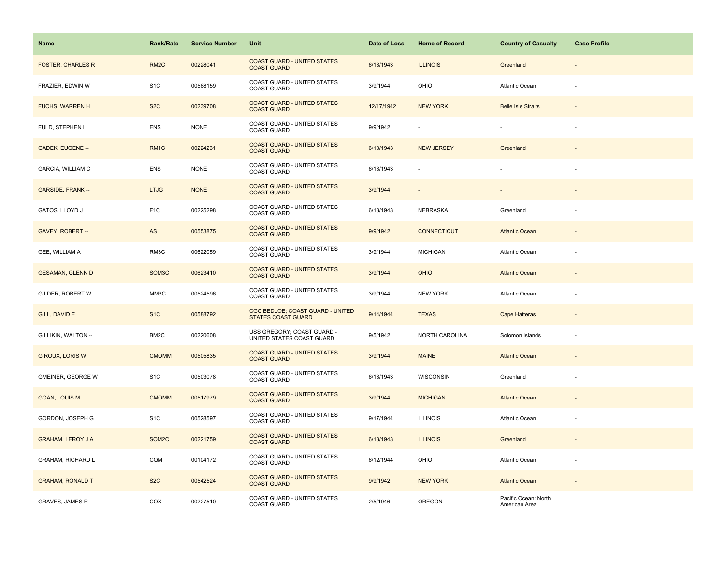| Name                     | <b>Rank/Rate</b>   | <b>Service Number</b> | Unit                                                          | Date of Loss | <b>Home of Record</b> | <b>Country of Casualty</b>            | <b>Case Profile</b>      |
|--------------------------|--------------------|-----------------------|---------------------------------------------------------------|--------------|-----------------------|---------------------------------------|--------------------------|
| <b>FOSTER, CHARLES R</b> | RM <sub>2</sub> C  | 00228041              | <b>COAST GUARD - UNITED STATES</b><br><b>COAST GUARD</b>      | 6/13/1943    | <b>ILLINOIS</b>       | Greenland                             |                          |
| FRAZIER, EDWIN W         | S <sub>1</sub> C   | 00568159              | COAST GUARD - UNITED STATES<br><b>COAST GUARD</b>             | 3/9/1944     | OHIO                  | Atlantic Ocean                        |                          |
| <b>FUCHS, WARREN H</b>   | S <sub>2</sub> C   | 00239708              | <b>COAST GUARD - UNITED STATES</b><br><b>COAST GUARD</b>      | 12/17/1942   | <b>NEW YORK</b>       | <b>Belle Isle Straits</b>             | $\sim$                   |
| FULD, STEPHEN L          | <b>ENS</b>         | <b>NONE</b>           | COAST GUARD - UNITED STATES<br><b>COAST GUARD</b>             | 9/9/1942     |                       |                                       | $\sim$                   |
| GADEK, EUGENE --         | RM <sub>1</sub> C  | 00224231              | <b>COAST GUARD - UNITED STATES</b><br><b>COAST GUARD</b>      | 6/13/1943    | <b>NEW JERSEY</b>     | Greenland                             |                          |
| GARCIA, WILLIAM C        | <b>ENS</b>         | <b>NONE</b>           | COAST GUARD - UNITED STATES<br><b>COAST GUARD</b>             | 6/13/1943    |                       |                                       |                          |
| <b>GARSIDE, FRANK--</b>  | <b>LTJG</b>        | <b>NONE</b>           | <b>COAST GUARD - UNITED STATES</b><br><b>COAST GUARD</b>      | 3/9/1944     |                       |                                       |                          |
| GATOS, LLOYD J           | F <sub>1</sub> C   | 00225298              | COAST GUARD - UNITED STATES<br><b>COAST GUARD</b>             | 6/13/1943    | NEBRASKA              | Greenland                             |                          |
| GAVEY, ROBERT --         | AS                 | 00553875              | <b>COAST GUARD - UNITED STATES</b><br><b>COAST GUARD</b>      | 9/9/1942     | <b>CONNECTICUT</b>    | <b>Atlantic Ocean</b>                 |                          |
| GEE, WILLIAM A           | RM3C               | 00622059              | COAST GUARD - UNITED STATES<br><b>COAST GUARD</b>             | 3/9/1944     | <b>MICHIGAN</b>       | Atlantic Ocean                        |                          |
| <b>GESAMAN, GLENN D</b>  | SOM <sub>3</sub> C | 00623410              | <b>COAST GUARD - UNITED STATES</b><br><b>COAST GUARD</b>      | 3/9/1944     | <b>OHIO</b>           | <b>Atlantic Ocean</b>                 |                          |
| GILDER, ROBERT W         | MM3C               | 00524596              | COAST GUARD - UNITED STATES<br><b>COAST GUARD</b>             | 3/9/1944     | <b>NEW YORK</b>       | <b>Atlantic Ocean</b>                 |                          |
| GILL, DAVID E            | S <sub>1</sub> C   | 00588792              | CGC BEDLOE; COAST GUARD - UNITED<br><b>STATES COAST GUARD</b> | 9/14/1944    | <b>TEXAS</b>          | <b>Cape Hatteras</b>                  |                          |
| GILLIKIN, WALTON --      | BM2C               | 00220608              | USS GREGORY; COAST GUARD -<br>UNITED STATES COAST GUARD       | 9/5/1942     | NORTH CAROLINA        | Solomon Islands                       | $\overline{\phantom{a}}$ |
| <b>GIROUX, LORIS W</b>   | <b>CMOMM</b>       | 00505835              | <b>COAST GUARD - UNITED STATES</b><br><b>COAST GUARD</b>      | 3/9/1944     | <b>MAINE</b>          | <b>Atlantic Ocean</b>                 |                          |
| GMEINER, GEORGE W        | S <sub>1</sub> C   | 00503078              | COAST GUARD - UNITED STATES<br><b>COAST GUARD</b>             | 6/13/1943    | <b>WISCONSIN</b>      | Greenland                             |                          |
| <b>GOAN, LOUIS M</b>     | <b>CMOMM</b>       | 00517979              | <b>COAST GUARD - UNITED STATES</b><br><b>COAST GUARD</b>      | 3/9/1944     | <b>MICHIGAN</b>       | <b>Atlantic Ocean</b>                 |                          |
| GORDON, JOSEPH G         | S <sub>1</sub> C   | 00528597              | COAST GUARD - UNITED STATES<br><b>COAST GUARD</b>             | 9/17/1944    | <b>ILLINOIS</b>       | Atlantic Ocean                        |                          |
| <b>GRAHAM, LEROY J A</b> | SOM2C              | 00221759              | <b>COAST GUARD - UNITED STATES</b><br><b>COAST GUARD</b>      | 6/13/1943    | <b>ILLINOIS</b>       | Greenland                             |                          |
| <b>GRAHAM, RICHARD L</b> | CQM                | 00104172              | COAST GUARD - UNITED STATES<br><b>COAST GUARD</b>             | 6/12/1944    | OHIO                  | Atlantic Ocean                        |                          |
| <b>GRAHAM, RONALD T</b>  | S <sub>2</sub> C   | 00542524              | <b>COAST GUARD - UNITED STATES</b><br><b>COAST GUARD</b>      | 9/9/1942     | <b>NEW YORK</b>       | <b>Atlantic Ocean</b>                 | $\overline{\phantom{a}}$ |
| <b>GRAVES, JAMES R</b>   | COX                | 00227510              | COAST GUARD - UNITED STATES<br><b>COAST GUARD</b>             | 2/5/1946     | OREGON                | Pacific Ocean: North<br>American Area |                          |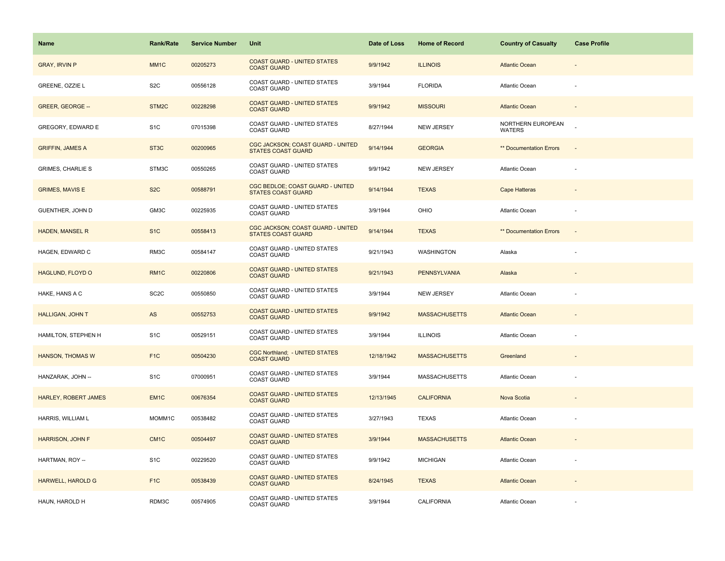| Name                        | <b>Rank/Rate</b>   | <b>Service Number</b> | Unit                                                           | Date of Loss | <b>Home of Record</b> | <b>Country of Casualty</b>         | <b>Case Profile</b>      |
|-----------------------------|--------------------|-----------------------|----------------------------------------------------------------|--------------|-----------------------|------------------------------------|--------------------------|
| <b>GRAY, IRVIN P</b>        | MM <sub>1</sub> C  | 00205273              | <b>COAST GUARD - UNITED STATES</b><br><b>COAST GUARD</b>       | 9/9/1942     | <b>ILLINOIS</b>       | <b>Atlantic Ocean</b>              |                          |
| GREENE, OZZIE L             | S <sub>2</sub> C   | 00556128              | COAST GUARD - UNITED STATES<br><b>COAST GUARD</b>              | 3/9/1944     | <b>FLORIDA</b>        | <b>Atlantic Ocean</b>              |                          |
| GREER, GEORGE --            | STM <sub>2</sub> C | 00228298              | <b>COAST GUARD - UNITED STATES</b><br><b>COAST GUARD</b>       | 9/9/1942     | <b>MISSOURI</b>       | <b>Atlantic Ocean</b>              | $\sim$                   |
| GREGORY, EDWARD E           | S <sub>1</sub> C   | 07015398              | <b>COAST GUARD - UNITED STATES</b><br><b>COAST GUARD</b>       | 8/27/1944    | <b>NEW JERSEY</b>     | NORTHERN EUROPEAN<br><b>WATERS</b> |                          |
| <b>GRIFFIN, JAMES A</b>     | ST <sub>3</sub> C  | 00200965              | CGC JACKSON; COAST GUARD - UNITED<br><b>STATES COAST GUARD</b> | 9/14/1944    | <b>GEORGIA</b>        | <b>** Documentation Errors</b>     |                          |
| <b>GRIMES, CHARLIE S</b>    | STM3C              | 00550265              | COAST GUARD - UNITED STATES<br><b>COAST GUARD</b>              | 9/9/1942     | <b>NEW JERSEY</b>     | Atlantic Ocean                     |                          |
| <b>GRIMES, MAVIS E</b>      | S <sub>2</sub> C   | 00588791              | CGC BEDLOE; COAST GUARD - UNITED<br><b>STATES COAST GUARD</b>  | 9/14/1944    | <b>TEXAS</b>          | Cape Hatteras                      |                          |
| GUENTHER, JOHN D            | GM3C               | 00225935              | COAST GUARD - UNITED STATES<br><b>COAST GUARD</b>              | 3/9/1944     | OHIO                  | Atlantic Ocean                     |                          |
| <b>HADEN, MANSEL R</b>      | S <sub>1</sub> C   | 00558413              | CGC JACKSON; COAST GUARD - UNITED<br><b>STATES COAST GUARD</b> | 9/14/1944    | <b>TEXAS</b>          | <b>** Documentation Errors</b>     | ÷,                       |
| HAGEN, EDWARD C             | RM3C               | 00584147              | COAST GUARD - UNITED STATES<br><b>COAST GUARD</b>              | 9/21/1943    | WASHINGTON            | Alaska                             |                          |
| HAGLUND, FLOYD O            | RM <sub>1C</sub>   | 00220806              | <b>COAST GUARD - UNITED STATES</b><br><b>COAST GUARD</b>       | 9/21/1943    | <b>PENNSYLVANIA</b>   | Alaska                             |                          |
| HAKE, HANS A C              | SC <sub>2</sub> C  | 00550850              | COAST GUARD - UNITED STATES<br><b>COAST GUARD</b>              | 3/9/1944     | <b>NEW JERSEY</b>     | Atlantic Ocean                     |                          |
| <b>HALLIGAN, JOHN T</b>     | AS                 | 00552753              | <b>COAST GUARD - UNITED STATES</b><br><b>COAST GUARD</b>       | 9/9/1942     | <b>MASSACHUSETTS</b>  | <b>Atlantic Ocean</b>              |                          |
| HAMILTON, STEPHEN H         | S <sub>1</sub> C   | 00529151              | COAST GUARD - UNITED STATES<br><b>COAST GUARD</b>              | 3/9/1944     | <b>ILLINOIS</b>       | Atlantic Ocean                     |                          |
| HANSON, THOMAS W            | F <sub>1</sub> C   | 00504230              | <b>CGC Northland; - UNITED STATES</b><br><b>COAST GUARD</b>    | 12/18/1942   | <b>MASSACHUSETTS</b>  | Greenland                          |                          |
| HANZARAK, JOHN --           | S <sub>1</sub> C   | 07000951              | COAST GUARD - UNITED STATES<br>COAST GUARD                     | 3/9/1944     | <b>MASSACHUSETTS</b>  | <b>Atlantic Ocean</b>              |                          |
| <b>HARLEY, ROBERT JAMES</b> | EM <sub>1C</sub>   | 00676354              | <b>COAST GUARD - UNITED STATES</b><br><b>COAST GUARD</b>       | 12/13/1945   | <b>CALIFORNIA</b>     | Nova Scotia                        | $\overline{\phantom{a}}$ |
| HARRIS, WILLIAM L           | MOMM1C             | 00538482              | COAST GUARD - UNITED STATES<br><b>COAST GUARD</b>              | 3/27/1943    | <b>TEXAS</b>          | Atlantic Ocean                     |                          |
| <b>HARRISON, JOHN F</b>     | CM <sub>1C</sub>   | 00504497              | <b>COAST GUARD - UNITED STATES</b><br><b>COAST GUARD</b>       | 3/9/1944     | <b>MASSACHUSETTS</b>  | <b>Atlantic Ocean</b>              |                          |
| HARTMAN, ROY --             | S <sub>1</sub> C   | 00229520              | COAST GUARD - UNITED STATES<br><b>COAST GUARD</b>              | 9/9/1942     | <b>MICHIGAN</b>       | <b>Atlantic Ocean</b>              |                          |
| HARWELL, HAROLD G           | F <sub>1</sub> C   | 00538439              | <b>COAST GUARD - UNITED STATES</b><br><b>COAST GUARD</b>       | 8/24/1945    | <b>TEXAS</b>          | <b>Atlantic Ocean</b>              |                          |
| HAUN, HAROLD H              | RDM3C              | 00574905              | COAST GUARD - UNITED STATES<br><b>COAST GUARD</b>              | 3/9/1944     | CALIFORNIA            | Atlantic Ocean                     |                          |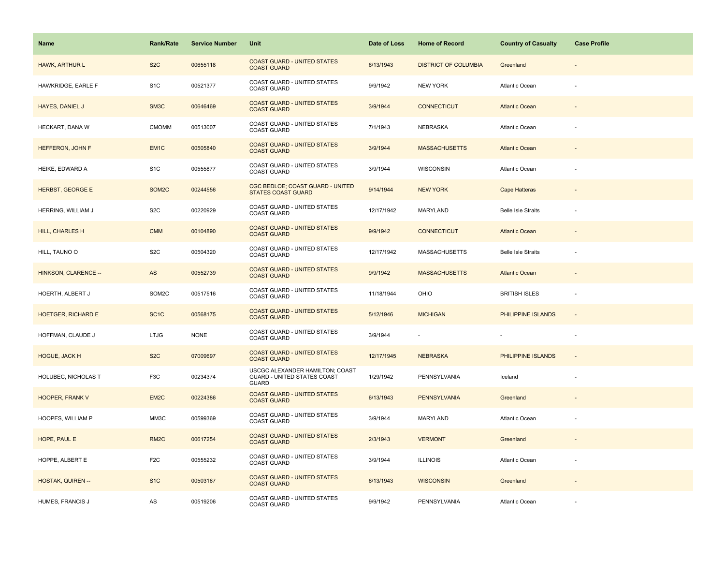| <b>Name</b>               | <b>Rank/Rate</b>  | <b>Service Number</b> | Unit                                                                                  | Date of Loss | <b>Home of Record</b>       | <b>Country of Casualty</b> | <b>Case Profile</b>      |
|---------------------------|-------------------|-----------------------|---------------------------------------------------------------------------------------|--------------|-----------------------------|----------------------------|--------------------------|
| <b>HAWK, ARTHUR L</b>     | S <sub>2</sub> C  | 00655118              | <b>COAST GUARD - UNITED STATES</b><br><b>COAST GUARD</b>                              | 6/13/1943    | <b>DISTRICT OF COLUMBIA</b> | Greenland                  |                          |
| HAWKRIDGE, EARLE F        | S <sub>1</sub> C  | 00521377              | COAST GUARD - UNITED STATES<br><b>COAST GUARD</b>                                     | 9/9/1942     | <b>NEW YORK</b>             | <b>Atlantic Ocean</b>      |                          |
| HAYES, DANIEL J           | SM <sub>3</sub> C | 00646469              | <b>COAST GUARD - UNITED STATES</b><br><b>COAST GUARD</b>                              | 3/9/1944     | <b>CONNECTICUT</b>          | <b>Atlantic Ocean</b>      | $\overline{\phantom{a}}$ |
| HECKART, DANA W           | <b>CMOMM</b>      | 00513007              | COAST GUARD - UNITED STATES<br><b>COAST GUARD</b>                                     | 7/1/1943     | <b>NEBRASKA</b>             | Atlantic Ocean             |                          |
| HEFFERON, JOHN F          | EM <sub>1C</sub>  | 00505840              | <b>COAST GUARD - UNITED STATES</b><br><b>COAST GUARD</b>                              | 3/9/1944     | <b>MASSACHUSETTS</b>        | <b>Atlantic Ocean</b>      |                          |
| HEIKE, EDWARD A           | S <sub>1</sub> C  | 00555877              | COAST GUARD - UNITED STATES<br><b>COAST GUARD</b>                                     | 3/9/1944     | WISCONSIN                   | Atlantic Ocean             |                          |
| <b>HERBST, GEORGE E</b>   | SOM2C             | 00244556              | CGC BEDLOE; COAST GUARD - UNITED<br><b>STATES COAST GUARD</b>                         | 9/14/1944    | <b>NEW YORK</b>             | Cape Hatteras              |                          |
| HERRING, WILLIAM J        | S <sub>2</sub> C  | 00220929              | COAST GUARD - UNITED STATES<br><b>COAST GUARD</b>                                     | 12/17/1942   | MARYLAND                    | <b>Belle Isle Straits</b>  |                          |
| <b>HILL, CHARLES H</b>    | <b>CMM</b>        | 00104890              | <b>COAST GUARD - UNITED STATES</b><br><b>COAST GUARD</b>                              | 9/9/1942     | <b>CONNECTICUT</b>          | <b>Atlantic Ocean</b>      |                          |
| HILL, TAUNO O             | S <sub>2</sub> C  | 00504320              | COAST GUARD - UNITED STATES<br><b>COAST GUARD</b>                                     | 12/17/1942   | <b>MASSACHUSETTS</b>        | <b>Belle Isle Straits</b>  |                          |
| HINKSON, CLARENCE --      | AS                | 00552739              | <b>COAST GUARD - UNITED STATES</b><br><b>COAST GUARD</b>                              | 9/9/1942     | <b>MASSACHUSETTS</b>        | <b>Atlantic Ocean</b>      |                          |
| HOERTH, ALBERT J          | SOM2C             | 00517516              | <b>COAST GUARD - UNITED STATES</b><br><b>COAST GUARD</b>                              | 11/18/1944   | OHIO                        | <b>BRITISH ISLES</b>       | ÷,                       |
| <b>HOETGER, RICHARD E</b> | SC <sub>1</sub> C | 00568175              | <b>COAST GUARD - UNITED STATES</b><br><b>COAST GUARD</b>                              | 5/12/1946    | <b>MICHIGAN</b>             | PHILIPPINE ISLANDS         | $\overline{\phantom{a}}$ |
| HOFFMAN, CLAUDE J         | <b>LTJG</b>       | <b>NONE</b>           | COAST GUARD - UNITED STATES<br><b>COAST GUARD</b>                                     | 3/9/1944     | $\overline{\phantom{a}}$    |                            | ÷.                       |
| <b>HOGUE, JACK H</b>      | S <sub>2</sub> C  | 07009697              | <b>COAST GUARD - UNITED STATES</b><br><b>COAST GUARD</b>                              | 12/17/1945   | <b>NEBRASKA</b>             | PHILIPPINE ISLANDS         | $\overline{a}$           |
| HOLUBEC, NICHOLAS T       | F <sub>3</sub> C  | 00234374              | USCGC ALEXANDER HAMILTON; COAST<br><b>GUARD - UNITED STATES COAST</b><br><b>GUARD</b> | 1/29/1942    | PENNSYLVANIA                | Iceland                    |                          |
| <b>HOOPER, FRANK V</b>    | EM2C              | 00224386              | <b>COAST GUARD - UNITED STATES</b><br><b>COAST GUARD</b>                              | 6/13/1943    | <b>PENNSYLVANIA</b>         | Greenland                  | $\overline{\phantom{a}}$ |
| HOOPES, WILLIAM P         | MM3C              | 00599369              | COAST GUARD - UNITED STATES<br><b>COAST GUARD</b>                                     | 3/9/1944     | MARYLAND                    | Atlantic Ocean             |                          |
| HOPE, PAUL E              | RM <sub>2</sub> C | 00617254              | <b>COAST GUARD - UNITED STATES</b><br><b>COAST GUARD</b>                              | 2/3/1943     | <b>VERMONT</b>              | Greenland                  |                          |
| HOPPE, ALBERT E           | F <sub>2</sub> C  | 00555232              | COAST GUARD - UNITED STATES<br>COAST GUARD                                            | 3/9/1944     | <b>ILLINOIS</b>             | Atlantic Ocean             |                          |
| <b>HOSTAK, QUIREN --</b>  | S <sub>1C</sub>   | 00503167              | <b>COAST GUARD - UNITED STATES</b><br><b>COAST GUARD</b>                              | 6/13/1943    | <b>WISCONSIN</b>            | Greenland                  |                          |
| HUMES, FRANCIS J          | ${\sf AS}$        | 00519206              | COAST GUARD - UNITED STATES<br><b>COAST GUARD</b>                                     | 9/9/1942     | PENNSYLVANIA                | Atlantic Ocean             |                          |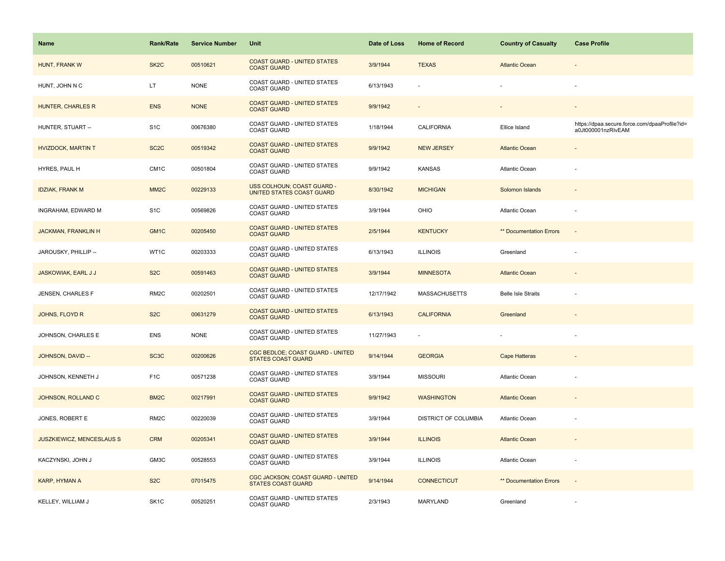| <b>Name</b>                      | <b>Rank/Rate</b>  | <b>Service Number</b> | Unit                                                           | Date of Loss | <b>Home of Record</b> | <b>Country of Casualty</b> | <b>Case Profile</b>                                                 |
|----------------------------------|-------------------|-----------------------|----------------------------------------------------------------|--------------|-----------------------|----------------------------|---------------------------------------------------------------------|
| HUNT, FRANK W                    | SK <sub>2</sub> C | 00510621              | <b>COAST GUARD - UNITED STATES</b><br><b>COAST GUARD</b>       | 3/9/1944     | <b>TEXAS</b>          | <b>Atlantic Ocean</b>      |                                                                     |
| HUNT, JOHN N C                   | LT.               | <b>NONE</b>           | COAST GUARD - UNITED STATES<br><b>COAST GUARD</b>              | 6/13/1943    |                       |                            |                                                                     |
| <b>HUNTER, CHARLES R</b>         | <b>ENS</b>        | <b>NONE</b>           | <b>COAST GUARD - UNITED STATES</b><br><b>COAST GUARD</b>       | 9/9/1942     | $\sim$                |                            |                                                                     |
| HUNTER, STUART --                | S <sub>1</sub> C  | 00676380              | COAST GUARD - UNITED STATES<br><b>COAST GUARD</b>              | 1/18/1944    | CALIFORNIA            | Ellice Island              | https://dpaa.secure.force.com/dpaaProfile?id=<br>a0Jt000001nzRIvEAM |
| <b>HVIZDOCK, MARTIN T</b>        | SC <sub>2</sub> C | 00519342              | <b>COAST GUARD - UNITED STATES</b><br><b>COAST GUARD</b>       | 9/9/1942     | <b>NEW JERSEY</b>     | <b>Atlantic Ocean</b>      |                                                                     |
| HYRES, PAUL H                    | CM <sub>1C</sub>  | 00501804              | COAST GUARD - UNITED STATES<br><b>COAST GUARD</b>              | 9/9/1942     | <b>KANSAS</b>         | Atlantic Ocean             |                                                                     |
| <b>IDZIAK, FRANK M</b>           | MM <sub>2</sub> C | 00229133              | USS COLHOUN; COAST GUARD -<br>UNITED STATES COAST GUARD        | 8/30/1942    | <b>MICHIGAN</b>       | Solomon Islands            |                                                                     |
| INGRAHAM, EDWARD M               | S <sub>1</sub> C  | 00569826              | COAST GUARD - UNITED STATES<br><b>COAST GUARD</b>              | 3/9/1944     | OHIO                  | <b>Atlantic Ocean</b>      |                                                                     |
| <b>JACKMAN, FRANKLIN H</b>       | GM <sub>1C</sub>  | 00205450              | <b>COAST GUARD - UNITED STATES</b><br><b>COAST GUARD</b>       | 2/5/1944     | <b>KENTUCKY</b>       | ** Documentation Errors    | $\overline{\phantom{a}}$                                            |
| JAROUSKY, PHILLIP --             | WT1C              | 00203333              | COAST GUARD - UNITED STATES<br><b>COAST GUARD</b>              | 6/13/1943    | <b>ILLINOIS</b>       | Greenland                  | ä,                                                                  |
| JASKOWIAK, EARL J J              | S <sub>2</sub> C  | 00591463              | <b>COAST GUARD - UNITED STATES</b><br><b>COAST GUARD</b>       | 3/9/1944     | <b>MINNESOTA</b>      | <b>Atlantic Ocean</b>      |                                                                     |
| JENSEN, CHARLES F                | RM <sub>2</sub> C | 00202501              | COAST GUARD - UNITED STATES<br><b>COAST GUARD</b>              | 12/17/1942   | <b>MASSACHUSETTS</b>  | <b>Belle Isle Straits</b>  |                                                                     |
| JOHNS, FLOYD R                   | S <sub>2</sub> C  | 00631279              | <b>COAST GUARD - UNITED STATES</b><br><b>COAST GUARD</b>       | 6/13/1943    | <b>CALIFORNIA</b>     | Greenland                  |                                                                     |
| JOHNSON, CHARLES E               | <b>ENS</b>        | <b>NONE</b>           | COAST GUARD - UNITED STATES<br><b>COAST GUARD</b>              | 11/27/1943   | ÷.                    |                            | ÷.                                                                  |
| JOHNSON, DAVID --                | SC <sub>3</sub> C | 00200626              | CGC BEDLOE; COAST GUARD - UNITED<br><b>STATES COAST GUARD</b>  | 9/14/1944    | <b>GEORGIA</b>        | <b>Cape Hatteras</b>       |                                                                     |
| JOHNSON, KENNETH J               | F <sub>1</sub> C  | 00571238              | COAST GUARD - UNITED STATES<br><b>COAST GUARD</b>              | 3/9/1944     | <b>MISSOURI</b>       | Atlantic Ocean             |                                                                     |
| JOHNSON, ROLLAND C               | BM <sub>2</sub> C | 00217991              | <b>COAST GUARD - UNITED STATES</b><br><b>COAST GUARD</b>       | 9/9/1942     | <b>WASHINGTON</b>     | <b>Atlantic Ocean</b>      |                                                                     |
| JONES, ROBERT E                  | RM <sub>2</sub> C | 00220039              | COAST GUARD - UNITED STATES<br><b>COAST GUARD</b>              | 3/9/1944     | DISTRICT OF COLUMBIA  | Atlantic Ocean             | ä,                                                                  |
| <b>JUSZKIEWICZ, MENCESLAUS S</b> | <b>CRM</b>        | 00205341              | <b>COAST GUARD - UNITED STATES</b><br><b>COAST GUARD</b>       | 3/9/1944     | <b>ILLINOIS</b>       | <b>Atlantic Ocean</b>      |                                                                     |
| KACZYNSKI, JOHN J                | GM3C              | 00528553              | COAST GUARD - UNITED STATES<br><b>COAST GUARD</b>              | 3/9/1944     | <b>ILLINOIS</b>       | Atlantic Ocean             |                                                                     |
| KARP, HYMAN A                    | S <sub>2</sub> C  | 07015475              | CGC JACKSON; COAST GUARD - UNITED<br><b>STATES COAST GUARD</b> | 9/14/1944    | <b>CONNECTICUT</b>    | ** Documentation Errors    | $\sim$                                                              |
| KELLEY, WILLIAM J                | SK <sub>1</sub> C | 00520251              | COAST GUARD - UNITED STATES<br><b>COAST GUARD</b>              | 2/3/1943     | MARYLAND              | Greenland                  |                                                                     |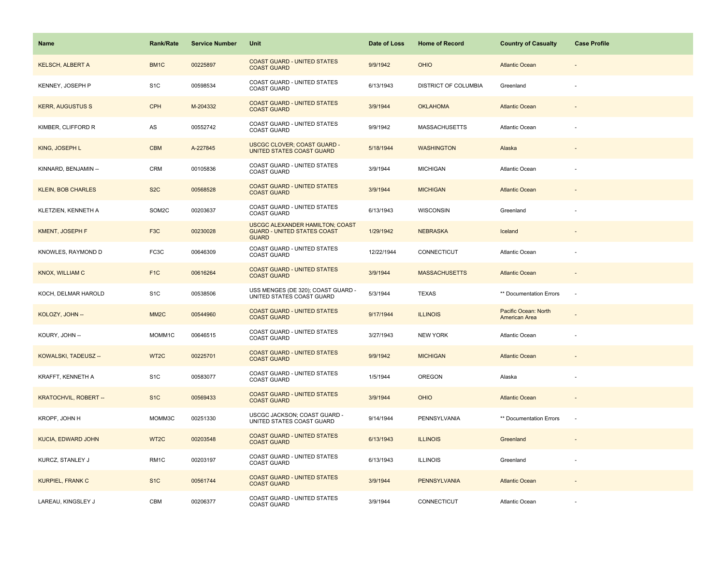| <b>Name</b>                  | <b>Rank/Rate</b>  | <b>Service Number</b> | Unit                                                                                  | Date of Loss | <b>Home of Record</b>       | <b>Country of Casualty</b>            | <b>Case Profile</b>      |
|------------------------------|-------------------|-----------------------|---------------------------------------------------------------------------------------|--------------|-----------------------------|---------------------------------------|--------------------------|
| <b>KELSCH, ALBERT A</b>      | BM <sub>1</sub> C | 00225897              | <b>COAST GUARD - UNITED STATES</b><br><b>COAST GUARD</b>                              | 9/9/1942     | <b>OHIO</b>                 | <b>Atlantic Ocean</b>                 |                          |
| KENNEY, JOSEPH P             | S <sub>1</sub> C  | 00598534              | COAST GUARD - UNITED STATES<br><b>COAST GUARD</b>                                     | 6/13/1943    | <b>DISTRICT OF COLUMBIA</b> | Greenland                             |                          |
| <b>KERR, AUGUSTUS S</b>      | <b>CPH</b>        | M-204332              | <b>COAST GUARD - UNITED STATES</b><br><b>COAST GUARD</b>                              | 3/9/1944     | <b>OKLAHOMA</b>             | <b>Atlantic Ocean</b>                 | $\overline{\phantom{a}}$ |
| KIMBER, CLIFFORD R           | ${\sf AS}$        | 00552742              | COAST GUARD - UNITED STATES<br><b>COAST GUARD</b>                                     | 9/9/1942     | <b>MASSACHUSETTS</b>        | Atlantic Ocean                        |                          |
| KING, JOSEPH L               | <b>CBM</b>        | A-227845              | <b>USCGC CLOVER; COAST GUARD -</b><br>UNITED STATES COAST GUARD                       | 5/18/1944    | <b>WASHINGTON</b>           | Alaska                                |                          |
| KINNARD, BENJAMIN --         | <b>CRM</b>        | 00105836              | COAST GUARD - UNITED STATES<br><b>COAST GUARD</b>                                     | 3/9/1944     | <b>MICHIGAN</b>             | Atlantic Ocean                        |                          |
| <b>KLEIN, BOB CHARLES</b>    | S <sub>2</sub> C  | 00568528              | <b>COAST GUARD - UNITED STATES</b><br><b>COAST GUARD</b>                              | 3/9/1944     | <b>MICHIGAN</b>             | <b>Atlantic Ocean</b>                 |                          |
| KLETZIEN, KENNETH A          | SOM2C             | 00203637              | COAST GUARD - UNITED STATES<br><b>COAST GUARD</b>                                     | 6/13/1943    | <b>WISCONSIN</b>            | Greenland                             |                          |
| <b>KMENT, JOSEPH F</b>       | F <sub>3</sub> C  | 00230028              | USCGC ALEXANDER HAMILTON; COAST<br><b>GUARD - UNITED STATES COAST</b><br><b>GUARD</b> | 1/29/1942    | <b>NEBRASKA</b>             | Iceland                               |                          |
| KNOWLES, RAYMOND D           | FC3C              | 00646309              | COAST GUARD - UNITED STATES<br><b>COAST GUARD</b>                                     | 12/22/1944   | CONNECTICUT                 | Atlantic Ocean                        |                          |
| KNOX, WILLIAM C              | F <sub>1</sub> C  | 00616264              | <b>COAST GUARD - UNITED STATES</b><br><b>COAST GUARD</b>                              | 3/9/1944     | <b>MASSACHUSETTS</b>        | <b>Atlantic Ocean</b>                 |                          |
| KOCH, DELMAR HAROLD          | S <sub>1</sub> C  | 00538506              | USS MENGES (DE 320); COAST GUARD -<br>UNITED STATES COAST GUARD                       | 5/3/1944     | <b>TEXAS</b>                | ** Documentation Errors               | ÷.                       |
| KOLOZY, JOHN --              | MM <sub>2</sub> C | 00544960              | <b>COAST GUARD - UNITED STATES</b><br><b>COAST GUARD</b>                              | 9/17/1944    | <b>ILLINOIS</b>             | Pacific Ocean: North<br>American Area |                          |
| KOURY, JOHN --               | MOMM1C            | 00646515              | COAST GUARD - UNITED STATES<br><b>COAST GUARD</b>                                     | 3/27/1943    | <b>NEW YORK</b>             | Atlantic Ocean                        | ÷                        |
| KOWALSKI, TADEUSZ --         | WT2C              | 00225701              | <b>COAST GUARD - UNITED STATES</b><br><b>COAST GUARD</b>                              | 9/9/1942     | <b>MICHIGAN</b>             | <b>Atlantic Ocean</b>                 |                          |
| KRAFFT, KENNETH A            | S <sub>1</sub> C  | 00583077              | COAST GUARD - UNITED STATES<br><b>COAST GUARD</b>                                     | 1/5/1944     | <b>OREGON</b>               | Alaska                                |                          |
| <b>KRATOCHVIL, ROBERT --</b> | S <sub>1</sub> C  | 00569433              | <b>COAST GUARD - UNITED STATES</b><br><b>COAST GUARD</b>                              | 3/9/1944     | <b>OHIO</b>                 | <b>Atlantic Ocean</b>                 | $\overline{\phantom{a}}$ |
| KROPF, JOHN H                | MOMM3C            | 00251330              | USCGC JACKSON; COAST GUARD -<br>UNITED STATES COAST GUARD                             | 9/14/1944    | PENNSYLVANIA                | ** Documentation Errors               | $\overline{\phantom{a}}$ |
| <b>KUCIA, EDWARD JOHN</b>    | WT <sub>2C</sub>  | 00203548              | <b>COAST GUARD - UNITED STATES</b><br><b>COAST GUARD</b>                              | 6/13/1943    | <b>ILLINOIS</b>             | Greenland                             |                          |
| KURCZ, STANLEY J             | RM <sub>1C</sub>  | 00203197              | COAST GUARD - UNITED STATES<br>COAST GUARD                                            | 6/13/1943    | <b>ILLINOIS</b>             | Greenland                             |                          |
| <b>KURPIEL, FRANK C</b>      | S <sub>1</sub> C  | 00561744              | <b>COAST GUARD - UNITED STATES</b><br><b>COAST GUARD</b>                              | 3/9/1944     | <b>PENNSYLVANIA</b>         | <b>Atlantic Ocean</b>                 |                          |
| LAREAU. KINGSLEY J           | <b>CBM</b>        | 00206377              | COAST GUARD - UNITED STATES<br><b>COAST GUARD</b>                                     | 3/9/1944     | CONNECTICUT                 | Atlantic Ocean                        |                          |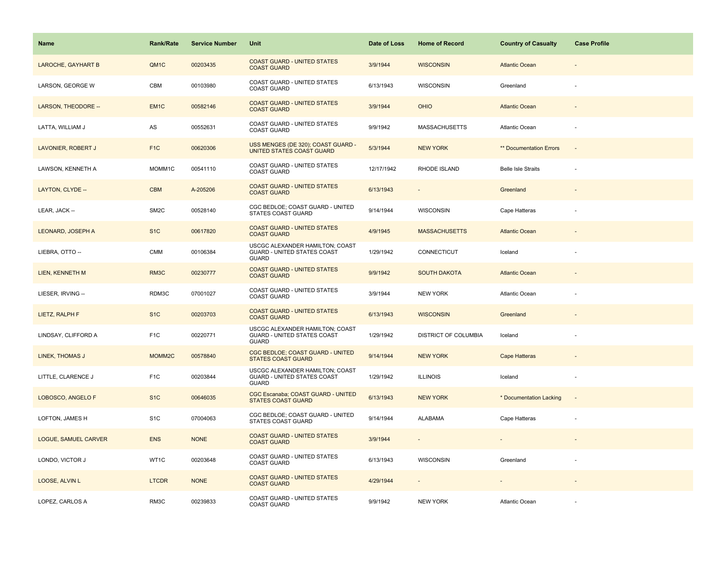| Name                      | <b>Rank/Rate</b>  | <b>Service Number</b> | Unit                                                                                  | Date of Loss | <b>Home of Record</b> | <b>Country of Casualty</b>     | <b>Case Profile</b>      |
|---------------------------|-------------------|-----------------------|---------------------------------------------------------------------------------------|--------------|-----------------------|--------------------------------|--------------------------|
| <b>LAROCHE, GAYHART B</b> | QM1C              | 00203435              | <b>COAST GUARD - UNITED STATES</b><br><b>COAST GUARD</b>                              | 3/9/1944     | <b>WISCONSIN</b>      | <b>Atlantic Ocean</b>          |                          |
| LARSON, GEORGE W          | CBM               | 00103980              | COAST GUARD - UNITED STATES<br><b>COAST GUARD</b>                                     | 6/13/1943    | <b>WISCONSIN</b>      | Greenland                      |                          |
| LARSON, THEODORE --       | EM <sub>1C</sub>  | 00582146              | <b>COAST GUARD - UNITED STATES</b><br><b>COAST GUARD</b>                              | 3/9/1944     | <b>OHIO</b>           | <b>Atlantic Ocean</b>          |                          |
| LATTA, WILLIAM J          | $\mathsf{AS}$     | 00552631              | COAST GUARD - UNITED STATES<br><b>COAST GUARD</b>                                     | 9/9/1942     | <b>MASSACHUSETTS</b>  | Atlantic Ocean                 |                          |
| LAVONIER, ROBERT J        | F <sub>1</sub> C  | 00620306              | USS MENGES (DE 320); COAST GUARD -<br>UNITED STATES COAST GUARD                       | 5/3/1944     | <b>NEW YORK</b>       | <b>** Documentation Errors</b> |                          |
| LAWSON, KENNETH A         | MOMM1C            | 00541110              | COAST GUARD - UNITED STATES<br>COAST GUARD                                            | 12/17/1942   | RHODE ISLAND          | <b>Belle Isle Straits</b>      |                          |
| LAYTON, CLYDE --          | <b>CBM</b>        | A-205206              | <b>COAST GUARD - UNITED STATES</b><br><b>COAST GUARD</b>                              | 6/13/1943    |                       | Greenland                      |                          |
| LEAR, JACK --             | SM <sub>2</sub> C | 00528140              | CGC BEDLOE; COAST GUARD - UNITED<br><b>STATES COAST GUARD</b>                         | 9/14/1944    | <b>WISCONSIN</b>      | Cape Hatteras                  |                          |
| <b>LEONARD, JOSEPH A</b>  | S <sub>1</sub> C  | 00617820              | <b>COAST GUARD - UNITED STATES</b><br><b>COAST GUARD</b>                              | 4/9/1945     | <b>MASSACHUSETTS</b>  | <b>Atlantic Ocean</b>          |                          |
| LIEBRA, OTTO --           | <b>CMM</b>        | 00106384              | USCGC ALEXANDER HAMILTON; COAST<br><b>GUARD - UNITED STATES COAST</b><br><b>GUARD</b> | 1/29/1942    | CONNECTICUT           | Iceland                        |                          |
| LIEN, KENNETH M           | RM3C              | 00230777              | <b>COAST GUARD - UNITED STATES</b><br><b>COAST GUARD</b>                              | 9/9/1942     | <b>SOUTH DAKOTA</b>   | <b>Atlantic Ocean</b>          |                          |
| LIESER, IRVING --         | RDM3C             | 07001027              | COAST GUARD - UNITED STATES<br><b>COAST GUARD</b>                                     | 3/9/1944     | <b>NEW YORK</b>       | <b>Atlantic Ocean</b>          |                          |
| LIETZ, RALPH F            | S <sub>1</sub> C  | 00203703              | <b>COAST GUARD - UNITED STATES</b><br><b>COAST GUARD</b>                              | 6/13/1943    | <b>WISCONSIN</b>      | Greenland                      |                          |
| LINDSAY, CLIFFORD A       | F <sub>1</sub> C  | 00220771              | USCGC ALEXANDER HAMILTON; COAST<br><b>GUARD - UNITED STATES COAST</b><br><b>GUARD</b> | 1/29/1942    | DISTRICT OF COLUMBIA  | Iceland                        |                          |
| LINEK, THOMAS J           | MOMM2C            | 00578840              | CGC BEDLOE; COAST GUARD - UNITED<br><b>STATES COAST GUARD</b>                         | 9/14/1944    | <b>NEW YORK</b>       | <b>Cape Hatteras</b>           |                          |
| LITTLE, CLARENCE J        | F <sub>1</sub> C  | 00203844              | USCGC ALEXANDER HAMILTON; COAST<br>GUARD - UNITED STATES COAST<br><b>GUARD</b>        | 1/29/1942    | <b>ILLINOIS</b>       | Iceland                        |                          |
| LOBOSCO, ANGELO F         | S <sub>1</sub> C  | 00646035              | CGC Escanaba; COAST GUARD - UNITED<br><b>STATES COAST GUARD</b>                       | 6/13/1943    | <b>NEW YORK</b>       | * Documentation Lacking        | $\overline{\phantom{a}}$ |
| LOFTON, JAMES H           | S <sub>1</sub> C  | 07004063              | CGC BEDLOE; COAST GUARD - UNITED<br><b>STATES COAST GUARD</b>                         | 9/14/1944    | <b>ALABAMA</b>        | Cape Hatteras                  |                          |
| LOGUE, SAMUEL CARVER      | <b>ENS</b>        | <b>NONE</b>           | <b>COAST GUARD - UNITED STATES</b><br><b>COAST GUARD</b>                              | 3/9/1944     |                       |                                |                          |
| LONDO, VICTOR J           | WT1C              | 00203648              | COAST GUARD - UNITED STATES<br><b>COAST GUARD</b>                                     | 6/13/1943    | <b>WISCONSIN</b>      | Greenland                      |                          |
| LOOSE, ALVIN L            | <b>LTCDR</b>      | <b>NONE</b>           | <b>COAST GUARD - UNITED STATES</b><br><b>COAST GUARD</b>                              | 4/29/1944    | $\blacksquare$        |                                |                          |
| LOPEZ, CARLOS A           | RM3C              | 00239833              | COAST GUARD - UNITED STATES<br><b>COAST GUARD</b>                                     | 9/9/1942     | <b>NEW YORK</b>       | <b>Atlantic Ocean</b>          |                          |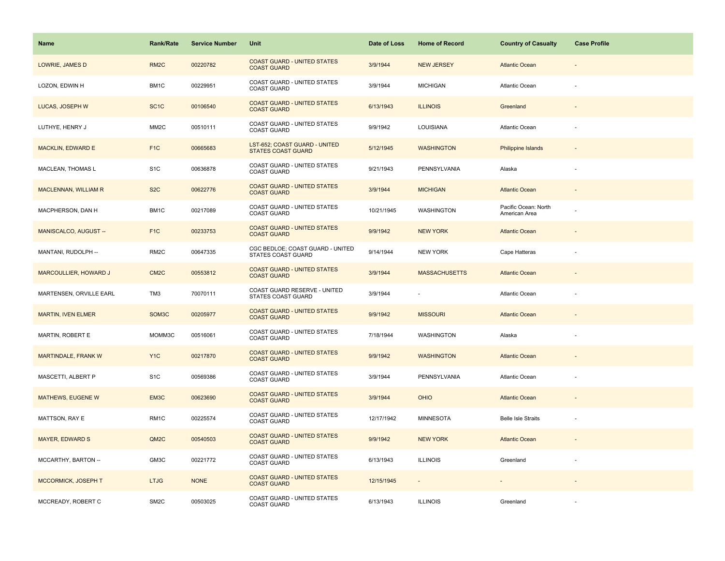| <b>Name</b>                  | <b>Rank/Rate</b>  | <b>Service Number</b> | Unit                                                          | Date of Loss | <b>Home of Record</b> | <b>Country of Casualty</b>            | <b>Case Profile</b>      |
|------------------------------|-------------------|-----------------------|---------------------------------------------------------------|--------------|-----------------------|---------------------------------------|--------------------------|
| LOWRIE, JAMES D              | RM <sub>2</sub> C | 00220782              | <b>COAST GUARD - UNITED STATES</b><br><b>COAST GUARD</b>      | 3/9/1944     | <b>NEW JERSEY</b>     | <b>Atlantic Ocean</b>                 |                          |
| LOZON, EDWIN H               | BM1C              | 00229951              | COAST GUARD - UNITED STATES<br><b>COAST GUARD</b>             | 3/9/1944     | <b>MICHIGAN</b>       | Atlantic Ocean                        |                          |
| LUCAS, JOSEPH W              | SC <sub>1</sub> C | 00106540              | <b>COAST GUARD - UNITED STATES</b><br><b>COAST GUARD</b>      | 6/13/1943    | <b>ILLINOIS</b>       | Greenland                             | $\overline{\phantom{a}}$ |
| LUTHYE. HENRY J              | MM <sub>2</sub> C | 00510111              | COAST GUARD - UNITED STATES<br><b>COAST GUARD</b>             | 9/9/1942     | LOUISIANA             | Atlantic Ocean                        |                          |
| <b>MACKLIN, EDWARD E</b>     | F <sub>1</sub> C  | 00665683              | LST-652; COAST GUARD - UNITED<br><b>STATES COAST GUARD</b>    | 5/12/1945    | <b>WASHINGTON</b>     | <b>Philippine Islands</b>             |                          |
| MACLEAN, THOMAS L            | S <sub>1</sub> C  | 00636878              | <b>COAST GUARD - UNITED STATES</b><br><b>COAST GUARD</b>      | 9/21/1943    | PENNSYLVANIA          | Alaska                                |                          |
| <b>MACLENNAN, WILLIAM R</b>  | S <sub>2</sub> C  | 00622776              | <b>COAST GUARD - UNITED STATES</b><br><b>COAST GUARD</b>      | 3/9/1944     | <b>MICHIGAN</b>       | <b>Atlantic Ocean</b>                 |                          |
| MACPHERSON, DAN H            | BM1C              | 00217089              | COAST GUARD - UNITED STATES<br><b>COAST GUARD</b>             | 10/21/1945   | WASHINGTON            | Pacific Ocean: North<br>American Area |                          |
| MANISCALCO, AUGUST --        | F <sub>1</sub> C  | 00233753              | <b>COAST GUARD - UNITED STATES</b><br><b>COAST GUARD</b>      | 9/9/1942     | <b>NEW YORK</b>       | <b>Atlantic Ocean</b>                 |                          |
| MANTANI, RUDOLPH --          | RM <sub>2</sub> C | 00647335              | CGC BEDLOE; COAST GUARD - UNITED<br><b>STATES COAST GUARD</b> | 9/14/1944    | <b>NEW YORK</b>       | Cape Hatteras                         |                          |
| <b>MARCOULLIER, HOWARD J</b> | CM <sub>2</sub> C | 00553812              | <b>COAST GUARD - UNITED STATES</b><br><b>COAST GUARD</b>      | 3/9/1944     | <b>MASSACHUSETTS</b>  | <b>Atlantic Ocean</b>                 |                          |
| MARTENSEN, ORVILLE EARL      | TM3               | 70070111              | COAST GUARD RESERVE - UNITED<br><b>STATES COAST GUARD</b>     | 3/9/1944     |                       | Atlantic Ocean                        |                          |
| <b>MARTIN, IVEN ELMER</b>    | SOM3C             | 00205977              | <b>COAST GUARD - UNITED STATES</b><br><b>COAST GUARD</b>      | 9/9/1942     | <b>MISSOURI</b>       | <b>Atlantic Ocean</b>                 |                          |
| MARTIN, ROBERT E             | MOMM3C            | 00516061              | COAST GUARD - UNITED STATES<br><b>COAST GUARD</b>             | 7/18/1944    | WASHINGTON            | Alaska                                | ÷,                       |
| MARTINDALE, FRANK W          | Y <sub>1C</sub>   | 00217870              | <b>COAST GUARD - UNITED STATES</b><br><b>COAST GUARD</b>      | 9/9/1942     | <b>WASHINGTON</b>     | <b>Atlantic Ocean</b>                 |                          |
| MASCETTI, ALBERT P           | S <sub>1</sub> C  | 00569386              | COAST GUARD - UNITED STATES<br><b>COAST GUARD</b>             | 3/9/1944     | PENNSYLVANIA          | Atlantic Ocean                        |                          |
| MATHEWS, EUGENE W            | EM3C              | 00623690              | <b>COAST GUARD - UNITED STATES</b><br><b>COAST GUARD</b>      | 3/9/1944     | <b>OHIO</b>           | <b>Atlantic Ocean</b>                 |                          |
| MATTSON, RAY E               | RM <sub>1</sub> C | 00225574              | COAST GUARD - UNITED STATES<br><b>COAST GUARD</b>             | 12/17/1942   | <b>MINNESOTA</b>      | <b>Belle Isle Straits</b>             |                          |
| <b>MAYER, EDWARD S</b>       | QM <sub>2</sub> C | 00540503              | <b>COAST GUARD - UNITED STATES</b><br><b>COAST GUARD</b>      | 9/9/1942     | <b>NEW YORK</b>       | <b>Atlantic Ocean</b>                 |                          |
| MCCARTHY, BARTON --          | GM3C              | 00221772              | COAST GUARD - UNITED STATES<br><b>COAST GUARD</b>             | 6/13/1943    | <b>ILLINOIS</b>       | Greenland                             |                          |
| MCCORMICK, JOSEPH T          | <b>LTJG</b>       | <b>NONE</b>           | <b>COAST GUARD - UNITED STATES</b><br><b>COAST GUARD</b>      | 12/15/1945   | $\sim$                |                                       |                          |
| MCCREADY, ROBERT C           | SM <sub>2</sub> C | 00503025              | COAST GUARD - UNITED STATES<br><b>COAST GUARD</b>             | 6/13/1943    | <b>ILLINOIS</b>       | Greenland                             |                          |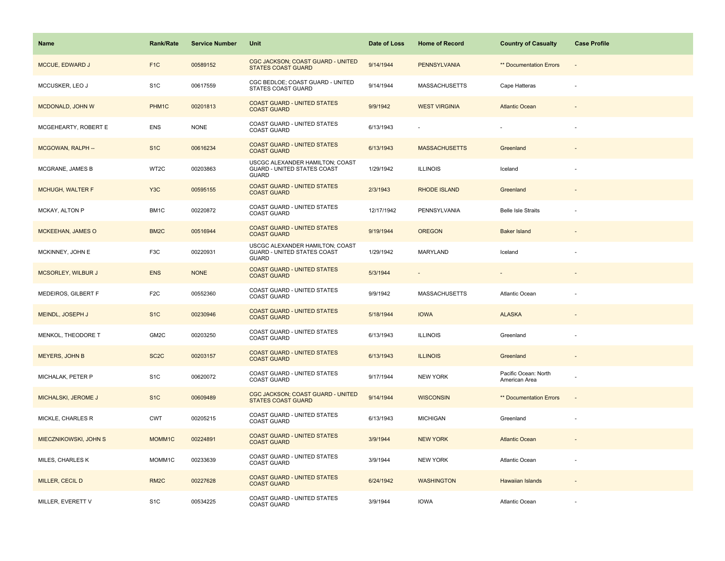| <b>Name</b>               | <b>Rank/Rate</b>  | <b>Service Number</b> | Unit                                                                           | Date of Loss | <b>Home of Record</b> | <b>Country of Casualty</b>            | <b>Case Profile</b> |
|---------------------------|-------------------|-----------------------|--------------------------------------------------------------------------------|--------------|-----------------------|---------------------------------------|---------------------|
| MCCUE, EDWARD J           | F <sub>1</sub> C  | 00589152              | CGC JACKSON; COAST GUARD - UNITED<br><b>STATES COAST GUARD</b>                 | 9/14/1944    | <b>PENNSYLVANIA</b>   | <b>** Documentation Errors</b>        | ÷,                  |
| MCCUSKER, LEO J           | S <sub>1</sub> C  | 00617559              | CGC BEDLOE; COAST GUARD - UNITED<br>STATES COAST GUARD                         | 9/14/1944    | <b>MASSACHUSETTS</b>  | Cape Hatteras                         |                     |
| MCDONALD, JOHN W          | PHM1C             | 00201813              | <b>COAST GUARD - UNITED STATES</b><br><b>COAST GUARD</b>                       | 9/9/1942     | <b>WEST VIRGINIA</b>  | <b>Atlantic Ocean</b>                 |                     |
| MCGEHEARTY, ROBERT E      | <b>ENS</b>        | <b>NONE</b>           | COAST GUARD - UNITED STATES<br><b>COAST GUARD</b>                              | 6/13/1943    |                       |                                       |                     |
| MCGOWAN, RALPH --         | S <sub>1</sub> C  | 00616234              | <b>COAST GUARD - UNITED STATES</b><br><b>COAST GUARD</b>                       | 6/13/1943    | <b>MASSACHUSETTS</b>  | Greenland                             |                     |
| MCGRANE, JAMES B          | WT2C              | 00203863              | USCGC ALEXANDER HAMILTON; COAST<br>GUARD - UNITED STATES COAST<br><b>GUARD</b> | 1/29/1942    | <b>ILLINOIS</b>       | Iceland                               |                     |
| <b>MCHUGH, WALTER F</b>   | Y <sub>3</sub> C  | 00595155              | <b>COAST GUARD - UNITED STATES</b><br><b>COAST GUARD</b>                       | 2/3/1943     | <b>RHODE ISLAND</b>   | Greenland                             |                     |
| MCKAY, ALTON P            | BM1C              | 00220872              | COAST GUARD - UNITED STATES<br><b>COAST GUARD</b>                              | 12/17/1942   | PENNSYLVANIA          | <b>Belle Isle Straits</b>             |                     |
| <b>MCKEEHAN, JAMES O</b>  | BM <sub>2</sub> C | 00516944              | <b>COAST GUARD - UNITED STATES</b><br><b>COAST GUARD</b>                       | 9/19/1944    | <b>OREGON</b>         | <b>Baker Island</b>                   |                     |
| MCKINNEY, JOHN E          | F3C               | 00220931              | USCGC ALEXANDER HAMILTON; COAST<br>GUARD - UNITED STATES COAST<br><b>GUARD</b> | 1/29/1942    | MARYLAND              | Iceland                               |                     |
| <b>MCSORLEY, WILBUR J</b> | <b>ENS</b>        | <b>NONE</b>           | <b>COAST GUARD - UNITED STATES</b><br><b>COAST GUARD</b>                       | 5/3/1944     |                       |                                       |                     |
| MEDEIROS, GILBERT F       | F <sub>2</sub> C  | 00552360              | COAST GUARD - UNITED STATES<br><b>COAST GUARD</b>                              | 9/9/1942     | <b>MASSACHUSETTS</b>  | <b>Atlantic Ocean</b>                 |                     |
| MEINDL, JOSEPH J          | S <sub>1</sub> C  | 00230946              | <b>COAST GUARD - UNITED STATES</b><br><b>COAST GUARD</b>                       | 5/18/1944    | <b>IOWA</b>           | <b>ALASKA</b>                         |                     |
| MENKOL, THEODORE T        | GM2C              | 00203250              | COAST GUARD - UNITED STATES<br><b>COAST GUARD</b>                              | 6/13/1943    | <b>ILLINOIS</b>       | Greenland                             | ÷,                  |
| MEYERS, JOHN B            | SC <sub>2</sub> C | 00203157              | <b>COAST GUARD - UNITED STATES</b><br><b>COAST GUARD</b>                       | 6/13/1943    | <b>ILLINOIS</b>       | Greenland                             |                     |
| MICHALAK, PETER P         | S <sub>1</sub> C  | 00620072              | COAST GUARD - UNITED STATES<br><b>COAST GUARD</b>                              | 9/17/1944    | <b>NEW YORK</b>       | Pacific Ocean: North<br>American Area |                     |
| MICHALSKI, JEROME J       | S <sub>1</sub> C  | 00609489              | CGC JACKSON; COAST GUARD - UNITED<br><b>STATES COAST GUARD</b>                 | 9/14/1944    | <b>WISCONSIN</b>      | <b>** Documentation Errors</b>        | $\sim$              |
| MICKLE, CHARLES R         | <b>CWT</b>        | 00205215              | COAST GUARD - UNITED STATES<br><b>COAST GUARD</b>                              | 6/13/1943    | <b>MICHIGAN</b>       | Greenland                             |                     |
| MIECZNIKOWSKI, JOHN S     | MOMM1C            | 00224891              | <b>COAST GUARD - UNITED STATES</b><br><b>COAST GUARD</b>                       | 3/9/1944     | <b>NEW YORK</b>       | <b>Atlantic Ocean</b>                 |                     |
| MILES, CHARLES K          | MOMM1C            | 00233639              | COAST GUARD - UNITED STATES<br><b>COAST GUARD</b>                              | 3/9/1944     | <b>NEW YORK</b>       | Atlantic Ocean                        |                     |
| MILLER, CECIL D           | RM <sub>2</sub> C | 00227628              | <b>COAST GUARD - UNITED STATES</b><br><b>COAST GUARD</b>                       | 6/24/1942    | <b>WASHINGTON</b>     | Hawaiian Islands                      |                     |
| MILLER, EVERETT V         | S <sub>1</sub> C  | 00534225              | COAST GUARD - UNITED STATES<br><b>COAST GUARD</b>                              | 3/9/1944     | <b>IOWA</b>           | Atlantic Ocean                        |                     |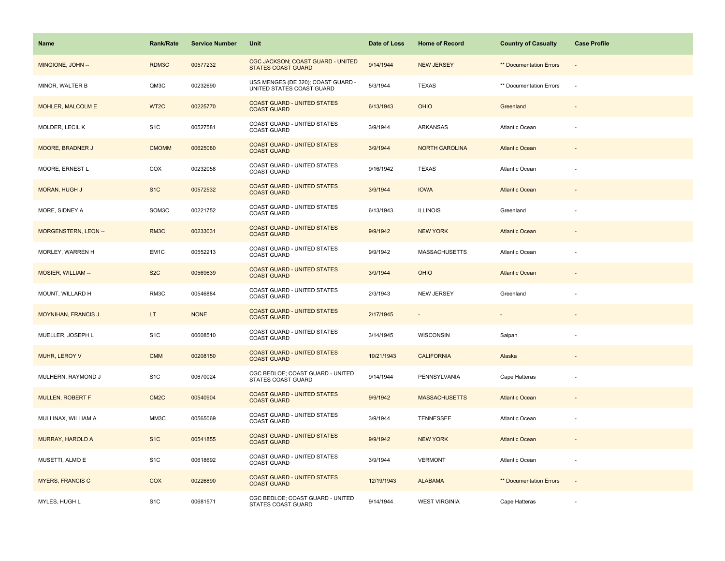| Name                        | <b>Rank/Rate</b>  | <b>Service Number</b> | Unit                                                            | Date of Loss | <b>Home of Record</b> | <b>Country of Casualty</b>     | <b>Case Profile</b>      |
|-----------------------------|-------------------|-----------------------|-----------------------------------------------------------------|--------------|-----------------------|--------------------------------|--------------------------|
| MINGIONE, JOHN --           | RDM3C             | 00577232              | CGC JACKSON; COAST GUARD - UNITED<br><b>STATES COAST GUARD</b>  | 9/14/1944    | <b>NEW JERSEY</b>     | <b>** Documentation Errors</b> | $\overline{\phantom{a}}$ |
| MINOR, WALTER B             | QM3C              | 00232690              | USS MENGES (DE 320); COAST GUARD -<br>UNITED STATES COAST GUARD | 5/3/1944     | <b>TEXAS</b>          | ** Documentation Errors        | $\sim$                   |
| <b>MOHLER, MALCOLM E</b>    | WT <sub>2C</sub>  | 00225770              | <b>COAST GUARD - UNITED STATES</b><br><b>COAST GUARD</b>        | 6/13/1943    | <b>OHIO</b>           | Greenland                      | $\overline{\phantom{a}}$ |
| MOLDER, LECIL K             | S <sub>1</sub> C  | 00527581              | COAST GUARD - UNITED STATES<br><b>COAST GUARD</b>               | 3/9/1944     | <b>ARKANSAS</b>       | Atlantic Ocean                 |                          |
| <b>MOORE, BRADNER J</b>     | <b>CMOMM</b>      | 00625080              | <b>COAST GUARD - UNITED STATES</b><br><b>COAST GUARD</b>        | 3/9/1944     | <b>NORTH CAROLINA</b> | <b>Atlantic Ocean</b>          |                          |
| MOORE, ERNEST L             | COX               | 00232058              | COAST GUARD - UNITED STATES<br><b>COAST GUARD</b>               | 9/16/1942    | <b>TEXAS</b>          | Atlantic Ocean                 |                          |
| MORAN, HUGH J               | S <sub>1</sub> C  | 00572532              | <b>COAST GUARD - UNITED STATES</b><br><b>COAST GUARD</b>        | 3/9/1944     | <b>IOWA</b>           | <b>Atlantic Ocean</b>          |                          |
| MORE, SIDNEY A              | SOM3C             | 00221752              | COAST GUARD - UNITED STATES<br><b>COAST GUARD</b>               | 6/13/1943    | <b>ILLINOIS</b>       | Greenland                      |                          |
| <b>MORGENSTERN, LEON --</b> | RM3C              | 00233031              | <b>COAST GUARD - UNITED STATES</b><br><b>COAST GUARD</b>        | 9/9/1942     | <b>NEW YORK</b>       | <b>Atlantic Ocean</b>          |                          |
| MORLEY, WARREN H            | EM <sub>1</sub> C | 00552213              | COAST GUARD - UNITED STATES<br><b>COAST GUARD</b>               | 9/9/1942     | <b>MASSACHUSETTS</b>  | Atlantic Ocean                 |                          |
| <b>MOSIER, WILLIAM --</b>   | S <sub>2</sub> C  | 00569639              | <b>COAST GUARD - UNITED STATES</b><br><b>COAST GUARD</b>        | 3/9/1944     | <b>OHIO</b>           | <b>Atlantic Ocean</b>          |                          |
| MOUNT, WILLARD H            | RM3C              | 00546884              | COAST GUARD - UNITED STATES<br><b>COAST GUARD</b>               | 2/3/1943     | <b>NEW JERSEY</b>     | Greenland                      |                          |
| <b>MOYNIHAN, FRANCIS J</b>  | LT.               | <b>NONE</b>           | <b>COAST GUARD - UNITED STATES</b><br><b>COAST GUARD</b>        | 2/17/1945    |                       | $\overline{\phantom{a}}$       |                          |
| MUELLER, JOSEPH L           | S <sub>1</sub> C  | 00608510              | COAST GUARD - UNITED STATES<br><b>COAST GUARD</b>               | 3/14/1945    | WISCONSIN             | Saipan                         | ÷,                       |
| MUHR, LEROY V               | <b>CMM</b>        | 00208150              | <b>COAST GUARD - UNITED STATES</b><br><b>COAST GUARD</b>        | 10/21/1943   | <b>CALIFORNIA</b>     | Alaska                         |                          |
| MULHERN, RAYMOND J          | S <sub>1</sub> C  | 00670024              | CGC BEDLOE; COAST GUARD - UNITED<br>STATES COAST GUARD          | 9/14/1944    | PENNSYLVANIA          | Cape Hatteras                  |                          |
| <b>MULLEN, ROBERT F</b>     | CM <sub>2</sub> C | 00540904              | <b>COAST GUARD - UNITED STATES</b><br><b>COAST GUARD</b>        | 9/9/1942     | <b>MASSACHUSETTS</b>  | <b>Atlantic Ocean</b>          | $\overline{\phantom{a}}$ |
| MULLINAX, WILLIAM A         | MM3C              | 00565069              | COAST GUARD - UNITED STATES<br><b>COAST GUARD</b>               | 3/9/1944     | <b>TENNESSEE</b>      | Atlantic Ocean                 | ÷,                       |
| <b>MURRAY, HAROLD A</b>     | S <sub>1</sub> C  | 00541855              | <b>COAST GUARD - UNITED STATES</b><br><b>COAST GUARD</b>        | 9/9/1942     | <b>NEW YORK</b>       | <b>Atlantic Ocean</b>          |                          |
| MUSETTI, ALMO E             | S <sub>1</sub> C  | 00618692              | COAST GUARD - UNITED STATES<br><b>COAST GUARD</b>               | 3/9/1944     | <b>VERMONT</b>        | Atlantic Ocean                 |                          |
| <b>MYERS, FRANCIS C</b>     | COX               | 00226890              | <b>COAST GUARD - UNITED STATES</b><br><b>COAST GUARD</b>        | 12/19/1943   | <b>ALABAMA</b>        | ** Documentation Errors        | $\sim$                   |
| MYLES, HUGH L               | S <sub>1</sub> C  | 00681571              | CGC BEDLOE; COAST GUARD - UNITED<br>STATES COAST GUARD          | 9/14/1944    | <b>WEST VIRGINIA</b>  | Cape Hatteras                  |                          |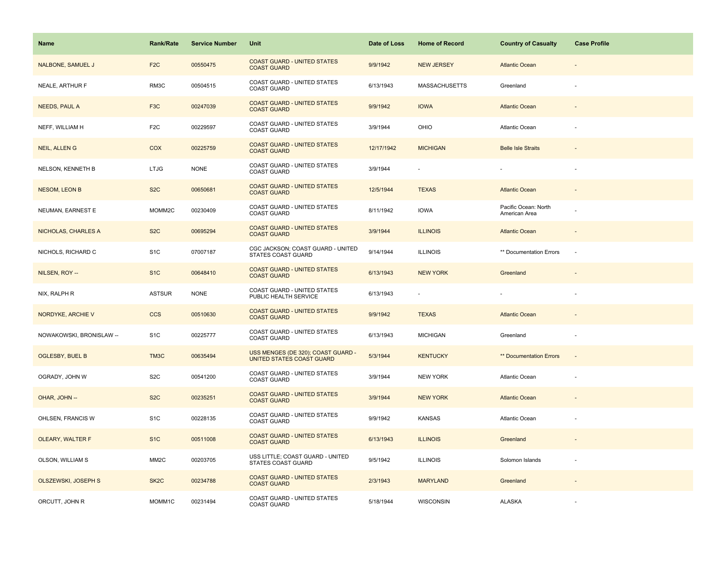| Name                     | <b>Rank/Rate</b>  | <b>Service Number</b> | Unit                                                            | Date of Loss | <b>Home of Record</b> | <b>Country of Casualty</b>            | <b>Case Profile</b>      |
|--------------------------|-------------------|-----------------------|-----------------------------------------------------------------|--------------|-----------------------|---------------------------------------|--------------------------|
| <b>NALBONE, SAMUEL J</b> | F <sub>2</sub> C  | 00550475              | <b>COAST GUARD - UNITED STATES</b><br><b>COAST GUARD</b>        | 9/9/1942     | <b>NEW JERSEY</b>     | <b>Atlantic Ocean</b>                 |                          |
| NEALE, ARTHUR F          | RM3C              | 00504515              | COAST GUARD - UNITED STATES<br><b>COAST GUARD</b>               | 6/13/1943    | <b>MASSACHUSETTS</b>  | Greenland                             |                          |
| <b>NEEDS, PAUL A</b>     | F <sub>3</sub> C  | 00247039              | <b>COAST GUARD - UNITED STATES</b><br><b>COAST GUARD</b>        | 9/9/1942     | <b>IOWA</b>           | <b>Atlantic Ocean</b>                 |                          |
| NEFF, WILLIAM H          | F <sub>2</sub> C  | 00229597              | COAST GUARD - UNITED STATES<br><b>COAST GUARD</b>               | 3/9/1944     | OHIO                  | Atlantic Ocean                        |                          |
| <b>NEIL, ALLENG</b>      | COX               | 00225759              | <b>COAST GUARD - UNITED STATES</b><br><b>COAST GUARD</b>        | 12/17/1942   | <b>MICHIGAN</b>       | <b>Belle Isle Straits</b>             |                          |
| NELSON, KENNETH B        | <b>LTJG</b>       | <b>NONE</b>           | COAST GUARD - UNITED STATES<br><b>COAST GUARD</b>               | 3/9/1944     |                       |                                       |                          |
| <b>NESOM, LEON B</b>     | S <sub>2</sub> C  | 00650681              | <b>COAST GUARD - UNITED STATES</b><br><b>COAST GUARD</b>        | 12/5/1944    | <b>TEXAS</b>          | <b>Atlantic Ocean</b>                 |                          |
| NEUMAN, EARNEST E        | MOMM2C            | 00230409              | COAST GUARD - UNITED STATES<br><b>COAST GUARD</b>               | 8/11/1942    | <b>IOWA</b>           | Pacific Ocean: North<br>American Area |                          |
| NICHOLAS, CHARLES A      | S <sub>2</sub> C  | 00695294              | <b>COAST GUARD - UNITED STATES</b><br><b>COAST GUARD</b>        | 3/9/1944     | <b>ILLINOIS</b>       | <b>Atlantic Ocean</b>                 |                          |
| NICHOLS, RICHARD C       | S <sub>1</sub> C  | 07007187              | CGC JACKSON; COAST GUARD - UNITED<br>STATES COAST GUARD         | 9/14/1944    | <b>ILLINOIS</b>       | ** Documentation Errors               | $\sim$                   |
| NILSEN, ROY --           | S <sub>1</sub> C  | 00648410              | <b>COAST GUARD - UNITED STATES</b><br><b>COAST GUARD</b>        | 6/13/1943    | <b>NEW YORK</b>       | Greenland                             |                          |
| NIX, RALPH R             | <b>ASTSUR</b>     | <b>NONE</b>           | COAST GUARD - UNITED STATES<br>PUBLIC HEALTH SERVICE            | 6/13/1943    |                       |                                       |                          |
| NORDYKE, ARCHIE V        | <b>CCS</b>        | 00510630              | <b>COAST GUARD - UNITED STATES</b><br><b>COAST GUARD</b>        | 9/9/1942     | <b>TEXAS</b>          | <b>Atlantic Ocean</b>                 |                          |
| NOWAKOWSKI, BRONISLAW -- | S <sub>1</sub> C  | 00225777              | COAST GUARD - UNITED STATES<br>COAST GUARD                      | 6/13/1943    | <b>MICHIGAN</b>       | Greenland                             | $\sim$                   |
| <b>OGLESBY, BUEL B</b>   | TM3C              | 00635494              | USS MENGES (DE 320); COAST GUARD -<br>UNITED STATES COAST GUARD | 5/3/1944     | <b>KENTUCKY</b>       | <b>** Documentation Errors</b>        | $\overline{\phantom{a}}$ |
| OGRADY, JOHN W           | S <sub>2</sub> C  | 00541200              | COAST GUARD - UNITED STATES<br><b>COAST GUARD</b>               | 3/9/1944     | <b>NEW YORK</b>       | Atlantic Ocean                        |                          |
| OHAR, JOHN --            | S <sub>2</sub> C  | 00235251              | <b>COAST GUARD - UNITED STATES</b><br><b>COAST GUARD</b>        | 3/9/1944     | <b>NEW YORK</b>       | <b>Atlantic Ocean</b>                 |                          |
| OHLSEN, FRANCIS W        | S <sub>1</sub> C  | 00228135              | COAST GUARD - UNITED STATES<br><b>COAST GUARD</b>               | 9/9/1942     | <b>KANSAS</b>         | Atlantic Ocean                        |                          |
| OLEARY, WALTER F         | S <sub>1</sub> C  | 00511008              | <b>COAST GUARD - UNITED STATES</b><br><b>COAST GUARD</b>        | 6/13/1943    | <b>ILLINOIS</b>       | Greenland                             |                          |
| OLSON, WILLIAM S         | MM <sub>2</sub> C | 00203705              | USS LITTLE; COAST GUARD - UNITED<br>STATES COAST GUARD          | 9/5/1942     | <b>ILLINOIS</b>       | Solomon Islands                       |                          |
| OLSZEWSKI, JOSEPH S      | SK <sub>2</sub> C | 00234788              | <b>COAST GUARD - UNITED STATES</b><br><b>COAST GUARD</b>        | 2/3/1943     | <b>MARYLAND</b>       | Greenland                             |                          |
| ORCUTT, JOHN R           | MOMM1C            | 00231494              | COAST GUARD - UNITED STATES<br><b>COAST GUARD</b>               | 5/18/1944    | WISCONSIN             | <b>ALASKA</b>                         |                          |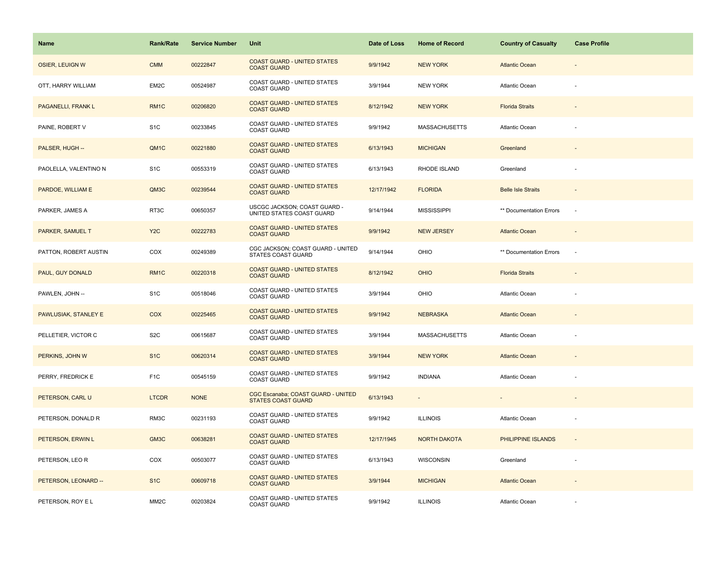| Name                      | <b>Rank/Rate</b>  | <b>Service Number</b> | Unit                                                            | Date of Loss | <b>Home of Record</b>    | <b>Country of Casualty</b> | <b>Case Profile</b>      |
|---------------------------|-------------------|-----------------------|-----------------------------------------------------------------|--------------|--------------------------|----------------------------|--------------------------|
| <b>OSIER, LEUIGN W</b>    | <b>CMM</b>        | 00222847              | <b>COAST GUARD - UNITED STATES</b><br><b>COAST GUARD</b>        | 9/9/1942     | <b>NEW YORK</b>          | <b>Atlantic Ocean</b>      |                          |
| OTT, HARRY WILLIAM        | EM2C              | 00524987              | COAST GUARD - UNITED STATES<br><b>COAST GUARD</b>               | 3/9/1944     | <b>NEW YORK</b>          | Atlantic Ocean             |                          |
| <b>PAGANELLI, FRANK L</b> | RM1C              | 00206820              | <b>COAST GUARD - UNITED STATES</b><br><b>COAST GUARD</b>        | 8/12/1942    | <b>NEW YORK</b>          | <b>Florida Straits</b>     | $\overline{\phantom{a}}$ |
| PAINE, ROBERT V           | S <sub>1</sub> C  | 00233845              | COAST GUARD - UNITED STATES<br><b>COAST GUARD</b>               | 9/9/1942     | <b>MASSACHUSETTS</b>     | Atlantic Ocean             |                          |
| PALSER, HUGH --           | QM1C              | 00221880              | <b>COAST GUARD - UNITED STATES</b><br><b>COAST GUARD</b>        | 6/13/1943    | <b>MICHIGAN</b>          | Greenland                  |                          |
| PAOLELLA, VALENTINO N     | S <sub>1</sub> C  | 00553319              | COAST GUARD - UNITED STATES<br><b>COAST GUARD</b>               | 6/13/1943    | RHODE ISLAND             | Greenland                  |                          |
| PARDOE, WILLIAM E         | QM3C              | 00239544              | <b>COAST GUARD - UNITED STATES</b><br><b>COAST GUARD</b>        | 12/17/1942   | <b>FLORIDA</b>           | <b>Belle Isle Straits</b>  |                          |
| PARKER, JAMES A           | RT3C              | 00650357              | USCGC JACKSON; COAST GUARD -<br>UNITED STATES COAST GUARD       | 9/14/1944    | <b>MISSISSIPPI</b>       | ** Documentation Errors    | $\sim$                   |
| PARKER, SAMUEL T          | Y <sub>2</sub> C  | 00222783              | <b>COAST GUARD - UNITED STATES</b><br><b>COAST GUARD</b>        | 9/9/1942     | <b>NEW JERSEY</b>        | <b>Atlantic Ocean</b>      |                          |
| PATTON, ROBERT AUSTIN     | COX               | 00249389              | CGC JACKSON; COAST GUARD - UNITED<br><b>STATES COAST GUARD</b>  | 9/14/1944    | OHIO                     | ** Documentation Errors    | $\sim$                   |
| PAUL, GUY DONALD          | RM <sub>1</sub> C | 00220318              | <b>COAST GUARD - UNITED STATES</b><br><b>COAST GUARD</b>        | 8/12/1942    | <b>OHIO</b>              | <b>Florida Straits</b>     |                          |
| PAWLEN, JOHN --           | S <sub>1</sub> C  | 00518046              | COAST GUARD - UNITED STATES<br><b>COAST GUARD</b>               | 3/9/1944     | OHIO                     | Atlantic Ocean             |                          |
| PAWLUSIAK, STANLEY E      | COX               | 00225465              | <b>COAST GUARD - UNITED STATES</b><br><b>COAST GUARD</b>        | 9/9/1942     | <b>NEBRASKA</b>          | <b>Atlantic Ocean</b>      |                          |
| PELLETIER, VICTOR C       | S <sub>2</sub> C  | 00615687              | COAST GUARD - UNITED STATES<br><b>COAST GUARD</b>               | 3/9/1944     | <b>MASSACHUSETTS</b>     | Atlantic Ocean             | ä,                       |
| PERKINS, JOHN W           | S <sub>1</sub> C  | 00620314              | <b>COAST GUARD - UNITED STATES</b><br><b>COAST GUARD</b>        | 3/9/1944     | <b>NEW YORK</b>          | <b>Atlantic Ocean</b>      |                          |
| PERRY, FREDRICK E         | F <sub>1</sub> C  | 00545159              | COAST GUARD - UNITED STATES<br><b>COAST GUARD</b>               | 9/9/1942     | <b>INDIANA</b>           | Atlantic Ocean             |                          |
| PETERSON, CARL U          | <b>LTCDR</b>      | <b>NONE</b>           | CGC Escanaba; COAST GUARD - UNITED<br><b>STATES COAST GUARD</b> | 6/13/1943    | $\overline{\phantom{a}}$ |                            | $\overline{\phantom{a}}$ |
| PETERSON, DONALD R        | RM3C              | 00231193              | COAST GUARD - UNITED STATES<br><b>COAST GUARD</b>               | 9/9/1942     | <b>ILLINOIS</b>          | Atlantic Ocean             |                          |
| PETERSON, ERWIN L         | GM3C              | 00638281              | <b>COAST GUARD - UNITED STATES</b><br><b>COAST GUARD</b>        | 12/17/1945   | <b>NORTH DAKOTA</b>      | PHILIPPINE ISLANDS         |                          |
| PETERSON, LEO R           | COX               | 00503077              | COAST GUARD - UNITED STATES<br><b>COAST GUARD</b>               | 6/13/1943    | <b>WISCONSIN</b>         | Greenland                  |                          |
| PETERSON, LEONARD --      | S <sub>1</sub> C  | 00609718              | <b>COAST GUARD - UNITED STATES</b><br><b>COAST GUARD</b>        | 3/9/1944     | <b>MICHIGAN</b>          | <b>Atlantic Ocean</b>      |                          |
| PETERSON, ROY E L         | MM <sub>2</sub> C | 00203824              | COAST GUARD - UNITED STATES<br><b>COAST GUARD</b>               | 9/9/1942     | <b>ILLINOIS</b>          | <b>Atlantic Ocean</b>      |                          |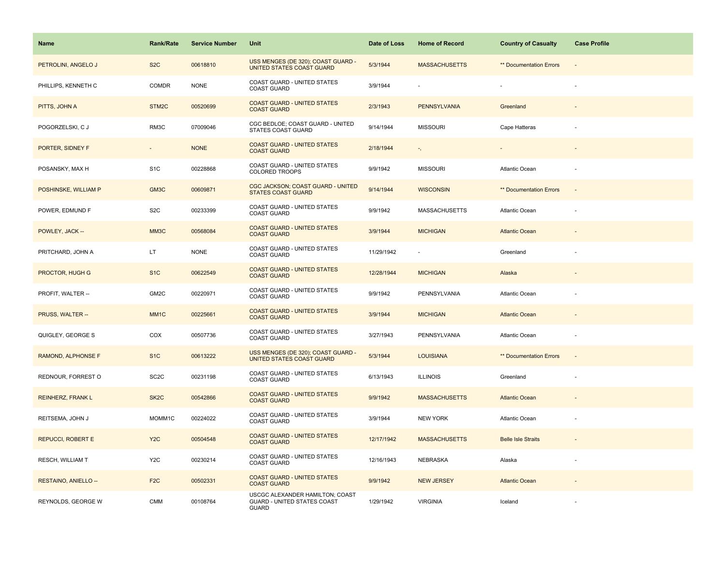| Name                        | <b>Rank/Rate</b>         | <b>Service Number</b> | Unit                                                                           | Date of Loss | <b>Home of Record</b> | <b>Country of Casualty</b> | <b>Case Profile</b>      |
|-----------------------------|--------------------------|-----------------------|--------------------------------------------------------------------------------|--------------|-----------------------|----------------------------|--------------------------|
| PETROLINI, ANGELO J         | S <sub>2</sub> C         | 00618810              | USS MENGES (DE 320); COAST GUARD -<br>UNITED STATES COAST GUARD                | 5/3/1944     | <b>MASSACHUSETTS</b>  | ** Documentation Errors    |                          |
| PHILLIPS, KENNETH C         | COMDR                    | <b>NONE</b>           | COAST GUARD - UNITED STATES<br><b>COAST GUARD</b>                              | 3/9/1944     |                       |                            |                          |
| PITTS, JOHN A               | STM <sub>2</sub> C       | 00520699              | <b>COAST GUARD - UNITED STATES</b><br><b>COAST GUARD</b>                       | 2/3/1943     | <b>PENNSYLVANIA</b>   | Greenland                  | $\overline{\phantom{a}}$ |
| POGORZELSKI, C J            | RM3C                     | 07009046              | CGC BEDLOE; COAST GUARD - UNITED<br><b>STATES COAST GUARD</b>                  | 9/14/1944    | <b>MISSOURI</b>       | Cape Hatteras              |                          |
| PORTER, SIDNEY F            | $\overline{\phantom{a}}$ | <b>NONE</b>           | <b>COAST GUARD - UNITED STATES</b><br><b>COAST GUARD</b>                       | 2/18/1944    | ۰,                    |                            |                          |
| POSANSKY, MAX H             | S <sub>1</sub> C         | 00228868              | <b>COAST GUARD - UNITED STATES</b><br><b>COLORED TROOPS</b>                    | 9/9/1942     | <b>MISSOURI</b>       | Atlantic Ocean             |                          |
| POSHINSKE, WILLIAM P        | GM3C                     | 00609871              | CGC JACKSON; COAST GUARD - UNITED<br><b>STATES COAST GUARD</b>                 | 9/14/1944    | <b>WISCONSIN</b>      | ** Documentation Errors    | $\overline{\phantom{a}}$ |
| POWER, EDMUND F             | S <sub>2</sub> C         | 00233399              | COAST GUARD - UNITED STATES<br><b>COAST GUARD</b>                              | 9/9/1942     | <b>MASSACHUSETTS</b>  | <b>Atlantic Ocean</b>      |                          |
| POWLEY, JACK --             | MM3C                     | 00568084              | <b>COAST GUARD - UNITED STATES</b><br><b>COAST GUARD</b>                       | 3/9/1944     | <b>MICHIGAN</b>       | <b>Atlantic Ocean</b>      |                          |
| PRITCHARD, JOHN A           | LT.                      | <b>NONE</b>           | COAST GUARD - UNITED STATES<br><b>COAST GUARD</b>                              | 11/29/1942   |                       | Greenland                  |                          |
| PROCTOR, HUGH G             | S <sub>1</sub> C         | 00622549              | <b>COAST GUARD - UNITED STATES</b><br><b>COAST GUARD</b>                       | 12/28/1944   | <b>MICHIGAN</b>       | Alaska                     |                          |
| PROFIT, WALTER --           | GM2C                     | 00220971              | COAST GUARD - UNITED STATES<br><b>COAST GUARD</b>                              | 9/9/1942     | PENNSYLVANIA          | Atlantic Ocean             |                          |
| PRUSS, WALTER --            | MM <sub>1C</sub>         | 00225661              | <b>COAST GUARD - UNITED STATES</b><br><b>COAST GUARD</b>                       | 3/9/1944     | <b>MICHIGAN</b>       | <b>Atlantic Ocean</b>      |                          |
| QUIGLEY, GEORGE S           | COX                      | 00507736              | COAST GUARD - UNITED STATES<br>COAST GUARD                                     | 3/27/1943    | PENNSYLVANIA          | Atlantic Ocean             | $\overline{\phantom{m}}$ |
| RAMOND, ALPHONSE F          | S <sub>1C</sub>          | 00613222              | USS MENGES (DE 320); COAST GUARD -<br>UNITED STATES COAST GUARD                | 5/3/1944     | <b>LOUISIANA</b>      | ** Documentation Errors    | $\overline{\phantom{a}}$ |
| REDNOUR, FORREST O          | SC <sub>2</sub> C        | 00231198              | COAST GUARD - UNITED STATES<br><b>COAST GUARD</b>                              | 6/13/1943    | <b>ILLINOIS</b>       | Greenland                  |                          |
| <b>REINHERZ, FRANK L</b>    | SK <sub>2</sub> C        | 00542866              | <b>COAST GUARD - UNITED STATES</b><br><b>COAST GUARD</b>                       | 9/9/1942     | <b>MASSACHUSETTS</b>  | <b>Atlantic Ocean</b>      |                          |
| REITSEMA, JOHN J            | MOMM1C                   | 00224022              | COAST GUARD - UNITED STATES<br><b>COAST GUARD</b>                              | 3/9/1944     | <b>NEW YORK</b>       | Atlantic Ocean             |                          |
| <b>REPUCCI, ROBERT E</b>    | Y <sub>2</sub> C         | 00504548              | <b>COAST GUARD - UNITED STATES</b><br><b>COAST GUARD</b>                       | 12/17/1942   | <b>MASSACHUSETTS</b>  | <b>Belle Isle Straits</b>  |                          |
| <b>RESCH, WILLIAM T</b>     | Y <sub>2</sub> C         | 00230214              | COAST GUARD - UNITED STATES<br><b>COAST GUARD</b>                              | 12/16/1943   | NEBRASKA              | Alaska                     |                          |
| <b>RESTAINO, ANIELLO --</b> | F <sub>2</sub> C         | 00502331              | <b>COAST GUARD - UNITED STATES</b><br><b>COAST GUARD</b>                       | 9/9/1942     | <b>NEW JERSEY</b>     | <b>Atlantic Ocean</b>      |                          |
| REYNOLDS, GEORGE W          | <b>CMM</b>               | 00108764              | USCGC ALEXANDER HAMILTON; COAST<br>GUARD - UNITED STATES COAST<br><b>GUARD</b> | 1/29/1942    | <b>VIRGINIA</b>       | Iceland                    |                          |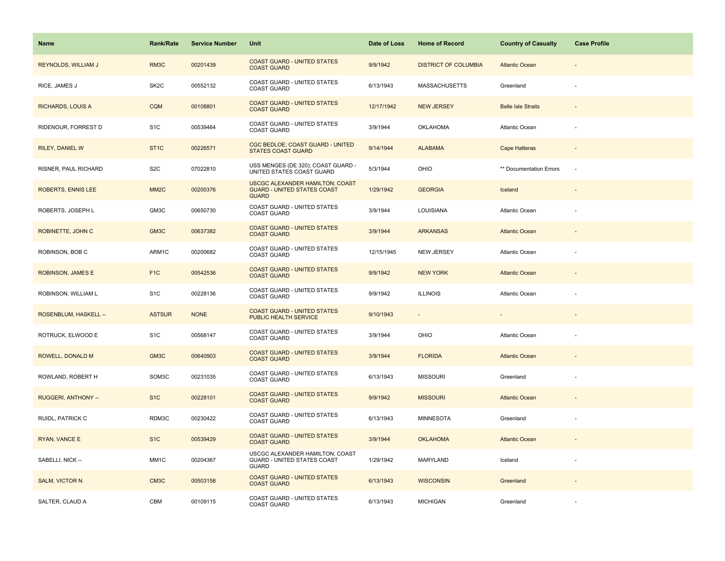| <b>Name</b>                | <b>Rank/Rate</b>  | <b>Service Number</b> | Unit                                                                                  | Date of Loss | <b>Home of Record</b>       | <b>Country of Casualty</b> | <b>Case Profile</b> |
|----------------------------|-------------------|-----------------------|---------------------------------------------------------------------------------------|--------------|-----------------------------|----------------------------|---------------------|
| <b>REYNOLDS, WILLIAM J</b> | RM3C              | 00201439              | <b>COAST GUARD - UNITED STATES</b><br><b>COAST GUARD</b>                              | 9/9/1942     | <b>DISTRICT OF COLUMBIA</b> | <b>Atlantic Ocean</b>      |                     |
| RICE, JAMES J              | SK <sub>2</sub> C | 00552132              | COAST GUARD - UNITED STATES<br><b>COAST GUARD</b>                                     | 6/13/1943    | <b>MASSACHUSETTS</b>        | Greenland                  |                     |
| <b>RICHARDS, LOUIS A</b>   | <b>CQM</b>        | 00108801              | <b>COAST GUARD - UNITED STATES</b><br><b>COAST GUARD</b>                              | 12/17/1942   | <b>NEW JERSEY</b>           | <b>Belle Isle Straits</b>  | $\blacksquare$      |
| RIDENOUR, FORREST D        | S <sub>1</sub> C  | 00539464              | <b>COAST GUARD - UNITED STATES</b><br><b>COAST GUARD</b>                              | 3/9/1944     | <b>OKLAHOMA</b>             | Atlantic Ocean             |                     |
| <b>RILEY, DANIEL W</b>     | ST <sub>1</sub> C | 00226571              | CGC BEDLOE; COAST GUARD - UNITED<br><b>STATES COAST GUARD</b>                         | 9/14/1944    | <b>ALABAMA</b>              | Cape Hatteras              |                     |
| RISNER, PAUL RICHARD       | S <sub>2</sub> C  | 07022810              | USS MENGES (DE 320); COAST GUARD -<br>UNITED STATES COAST GUARD                       | 5/3/1944     | <b>OHIO</b>                 | ** Documentation Errors    | $\sim$              |
| <b>ROBERTS, ENNIS LEE</b>  | MM <sub>2</sub> C | 00200376              | USCGC ALEXANDER HAMILTON; COAST<br><b>GUARD - UNITED STATES COAST</b><br><b>GUARD</b> | 1/29/1942    | <b>GEORGIA</b>              | Iceland                    |                     |
| ROBERTS, JOSEPH L          | GM3C              | 00650730              | COAST GUARD - UNITED STATES<br><b>COAST GUARD</b>                                     | 3/9/1944     | LOUISIANA                   | Atlantic Ocean             |                     |
| ROBINETTE, JOHN C          | GM3C              | 00637382              | <b>COAST GUARD - UNITED STATES</b><br><b>COAST GUARD</b>                              | 3/9/1944     | <b>ARKANSAS</b>             | <b>Atlantic Ocean</b>      |                     |
| ROBINSON, BOB C            | ARM1C             | 00200682              | COAST GUARD - UNITED STATES<br><b>COAST GUARD</b>                                     | 12/15/1945   | <b>NEW JERSEY</b>           | Atlantic Ocean             |                     |
| <b>ROBINSON, JAMES E</b>   | F <sub>1</sub> C  | 00542536              | <b>COAST GUARD - UNITED STATES</b><br><b>COAST GUARD</b>                              | 9/9/1942     | <b>NEW YORK</b>             | <b>Atlantic Ocean</b>      |                     |
| ROBINSON, WILLIAM L        | S <sub>1</sub> C  | 00228136              | COAST GUARD - UNITED STATES<br><b>COAST GUARD</b>                                     | 9/9/1942     | <b>ILLINOIS</b>             | <b>Atlantic Ocean</b>      |                     |
| ROSENBLUM, HASKELL --      | <b>ASTSUR</b>     | <b>NONE</b>           | <b>COAST GUARD - UNITED STATES</b><br>PUBLIC HEALTH SERVICE                           | 9/10/1943    | ÷                           |                            |                     |
| ROTRUCK, ELWOOD E          | S <sub>1</sub> C  | 00568147              | COAST GUARD - UNITED STATES<br><b>COAST GUARD</b>                                     | 3/9/1944     | OHIO                        | Atlantic Ocean             |                     |
| ROWELL, DONALD M           | GM3C              | 00640903              | <b>COAST GUARD - UNITED STATES</b><br><b>COAST GUARD</b>                              | 3/9/1944     | <b>FLORIDA</b>              | <b>Atlantic Ocean</b>      |                     |
| ROWLAND, ROBERT H          | SOM3C             | 00231035              | COAST GUARD - UNITED STATES<br><b>COAST GUARD</b>                                     | 6/13/1943    | <b>MISSOURI</b>             | Greenland                  |                     |
| RUGGERI, ANTHONY --        | S <sub>1</sub> C  | 00228101              | <b>COAST GUARD - UNITED STATES</b><br><b>COAST GUARD</b>                              | 9/9/1942     | <b>MISSOURI</b>             | <b>Atlantic Ocean</b>      |                     |
| RUIDL, PATRICK C           | RDM3C             | 00230422              | COAST GUARD - UNITED STATES<br><b>COAST GUARD</b>                                     | 6/13/1943    | <b>MINNESOTA</b>            | Greenland                  |                     |
| RYAN, VANCE E              | S <sub>1</sub> C  | 00539429              | <b>COAST GUARD - UNITED STATES</b><br><b>COAST GUARD</b>                              | 3/9/1944     | <b>OKLAHOMA</b>             | <b>Atlantic Ocean</b>      |                     |
| SABELLI, NICK --           | MM1C              | 00204367              | USCGC ALEXANDER HAMILTON; COAST<br>GUARD - UNITED STATES COAST<br><b>GUARD</b>        | 1/29/1942    | MARYLAND                    | Iceland                    |                     |
| <b>SALM, VICTOR N</b>      | CM3C              | 00503158              | <b>COAST GUARD - UNITED STATES</b><br><b>COAST GUARD</b>                              | 6/13/1943    | <b>WISCONSIN</b>            | Greenland                  |                     |
| SALTER, CLAUD A            | CBM               | 00109115              | COAST GUARD - UNITED STATES<br><b>COAST GUARD</b>                                     | 6/13/1943    | <b>MICHIGAN</b>             | Greenland                  |                     |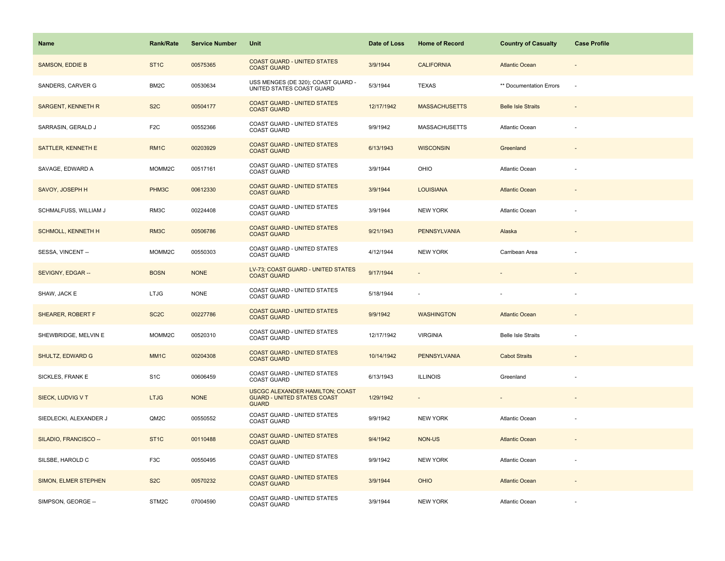| Name                      | <b>Rank/Rate</b>  | <b>Service Number</b> | Unit                                                                                         | Date of Loss | <b>Home of Record</b>    | <b>Country of Casualty</b> | <b>Case Profile</b>          |
|---------------------------|-------------------|-----------------------|----------------------------------------------------------------------------------------------|--------------|--------------------------|----------------------------|------------------------------|
| <b>SAMSON, EDDIE B</b>    | ST <sub>1</sub> C | 00575365              | <b>COAST GUARD - UNITED STATES</b><br><b>COAST GUARD</b>                                     | 3/9/1944     | <b>CALIFORNIA</b>        | <b>Atlantic Ocean</b>      |                              |
| SANDERS, CARVER G         | BM <sub>2</sub> C | 00530634              | USS MENGES (DE 320); COAST GUARD -<br>UNITED STATES COAST GUARD                              | 5/3/1944     | <b>TEXAS</b>             | ** Documentation Errors    | ä,                           |
| <b>SARGENT, KENNETH R</b> | S <sub>2</sub> C  | 00504177              | <b>COAST GUARD - UNITED STATES</b><br><b>COAST GUARD</b>                                     | 12/17/1942   | <b>MASSACHUSETTS</b>     | <b>Belle Isle Straits</b>  | $\blacksquare$               |
| SARRASIN, GERALD J        | F <sub>2</sub> C  | 00552366              | <b>COAST GUARD - UNITED STATES</b><br><b>COAST GUARD</b>                                     | 9/9/1942     | <b>MASSACHUSETTS</b>     | Atlantic Ocean             |                              |
| SATTLER, KENNETH E        | RM <sub>1C</sub>  | 00203929              | <b>COAST GUARD - UNITED STATES</b><br><b>COAST GUARD</b>                                     | 6/13/1943    | <b>WISCONSIN</b>         | Greenland                  |                              |
| SAVAGE, EDWARD A          | MOMM2C            | 00517161              | <b>COAST GUARD - UNITED STATES</b><br><b>COAST GUARD</b>                                     | 3/9/1944     | OHIO                     | Atlantic Ocean             |                              |
| SAVOY, JOSEPH H           | PHM3C             | 00612330              | <b>COAST GUARD - UNITED STATES</b><br><b>COAST GUARD</b>                                     | 3/9/1944     | <b>LOUISIANA</b>         | <b>Atlantic Ocean</b>      |                              |
| SCHMALFUSS, WILLIAM J     | RM3C              | 00224408              | COAST GUARD - UNITED STATES<br><b>COAST GUARD</b>                                            | 3/9/1944     | NEW YORK                 | Atlantic Ocean             |                              |
| <b>SCHMOLL, KENNETH H</b> | RM3C              | 00506786              | <b>COAST GUARD - UNITED STATES</b><br><b>COAST GUARD</b>                                     | 9/21/1943    | <b>PENNSYLVANIA</b>      | Alaska                     |                              |
| SESSA, VINCENT --         | MOMM2C            | 00550303              | COAST GUARD - UNITED STATES<br><b>COAST GUARD</b>                                            | 4/12/1944    | <b>NEW YORK</b>          | Carribean Area             |                              |
| SEVIGNY, EDGAR --         | <b>BOSN</b>       | <b>NONE</b>           | LV-73; COAST GUARD - UNITED STATES<br><b>COAST GUARD</b>                                     | 9/17/1944    |                          |                            |                              |
| SHAW, JACK E              | <b>LTJG</b>       | <b>NONE</b>           | COAST GUARD - UNITED STATES<br><b>COAST GUARD</b>                                            | 5/18/1944    | $\overline{\phantom{a}}$ |                            |                              |
| SHEARER, ROBERT F         | SC <sub>2</sub> C | 00227786              | <b>COAST GUARD - UNITED STATES</b><br><b>COAST GUARD</b>                                     | 9/9/1942     | <b>WASHINGTON</b>        | <b>Atlantic Ocean</b>      |                              |
| SHEWBRIDGE, MELVIN E      | MOMM2C            | 00520310              | COAST GUARD - UNITED STATES<br><b>COAST GUARD</b>                                            | 12/17/1942   | <b>VIRGINIA</b>          | <b>Belle Isle Straits</b>  | ä,                           |
| SHULTZ, EDWARD G          | MM <sub>1C</sub>  | 00204308              | <b>COAST GUARD - UNITED STATES</b><br><b>COAST GUARD</b>                                     | 10/14/1942   | <b>PENNSYLVANIA</b>      | <b>Cabot Straits</b>       |                              |
| SICKLES, FRANK E          | S <sub>1</sub> C  | 00606459              | COAST GUARD - UNITED STATES<br>COAST GUARD                                                   | 6/13/1943    | <b>ILLINOIS</b>          | Greenland                  |                              |
| SIECK, LUDVIG V T         | <b>LTJG</b>       | <b>NONE</b>           | <b>USCGC ALEXANDER HAMILTON; COAST</b><br><b>GUARD - UNITED STATES COAST</b><br><b>GUARD</b> | 1/29/1942    | $\overline{\phantom{a}}$ |                            | $\qquad \qquad \blacksquare$ |
| SIEDLECKI, ALEXANDER J    | QM2C              | 00550552              | COAST GUARD - UNITED STATES<br><b>COAST GUARD</b>                                            | 9/9/1942     | <b>NEW YORK</b>          | <b>Atlantic Ocean</b>      |                              |
| SILADIO, FRANCISCO --     | ST <sub>1C</sub>  | 00110488              | <b>COAST GUARD - UNITED STATES</b><br><b>COAST GUARD</b>                                     | 9/4/1942     | NON-US                   | <b>Atlantic Ocean</b>      |                              |
| SILSBE, HAROLD C          | F <sub>3</sub> C  | 00550495              | COAST GUARD - UNITED STATES<br>COAST GUARD                                                   | 9/9/1942     | <b>NEW YORK</b>          | <b>Atlantic Ocean</b>      |                              |
| SIMON, ELMER STEPHEN      | S <sub>2</sub> C  | 00570232              | <b>COAST GUARD - UNITED STATES</b><br><b>COAST GUARD</b>                                     | 3/9/1944     | <b>OHIO</b>              | <b>Atlantic Ocean</b>      |                              |
| SIMPSON, GEORGE --        | STM2C             | 07004590              | COAST GUARD - UNITED STATES<br><b>COAST GUARD</b>                                            | 3/9/1944     | <b>NEW YORK</b>          | Atlantic Ocean             |                              |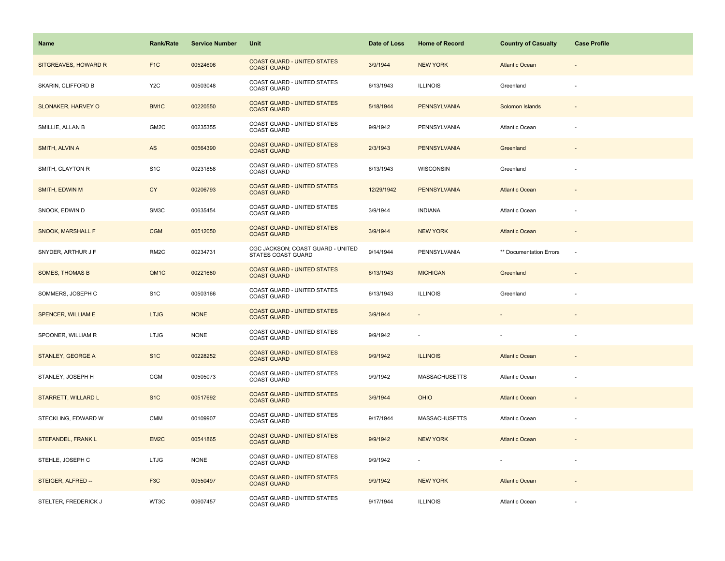| Name                       | <b>Rank/Rate</b>  | <b>Service Number</b> | Unit                                                     | Date of Loss | <b>Home of Record</b>    | <b>Country of Casualty</b> | <b>Case Profile</b>      |
|----------------------------|-------------------|-----------------------|----------------------------------------------------------|--------------|--------------------------|----------------------------|--------------------------|
| SITGREAVES, HOWARD R       | F <sub>1</sub> C  | 00524606              | <b>COAST GUARD - UNITED STATES</b><br><b>COAST GUARD</b> | 3/9/1944     | <b>NEW YORK</b>          | <b>Atlantic Ocean</b>      |                          |
| SKARIN, CLIFFORD B         | Y <sub>2</sub> C  | 00503048              | COAST GUARD - UNITED STATES<br><b>COAST GUARD</b>        | 6/13/1943    | <b>ILLINOIS</b>          | Greenland                  |                          |
| <b>SLONAKER, HARVEY O</b>  | BM1C              | 00220550              | <b>COAST GUARD - UNITED STATES</b><br><b>COAST GUARD</b> | 5/18/1944    | <b>PENNSYLVANIA</b>      | Solomon Islands            | $\overline{\phantom{a}}$ |
| SMILLIE, ALLAN B           | GM2C              | 00235355              | COAST GUARD - UNITED STATES<br><b>COAST GUARD</b>        | 9/9/1942     | PENNSYLVANIA             | Atlantic Ocean             | ä,                       |
| SMITH, ALVIN A             | AS                | 00564390              | <b>COAST GUARD - UNITED STATES</b><br><b>COAST GUARD</b> | 2/3/1943     | <b>PENNSYLVANIA</b>      | Greenland                  |                          |
| SMITH, CLAYTON R           | S <sub>1</sub> C  | 00231858              | COAST GUARD - UNITED STATES<br><b>COAST GUARD</b>        | 6/13/1943    | WISCONSIN                | Greenland                  |                          |
| SMITH, EDWIN M             | <b>CY</b>         | 00206793              | <b>COAST GUARD - UNITED STATES</b><br><b>COAST GUARD</b> | 12/29/1942   | <b>PENNSYLVANIA</b>      | <b>Atlantic Ocean</b>      |                          |
| SNOOK, EDWIN D             | SM3C              | 00635454              | COAST GUARD - UNITED STATES<br><b>COAST GUARD</b>        | 3/9/1944     | <b>INDIANA</b>           | Atlantic Ocean             |                          |
| <b>SNOOK, MARSHALL F</b>   | <b>CGM</b>        | 00512050              | <b>COAST GUARD - UNITED STATES</b><br><b>COAST GUARD</b> | 3/9/1944     | <b>NEW YORK</b>          | <b>Atlantic Ocean</b>      |                          |
| SNYDER, ARTHUR J F         | RM <sub>2</sub> C | 00234731              | CGC JACKSON; COAST GUARD - UNITED<br>STATES COAST GUARD  | 9/14/1944    | PENNSYLVANIA             | ** Documentation Errors    | $\sim$                   |
| <b>SOMES, THOMAS B</b>     | QM1C              | 00221680              | <b>COAST GUARD - UNITED STATES</b><br><b>COAST GUARD</b> | 6/13/1943    | <b>MICHIGAN</b>          | Greenland                  |                          |
| SOMMERS, JOSEPH C          | S <sub>1</sub> C  | 00503166              | COAST GUARD - UNITED STATES<br><b>COAST GUARD</b>        | 6/13/1943    | <b>ILLINOIS</b>          | Greenland                  |                          |
| <b>SPENCER, WILLIAM E</b>  | <b>LTJG</b>       | <b>NONE</b>           | <b>COAST GUARD - UNITED STATES</b><br><b>COAST GUARD</b> | 3/9/1944     |                          |                            |                          |
| SPOONER, WILLIAM R         | <b>LTJG</b>       | <b>NONE</b>           | COAST GUARD - UNITED STATES<br>COAST GUARD               | 9/9/1942     | $\overline{\phantom{a}}$ |                            | ÷,                       |
| STANLEY, GEORGE A          | S <sub>1</sub> C  | 00228252              | <b>COAST GUARD - UNITED STATES</b><br><b>COAST GUARD</b> | 9/9/1942     | <b>ILLINOIS</b>          | <b>Atlantic Ocean</b>      |                          |
| STANLEY, JOSEPH H          | <b>CGM</b>        | 00505073              | COAST GUARD - UNITED STATES<br><b>COAST GUARD</b>        | 9/9/1942     | <b>MASSACHUSETTS</b>     | Atlantic Ocean             |                          |
| <b>STARRETT, WILLARD L</b> | S <sub>1</sub> C  | 00517692              | <b>COAST GUARD - UNITED STATES</b><br><b>COAST GUARD</b> | 3/9/1944     | <b>OHIO</b>              | <b>Atlantic Ocean</b>      |                          |
| STECKLING, EDWARD W        | <b>CMM</b>        | 00109907              | COAST GUARD - UNITED STATES<br><b>COAST GUARD</b>        | 9/17/1944    | <b>MASSACHUSETTS</b>     | Atlantic Ocean             |                          |
| STEFANDEL, FRANK L         | EM <sub>2</sub> C | 00541865              | <b>COAST GUARD - UNITED STATES</b><br><b>COAST GUARD</b> | 9/9/1942     | <b>NEW YORK</b>          | <b>Atlantic Ocean</b>      |                          |
| STEHLE, JOSEPH C           | <b>LTJG</b>       | <b>NONE</b>           | COAST GUARD - UNITED STATES<br><b>COAST GUARD</b>        | 9/9/1942     |                          |                            |                          |
| STEIGER, ALFRED --         | F <sub>3</sub> C  | 00550497              | <b>COAST GUARD - UNITED STATES</b><br><b>COAST GUARD</b> | 9/9/1942     | <b>NEW YORK</b>          | <b>Atlantic Ocean</b>      |                          |
| STELTER, FREDERICK J       | WT3C              | 00607457              | COAST GUARD - UNITED STATES<br><b>COAST GUARD</b>        | 9/17/1944    | <b>ILLINOIS</b>          | Atlantic Ocean             |                          |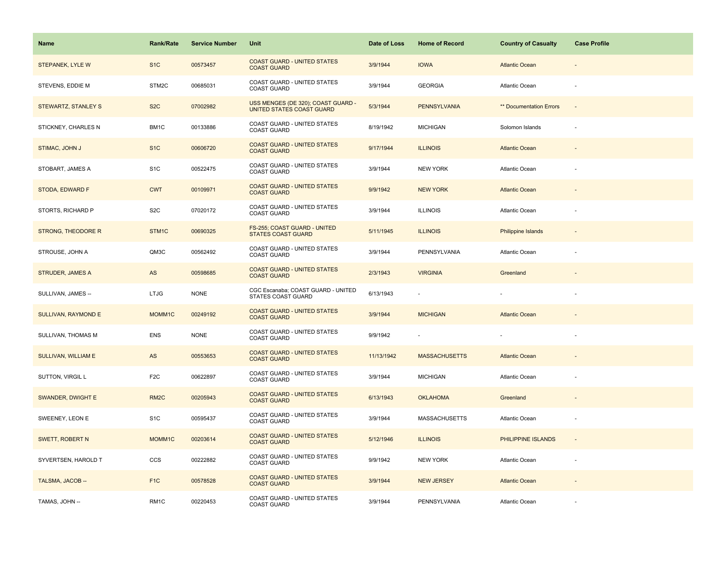| Name                       | <b>Rank/Rate</b>    | <b>Service Number</b> | Unit                                                            | Date of Loss | <b>Home of Record</b> | <b>Country of Casualty</b> | <b>Case Profile</b>      |
|----------------------------|---------------------|-----------------------|-----------------------------------------------------------------|--------------|-----------------------|----------------------------|--------------------------|
| <b>STEPANEK, LYLE W</b>    | S <sub>1</sub> C    | 00573457              | <b>COAST GUARD - UNITED STATES</b><br><b>COAST GUARD</b>        | 3/9/1944     | <b>IOWA</b>           | <b>Atlantic Ocean</b>      |                          |
| STEVENS, EDDIE M           | STM <sub>2</sub> C  | 00685031              | COAST GUARD - UNITED STATES<br><b>COAST GUARD</b>               | 3/9/1944     | <b>GEORGIA</b>        | Atlantic Ocean             |                          |
| STEWARTZ, STANLEY S        | S <sub>2</sub> C    | 07002982              | USS MENGES (DE 320); COAST GUARD -<br>UNITED STATES COAST GUARD | 5/3/1944     | <b>PENNSYLVANIA</b>   | ** Documentation Errors    | $\overline{\phantom{a}}$ |
| STICKNEY, CHARLES N        | BM1C                | 00133886              | <b>COAST GUARD - UNITED STATES</b><br><b>COAST GUARD</b>        | 8/19/1942    | <b>MICHIGAN</b>       | Solomon Islands            | ä,                       |
| STIMAC, JOHN J             | S <sub>1</sub> C    | 00606720              | <b>COAST GUARD - UNITED STATES</b><br><b>COAST GUARD</b>        | 9/17/1944    | <b>ILLINOIS</b>       | <b>Atlantic Ocean</b>      |                          |
| STOBART, JAMES A           | S <sub>1</sub> C    | 00522475              | <b>COAST GUARD - UNITED STATES</b><br><b>COAST GUARD</b>        | 3/9/1944     | <b>NEW YORK</b>       | Atlantic Ocean             |                          |
| STODA, EDWARD F            | <b>CWT</b>          | 00109971              | <b>COAST GUARD - UNITED STATES</b><br><b>COAST GUARD</b>        | 9/9/1942     | <b>NEW YORK</b>       | <b>Atlantic Ocean</b>      |                          |
| STORTS, RICHARD P          | S <sub>2</sub> C    | 07020172              | COAST GUARD - UNITED STATES<br><b>COAST GUARD</b>               | 3/9/1944     | <b>ILLINOIS</b>       | Atlantic Ocean             |                          |
| <b>STRONG, THEODORE R</b>  | STM1C               | 00690325              | FS-255; COAST GUARD - UNITED<br><b>STATES COAST GUARD</b>       | 5/11/1945    | <b>ILLINOIS</b>       | Philippine Islands         |                          |
| STROUSE, JOHN A            | QM3C                | 00562492              | COAST GUARD - UNITED STATES<br><b>COAST GUARD</b>               | 3/9/1944     | PENNSYLVANIA          | Atlantic Ocean             |                          |
| <b>STRUDER, JAMES A</b>    | AS                  | 00598685              | <b>COAST GUARD - UNITED STATES</b><br><b>COAST GUARD</b>        | 2/3/1943     | <b>VIRGINIA</b>       | Greenland                  |                          |
| SULLIVAN, JAMES --         | <b>LTJG</b>         | <b>NONE</b>           | CGC Escanaba; COAST GUARD - UNITED<br><b>STATES COAST GUARD</b> | 6/13/1943    |                       |                            |                          |
| <b>SULLIVAN, RAYMOND E</b> | MOMM1C              | 00249192              | <b>COAST GUARD - UNITED STATES</b><br><b>COAST GUARD</b>        | 3/9/1944     | <b>MICHIGAN</b>       | <b>Atlantic Ocean</b>      |                          |
| SULLIVAN, THOMAS M         | <b>ENS</b>          | <b>NONE</b>           | COAST GUARD - UNITED STATES<br><b>COAST GUARD</b>               | 9/9/1942     | ٠                     |                            | ä,                       |
| SULLIVAN, WILLIAM E        | AS                  | 00553653              | <b>COAST GUARD - UNITED STATES</b><br><b>COAST GUARD</b>        | 11/13/1942   | <b>MASSACHUSETTS</b>  | <b>Atlantic Ocean</b>      |                          |
| SUTTON, VIRGIL L           | F <sub>2</sub> C    | 00622897              | COAST GUARD - UNITED STATES<br>COAST GUARD                      | 3/9/1944     | <b>MICHIGAN</b>       | <b>Atlantic Ocean</b>      |                          |
| <b>SWANDER, DWIGHT E</b>   | RM <sub>2</sub> C   | 00205943              | <b>COAST GUARD - UNITED STATES</b><br><b>COAST GUARD</b>        | 6/13/1943    | <b>OKLAHOMA</b>       | Greenland                  | $\overline{\phantom{a}}$ |
| SWEENEY, LEON E            | S <sub>1</sub> C    | 00595437              | COAST GUARD - UNITED STATES<br><b>COAST GUARD</b>               | 3/9/1944     | <b>MASSACHUSETTS</b>  | Atlantic Ocean             | ł,                       |
| SWETT, ROBERT N            | MOMM <sub>1</sub> C | 00203614              | <b>COAST GUARD - UNITED STATES</b><br><b>COAST GUARD</b>        | 5/12/1946    | <b>ILLINOIS</b>       | PHILIPPINE ISLANDS         |                          |
| SYVERTSEN, HAROLD T        | <b>CCS</b>          | 00222882              | COAST GUARD - UNITED STATES<br>COAST GUARD                      | 9/9/1942     | <b>NEW YORK</b>       | <b>Atlantic Ocean</b>      |                          |
| TALSMA, JACOB --           | F <sub>1</sub> C    | 00578528              | <b>COAST GUARD - UNITED STATES</b><br><b>COAST GUARD</b>        | 3/9/1944     | <b>NEW JERSEY</b>     | <b>Atlantic Ocean</b>      |                          |
| TAMAS, JOHN --             | RM1C                | 00220453              | COAST GUARD - UNITED STATES<br><b>COAST GUARD</b>               | 3/9/1944     | PENNSYLVANIA          | Atlantic Ocean             |                          |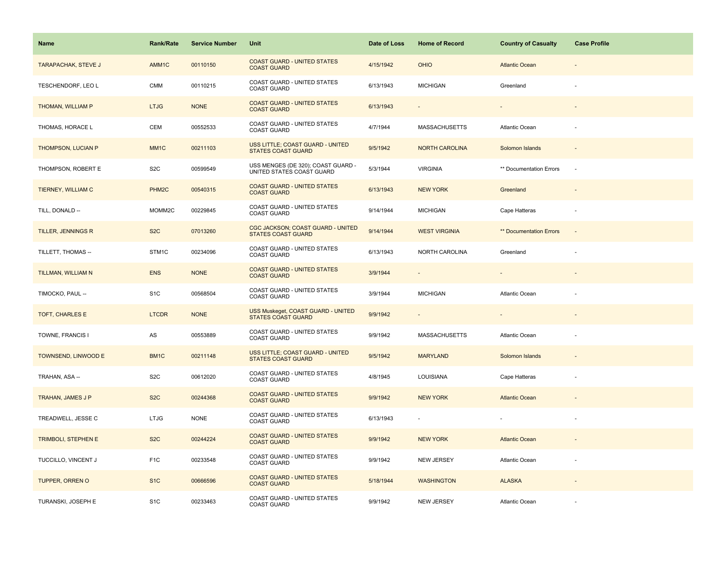| Name                       | <b>Rank/Rate</b>  | <b>Service Number</b> | Unit                                                            | Date of Loss | <b>Home of Record</b> | <b>Country of Casualty</b>     | <b>Case Profile</b>      |
|----------------------------|-------------------|-----------------------|-----------------------------------------------------------------|--------------|-----------------------|--------------------------------|--------------------------|
| <b>TARAPACHAK, STEVE J</b> | AMM1C             | 00110150              | <b>COAST GUARD - UNITED STATES</b><br><b>COAST GUARD</b>        | 4/15/1942    | <b>OHIO</b>           | <b>Atlantic Ocean</b>          |                          |
| TESCHENDORF, LEO L         | <b>CMM</b>        | 00110215              | COAST GUARD - UNITED STATES<br><b>COAST GUARD</b>               | 6/13/1943    | <b>MICHIGAN</b>       | Greenland                      |                          |
| THOMAN, WILLIAM P          | <b>LTJG</b>       | <b>NONE</b>           | <b>COAST GUARD - UNITED STATES</b><br><b>COAST GUARD</b>        | 6/13/1943    | $\sim$                | $\overline{\phantom{a}}$       | $\overline{\phantom{a}}$ |
| THOMAS, HORACE L           | CEM               | 00552533              | COAST GUARD - UNITED STATES<br><b>COAST GUARD</b>               | 4/7/1944     | <b>MASSACHUSETTS</b>  | Atlantic Ocean                 |                          |
| THOMPSON, LUCIAN P         | MM <sub>1C</sub>  | 00211103              | USS LITTLE; COAST GUARD - UNITED<br><b>STATES COAST GUARD</b>   | 9/5/1942     | <b>NORTH CAROLINA</b> | Solomon Islands                |                          |
| THOMPSON, ROBERT E         | S <sub>2</sub> C  | 00599549              | USS MENGES (DE 320); COAST GUARD -<br>UNITED STATES COAST GUARD | 5/3/1944     | <b>VIRGINIA</b>       | ** Documentation Errors        | $\sim$                   |
| TIERNEY, WILLIAM C         | PHM <sub>2C</sub> | 00540315              | <b>COAST GUARD - UNITED STATES</b><br><b>COAST GUARD</b>        | 6/13/1943    | <b>NEW YORK</b>       | Greenland                      |                          |
| TILL, DONALD --            | MOMM2C            | 00229845              | COAST GUARD - UNITED STATES<br><b>COAST GUARD</b>               | 9/14/1944    | <b>MICHIGAN</b>       | Cape Hatteras                  | $\overline{\phantom{a}}$ |
| TILLER, JENNINGS R         | S <sub>2</sub> C  | 07013260              | CGC JACKSON; COAST GUARD - UNITED<br><b>STATES COAST GUARD</b>  | 9/14/1944    | <b>WEST VIRGINIA</b>  | <b>** Documentation Errors</b> | $\overline{a}$           |
| TILLETT, THOMAS --         | STM1C             | 00234096              | COAST GUARD - UNITED STATES<br><b>COAST GUARD</b>               | 6/13/1943    | NORTH CAROLINA        | Greenland                      |                          |
| TILLMAN, WILLIAM N         | <b>ENS</b>        | <b>NONE</b>           | <b>COAST GUARD - UNITED STATES</b><br><b>COAST GUARD</b>        | 3/9/1944     |                       |                                |                          |
| TIMOCKO, PAUL --           | S <sub>1</sub> C  | 00568504              | COAST GUARD - UNITED STATES<br><b>COAST GUARD</b>               | 3/9/1944     | <b>MICHIGAN</b>       | Atlantic Ocean                 |                          |
| TOFT, CHARLES E            | <b>LTCDR</b>      | <b>NONE</b>           | USS Muskeget, COAST GUARD - UNITED<br><b>STATES COAST GUARD</b> | 9/9/1942     |                       |                                |                          |
| TOWNE, FRANCIS I           | AS                | 00553889              | COAST GUARD - UNITED STATES<br><b>COAST GUARD</b>               | 9/9/1942     | <b>MASSACHUSETTS</b>  | Atlantic Ocean                 | ÷                        |
| TOWNSEND, LINWOOD E        | BM1C              | 00211148              | USS LITTLE; COAST GUARD - UNITED<br><b>STATES COAST GUARD</b>   | 9/5/1942     | <b>MARYLAND</b>       | Solomon Islands                |                          |
| TRAHAN, ASA --             | S <sub>2</sub> C  | 00612020              | COAST GUARD - UNITED STATES<br><b>COAST GUARD</b>               | 4/8/1945     | LOUISIANA             | Cape Hatteras                  |                          |
| TRAHAN, JAMES J P          | S <sub>2</sub> C  | 00244368              | <b>COAST GUARD - UNITED STATES</b><br><b>COAST GUARD</b>        | 9/9/1942     | <b>NEW YORK</b>       | <b>Atlantic Ocean</b>          |                          |
| TREADWELL, JESSE C         | <b>LTJG</b>       | <b>NONE</b>           | COAST GUARD - UNITED STATES<br><b>COAST GUARD</b>               | 6/13/1943    |                       |                                |                          |
| <b>TRIMBOLI, STEPHEN E</b> | S <sub>2</sub> C  | 00244224              | <b>COAST GUARD - UNITED STATES</b><br><b>COAST GUARD</b>        | 9/9/1942     | <b>NEW YORK</b>       | <b>Atlantic Ocean</b>          |                          |
| TUCCILLO, VINCENT J        | F <sub>1</sub> C  | 00233548              | COAST GUARD - UNITED STATES<br>COAST GUARD                      | 9/9/1942     | <b>NEW JERSEY</b>     | Atlantic Ocean                 |                          |
| <b>TUPPER, ORREN O</b>     | S <sub>1</sub> C  | 00666596              | <b>COAST GUARD - UNITED STATES</b><br><b>COAST GUARD</b>        | 5/18/1944    | <b>WASHINGTON</b>     | <b>ALASKA</b>                  |                          |
| TURANSKI, JOSEPH E         | S <sub>1</sub> C  | 00233463              | COAST GUARD - UNITED STATES<br><b>COAST GUARD</b>               | 9/9/1942     | <b>NEW JERSEY</b>     | Atlantic Ocean                 |                          |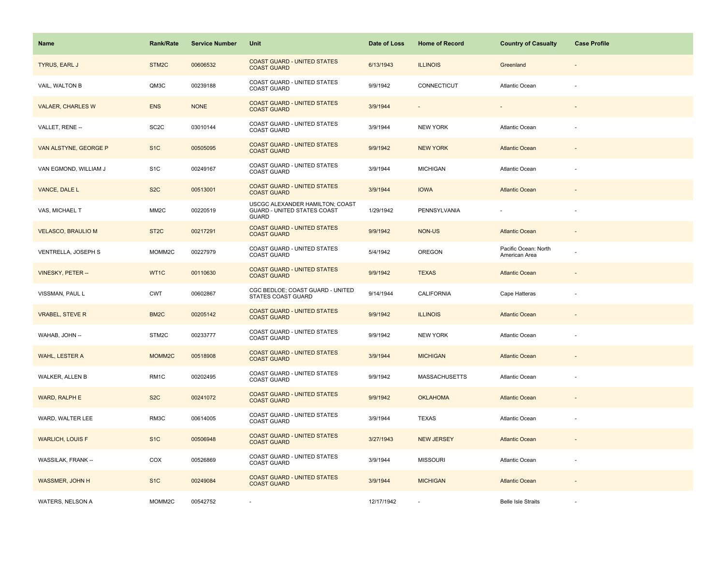| Name                      | <b>Rank/Rate</b>  | <b>Service Number</b> | Unit                                                                                  | Date of Loss | <b>Home of Record</b> | <b>Country of Casualty</b>            | <b>Case Profile</b>      |
|---------------------------|-------------------|-----------------------|---------------------------------------------------------------------------------------|--------------|-----------------------|---------------------------------------|--------------------------|
| TYRUS, EARL J             | STM2C             | 00606532              | <b>COAST GUARD - UNITED STATES</b><br><b>COAST GUARD</b>                              | 6/13/1943    | <b>ILLINOIS</b>       | Greenland                             |                          |
| VAIL, WALTON B            | QM3C              | 00239188              | COAST GUARD - UNITED STATES<br><b>COAST GUARD</b>                                     | 9/9/1942     | CONNECTICUT           | <b>Atlantic Ocean</b>                 |                          |
| <b>VALAER, CHARLES W</b>  | <b>ENS</b>        | <b>NONE</b>           | <b>COAST GUARD - UNITED STATES</b><br><b>COAST GUARD</b>                              | 3/9/1944     |                       |                                       |                          |
| VALLET, RENE --           | SC2C              | 03010144              | COAST GUARD - UNITED STATES<br><b>COAST GUARD</b>                                     | 3/9/1944     | <b>NEW YORK</b>       | <b>Atlantic Ocean</b>                 |                          |
| VAN ALSTYNE, GEORGE P     | S <sub>1</sub> C  | 00505095              | <b>COAST GUARD - UNITED STATES</b><br><b>COAST GUARD</b>                              | 9/9/1942     | <b>NEW YORK</b>       | <b>Atlantic Ocean</b>                 |                          |
| VAN EGMOND, WILLIAM J     | S <sub>1</sub> C  | 00249167              | COAST GUARD - UNITED STATES<br><b>COAST GUARD</b>                                     | 3/9/1944     | <b>MICHIGAN</b>       | Atlantic Ocean                        |                          |
| VANCE, DALE L             | S <sub>2</sub> C  | 00513001              | <b>COAST GUARD - UNITED STATES</b><br><b>COAST GUARD</b>                              | 3/9/1944     | <b>IOWA</b>           | <b>Atlantic Ocean</b>                 |                          |
| VAS, MICHAEL T            | MM <sub>2</sub> C | 00220519              | USCGC ALEXANDER HAMILTON; COAST<br><b>GUARD - UNITED STATES COAST</b><br><b>GUARD</b> | 1/29/1942    | PENNSYLVANIA          |                                       |                          |
| <b>VELASCO, BRAULIO M</b> | ST <sub>2</sub> C | 00217291              | <b>COAST GUARD - UNITED STATES</b><br><b>COAST GUARD</b>                              | 9/9/1942     | <b>NON-US</b>         | <b>Atlantic Ocean</b>                 | $\overline{\phantom{a}}$ |
| VENTRELLA, JOSEPH S       | MOMM2C            | 00227979              | COAST GUARD - UNITED STATES<br><b>COAST GUARD</b>                                     | 5/4/1942     | OREGON                | Pacific Ocean: North<br>American Area |                          |
| <b>VINESKY, PETER --</b>  | WT1C              | 00110630              | <b>COAST GUARD - UNITED STATES</b><br><b>COAST GUARD</b>                              | 9/9/1942     | <b>TEXAS</b>          | <b>Atlantic Ocean</b>                 |                          |
| VISSMAN, PAUL L           | <b>CWT</b>        | 00602867              | CGC BEDLOE; COAST GUARD - UNITED<br><b>STATES COAST GUARD</b>                         | 9/14/1944    | <b>CALIFORNIA</b>     | Cape Hatteras                         |                          |
| <b>VRABEL, STEVE R</b>    | BM <sub>2</sub> C | 00205142              | <b>COAST GUARD - UNITED STATES</b><br><b>COAST GUARD</b>                              | 9/9/1942     | <b>ILLINOIS</b>       | <b>Atlantic Ocean</b>                 |                          |
| WAHAB, JOHN --            | STM2C             | 00233777              | COAST GUARD - UNITED STATES<br><b>COAST GUARD</b>                                     | 9/9/1942     | <b>NEW YORK</b>       | Atlantic Ocean                        |                          |
| WAHL, LESTER A            | MOMM2C            | 00518908              | <b>COAST GUARD - UNITED STATES</b><br><b>COAST GUARD</b>                              | 3/9/1944     | <b>MICHIGAN</b>       | <b>Atlantic Ocean</b>                 |                          |
| WALKER, ALLEN B           | RM1C              | 00202495              | COAST GUARD - UNITED STATES<br><b>COAST GUARD</b>                                     | 9/9/1942     | <b>MASSACHUSETTS</b>  | Atlantic Ocean                        |                          |
| WARD, RALPH E             | S <sub>2</sub> C  | 00241072              | <b>COAST GUARD - UNITED STATES</b><br><b>COAST GUARD</b>                              | 9/9/1942     | <b>OKLAHOMA</b>       | <b>Atlantic Ocean</b>                 |                          |
| WARD, WALTER LEE          | RM3C              | 00614005              | COAST GUARD - UNITED STATES<br><b>COAST GUARD</b>                                     | 3/9/1944     | <b>TEXAS</b>          | Atlantic Ocean                        |                          |
| <b>WARLICH, LOUIS F</b>   | S <sub>1</sub> C  | 00506948              | <b>COAST GUARD - UNITED STATES</b><br><b>COAST GUARD</b>                              | 3/27/1943    | <b>NEW JERSEY</b>     | <b>Atlantic Ocean</b>                 |                          |
| WASSILAK, FRANK --        | COX               | 00526869              | COAST GUARD - UNITED STATES<br>COAST GUARD                                            | 3/9/1944     | <b>MISSOURI</b>       | Atlantic Ocean                        | ä,                       |
| <b>WASSMER, JOHN H</b>    | S <sub>1</sub> C  | 00249084              | <b>COAST GUARD - UNITED STATES</b><br><b>COAST GUARD</b>                              | 3/9/1944     | <b>MICHIGAN</b>       | <b>Atlantic Ocean</b>                 |                          |
| WATERS, NELSON A          | MOMM2C            | 00542752              |                                                                                       | 12/17/1942   |                       | <b>Belle Isle Straits</b>             |                          |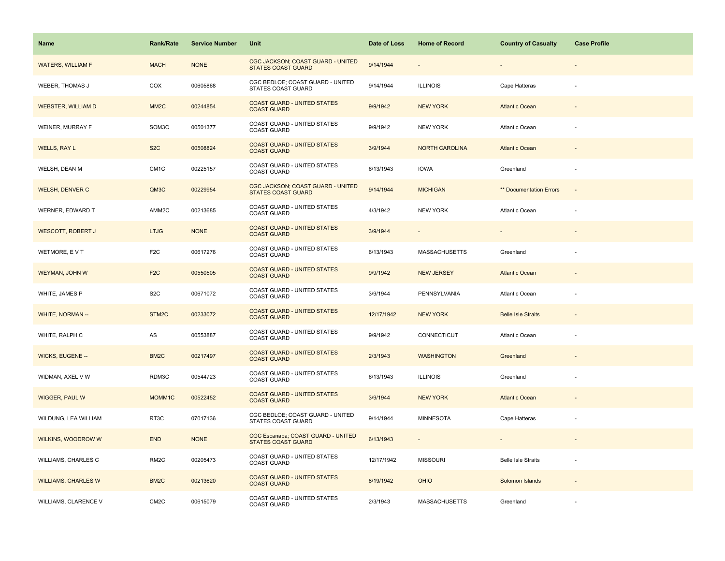| Name                       | <b>Rank/Rate</b>  | <b>Service Number</b> | Unit                                                            | Date of Loss | <b>Home of Record</b> | <b>Country of Casualty</b> | <b>Case Profile</b>      |
|----------------------------|-------------------|-----------------------|-----------------------------------------------------------------|--------------|-----------------------|----------------------------|--------------------------|
| <b>WATERS, WILLIAM F</b>   | <b>MACH</b>       | <b>NONE</b>           | CGC JACKSON; COAST GUARD - UNITED<br><b>STATES COAST GUARD</b>  | 9/14/1944    |                       |                            |                          |
| WEBER, THOMAS J            | COX               | 00605868              | CGC BEDLOE; COAST GUARD - UNITED<br>STATES COAST GUARD          | 9/14/1944    | <b>ILLINOIS</b>       | Cape Hatteras              |                          |
| <b>WEBSTER, WILLIAM D</b>  | MM <sub>2</sub> C | 00244854              | <b>COAST GUARD - UNITED STATES</b><br><b>COAST GUARD</b>        | 9/9/1942     | <b>NEW YORK</b>       | <b>Atlantic Ocean</b>      | $\overline{\phantom{a}}$ |
| WEINER, MURRAY F           | SOM3C             | 00501377              | COAST GUARD - UNITED STATES<br><b>COAST GUARD</b>               | 9/9/1942     | <b>NEW YORK</b>       | Atlantic Ocean             |                          |
| WELLS, RAY L               | S <sub>2</sub> C  | 00508824              | <b>COAST GUARD - UNITED STATES</b><br><b>COAST GUARD</b>        | 3/9/1944     | <b>NORTH CAROLINA</b> | <b>Atlantic Ocean</b>      |                          |
| WELSH, DEAN M              | CM <sub>1C</sub>  | 00225157              | <b>COAST GUARD - UNITED STATES</b><br><b>COAST GUARD</b>        | 6/13/1943    | <b>IOWA</b>           | Greenland                  | ä,                       |
| <b>WELSH, DENVER C</b>     | QM3C              | 00229954              | CGC JACKSON; COAST GUARD - UNITED<br><b>STATES COAST GUARD</b>  | 9/14/1944    | <b>MICHIGAN</b>       | ** Documentation Errors    | $\overline{a}$           |
| WERNER, EDWARD T           | AMM2C             | 00213685              | COAST GUARD - UNITED STATES<br><b>COAST GUARD</b>               | 4/3/1942     | <b>NEW YORK</b>       | Atlantic Ocean             |                          |
| <b>WESCOTT, ROBERT J</b>   | <b>LTJG</b>       | <b>NONE</b>           | <b>COAST GUARD - UNITED STATES</b><br><b>COAST GUARD</b>        | 3/9/1944     |                       |                            |                          |
| WETMORE, EVT               | F <sub>2</sub> C  | 00617276              | COAST GUARD - UNITED STATES<br><b>COAST GUARD</b>               | 6/13/1943    | <b>MASSACHUSETTS</b>  | Greenland                  |                          |
| WEYMAN, JOHN W             | F <sub>2</sub> C  | 00550505              | <b>COAST GUARD - UNITED STATES</b><br><b>COAST GUARD</b>        | 9/9/1942     | <b>NEW JERSEY</b>     | <b>Atlantic Ocean</b>      |                          |
| WHITE, JAMES P             | S <sub>2</sub> C  | 00671072              | COAST GUARD - UNITED STATES<br><b>COAST GUARD</b>               | 3/9/1944     | PENNSYLVANIA          | <b>Atlantic Ocean</b>      |                          |
| WHITE, NORMAN --           | STM <sub>2C</sub> | 00233072              | <b>COAST GUARD - UNITED STATES</b><br><b>COAST GUARD</b>        | 12/17/1942   | <b>NEW YORK</b>       | <b>Belle Isle Straits</b>  |                          |
| WHITE, RALPH C             | AS                | 00553887              | COAST GUARD - UNITED STATES<br><b>COAST GUARD</b>               | 9/9/1942     | CONNECTICUT           | Atlantic Ocean             |                          |
| WICKS, EUGENE --           | BM <sub>2</sub> C | 00217497              | <b>COAST GUARD - UNITED STATES</b><br><b>COAST GUARD</b>        | 2/3/1943     | <b>WASHINGTON</b>     | Greenland                  |                          |
| WIDMAN, AXEL V W           | RDM3C             | 00544723              | COAST GUARD - UNITED STATES<br><b>COAST GUARD</b>               | 6/13/1943    | <b>ILLINOIS</b>       | Greenland                  |                          |
| <b>WIGGER, PAUL W</b>      | MOMM1C            | 00522452              | <b>COAST GUARD - UNITED STATES</b><br><b>COAST GUARD</b>        | 3/9/1944     | <b>NEW YORK</b>       | <b>Atlantic Ocean</b>      |                          |
| WILDUNG, LEA WILLIAM       | RT3C              | 07017136              | CGC BEDLOE; COAST GUARD - UNITED<br><b>STATES COAST GUARD</b>   | 9/14/1944    | <b>MINNESOTA</b>      | Cape Hatteras              |                          |
| WILKINS, WOODROW W         | <b>END</b>        | <b>NONE</b>           | CGC Escanaba; COAST GUARD - UNITED<br><b>STATES COAST GUARD</b> | 6/13/1943    |                       |                            |                          |
| <b>WILLIAMS, CHARLES C</b> | RM <sub>2</sub> C | 00205473              | COAST GUARD - UNITED STATES<br><b>COAST GUARD</b>               | 12/17/1942   | <b>MISSOURI</b>       | <b>Belle Isle Straits</b>  |                          |
| <b>WILLIAMS, CHARLES W</b> | BM <sub>2</sub> C | 00213620              | <b>COAST GUARD - UNITED STATES</b><br><b>COAST GUARD</b>        | 8/19/1942    | <b>OHIO</b>           | Solomon Islands            |                          |
| WILLIAMS, CLARENCE V       | CM <sub>2</sub> C | 00615079              | COAST GUARD - UNITED STATES<br><b>COAST GUARD</b>               | 2/3/1943     | <b>MASSACHUSETTS</b>  | Greenland                  |                          |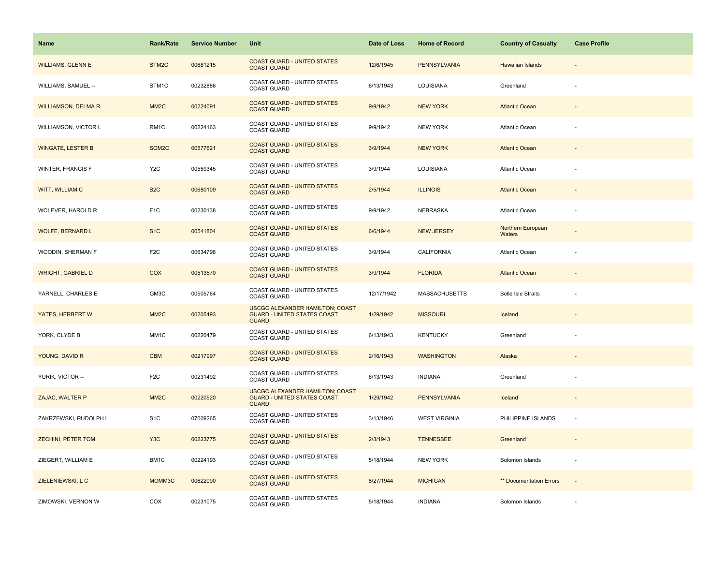| <b>Name</b>                | <b>Rank/Rate</b>   | <b>Service Number</b> | Unit                                                                                         | Date of Loss | <b>Home of Record</b> | <b>Country of Casualty</b>  | <b>Case Profile</b>      |
|----------------------------|--------------------|-----------------------|----------------------------------------------------------------------------------------------|--------------|-----------------------|-----------------------------|--------------------------|
| <b>WILLIAMS, GLENN E</b>   | STM <sub>2</sub> C | 00681215              | <b>COAST GUARD - UNITED STATES</b><br><b>COAST GUARD</b>                                     | 12/6/1945    | <b>PENNSYLVANIA</b>   | Hawaiian Islands            |                          |
| WILLIAMS, SAMUEL --        | STM1C              | 00232886              | COAST GUARD - UNITED STATES<br>COAST GUARD                                                   | 6/13/1943    | LOUISIANA             | Greenland                   |                          |
| <b>WILLIAMSON, DELMA R</b> | MM <sub>2</sub> C  | 00224091              | <b>COAST GUARD - UNITED STATES</b><br><b>COAST GUARD</b>                                     | 9/9/1942     | <b>NEW YORK</b>       | <b>Atlantic Ocean</b>       |                          |
| WILLIAMSON, VICTOR L       | RM <sub>1</sub> C  | 00224163              | <b>COAST GUARD - UNITED STATES</b><br><b>COAST GUARD</b>                                     | 9/9/1942     | <b>NEW YORK</b>       | Atlantic Ocean              |                          |
| <b>WINGATE, LESTER B</b>   | SOM2C              | 00577621              | <b>COAST GUARD - UNITED STATES</b><br><b>COAST GUARD</b>                                     | 3/9/1944     | <b>NEW YORK</b>       | <b>Atlantic Ocean</b>       |                          |
| <b>WINTER, FRANCIS F</b>   | Y <sub>2</sub> C   | 00559345              | COAST GUARD - UNITED STATES<br><b>COAST GUARD</b>                                            | 3/9/1944     | LOUISIANA             | Atlantic Ocean              |                          |
| WITT, WILLIAM C            | S <sub>2</sub> C   | 00680109              | <b>COAST GUARD - UNITED STATES</b><br><b>COAST GUARD</b>                                     | 2/5/1944     | <b>ILLINOIS</b>       | <b>Atlantic Ocean</b>       |                          |
| WOLEVER, HAROLD R          | F <sub>1</sub> C   | 00230138              | COAST GUARD - UNITED STATES<br><b>COAST GUARD</b>                                            | 9/9/1942     | NEBRASKA              | <b>Atlantic Ocean</b>       |                          |
| <b>WOLFE, BERNARD L</b>    | S <sub>1</sub> C   | 00541804              | <b>COAST GUARD - UNITED STATES</b><br><b>COAST GUARD</b>                                     | 6/6/1944     | <b>NEW JERSEY</b>     | Northern European<br>Waters |                          |
| WOODIN, SHERMAN F          | F <sub>2</sub> C   | 00634796              | COAST GUARD - UNITED STATES<br><b>COAST GUARD</b>                                            | 3/9/1944     | CALIFORNIA            | <b>Atlantic Ocean</b>       |                          |
| <b>WRIGHT, GABRIEL D</b>   | <b>COX</b>         | 00513570              | <b>COAST GUARD - UNITED STATES</b><br><b>COAST GUARD</b>                                     | 3/9/1944     | <b>FLORIDA</b>        | <b>Atlantic Ocean</b>       |                          |
| YARNELL, CHARLES E         | GM3C               | 00505764              | <b>COAST GUARD - UNITED STATES</b><br><b>COAST GUARD</b>                                     | 12/17/1942   | <b>MASSACHUSETTS</b>  | <b>Belle Isle Straits</b>   |                          |
| YATES, HERBERT W           | MM <sub>2</sub> C  | 00205493              | <b>USCGC ALEXANDER HAMILTON; COAST</b><br><b>GUARD - UNITED STATES COAST</b><br><b>GUARD</b> | 1/29/1942    | <b>MISSOURI</b>       | Iceland                     |                          |
| YORK, CLYDE B              | MM1C               | 00220479              | COAST GUARD - UNITED STATES<br><b>COAST GUARD</b>                                            | 6/13/1943    | <b>KENTUCKY</b>       | Greenland                   | ÷.                       |
| YOUNG, DAVID R             | <b>CBM</b>         | 00217997              | <b>COAST GUARD - UNITED STATES</b><br><b>COAST GUARD</b>                                     | 2/16/1943    | <b>WASHINGTON</b>     | Alaska                      |                          |
| YURIK, VICTOR --           | F <sub>2</sub> C   | 00231492              | COAST GUARD - UNITED STATES<br><b>COAST GUARD</b>                                            | 6/13/1943    | <b>INDIANA</b>        | Greenland                   |                          |
| ZAJAC, WALTER P            | MM <sub>2</sub> C  | 00220520              | <b>USCGC ALEXANDER HAMILTON; COAST</b><br><b>GUARD - UNITED STATES COAST</b><br><b>GUARD</b> | 1/29/1942    | <b>PENNSYLVANIA</b>   | Iceland                     | $\overline{\phantom{a}}$ |
| ZAKRZEWSKI, RUDOLPH L      | S <sub>1</sub> C   | 07009265              | COAST GUARD - UNITED STATES<br><b>COAST GUARD</b>                                            | 3/13/1946    | <b>WEST VIRGINIA</b>  | PHILIPPINE ISLANDS          | ÷,                       |
| <b>ZECHINI, PETER TOM</b>  | Y <sub>3</sub> C   | 00223775              | <b>COAST GUARD - UNITED STATES</b><br><b>COAST GUARD</b>                                     | 2/3/1943     | <b>TENNESSEE</b>      | Greenland                   |                          |
| ZIEGERT, WILLIAM E         | BM1C               | 00224193              | COAST GUARD - UNITED STATES<br><b>COAST GUARD</b>                                            | 5/18/1944    | <b>NEW YORK</b>       | Solomon Islands             |                          |
| ZIELENIEWSKI, L C          | MOMM3C             | 00622090              | <b>COAST GUARD - UNITED STATES</b><br><b>COAST GUARD</b>                                     | 8/27/1944    | <b>MICHIGAN</b>       | ** Documentation Errors     | $\sim$                   |
| ZIMOWSKI, VERNON W         | COX                | 00231075              | COAST GUARD - UNITED STATES<br><b>COAST GUARD</b>                                            | 5/18/1944    | <b>INDIANA</b>        | Solomon Islands             |                          |